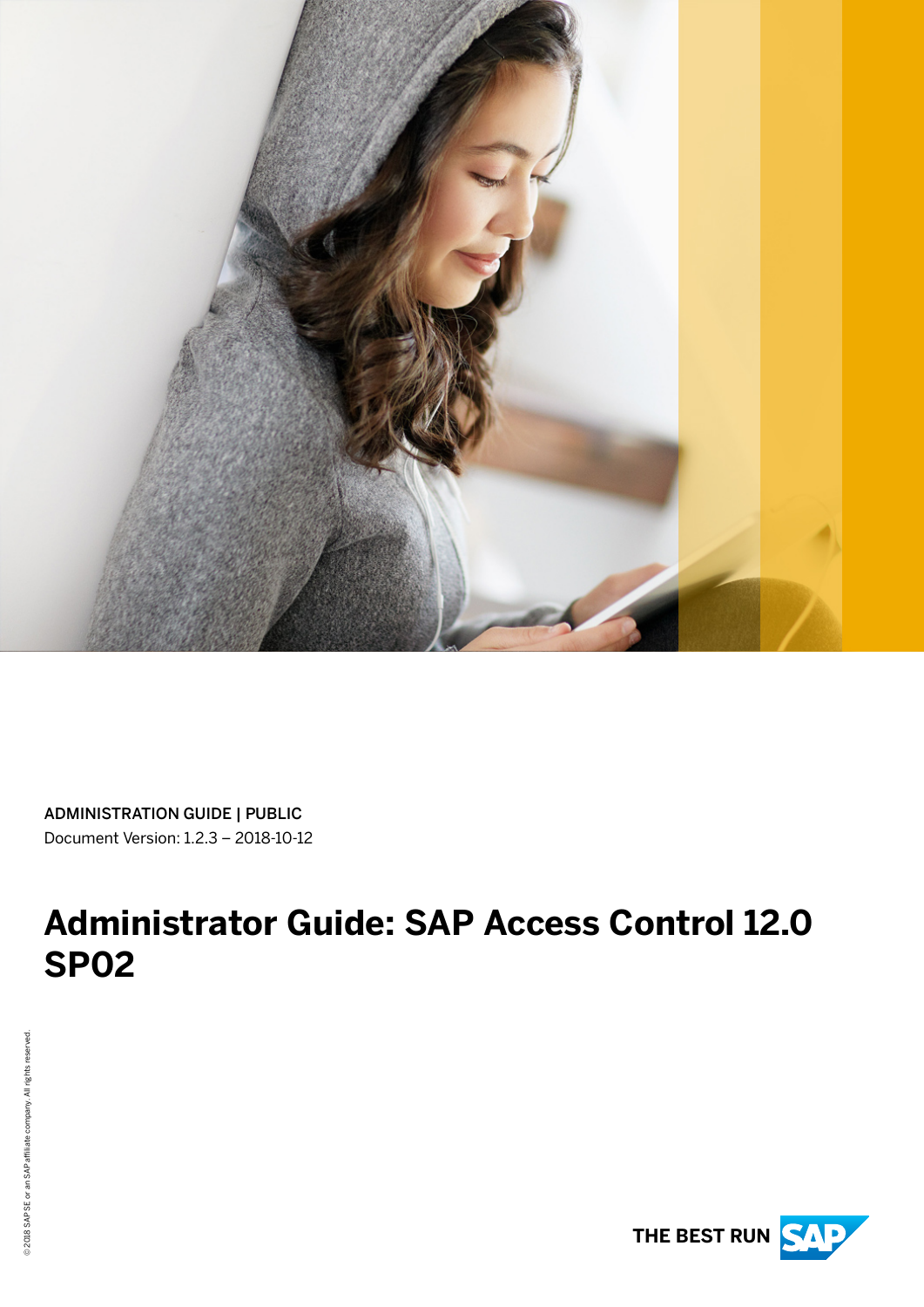

ADMINISTRATION GUIDE | PUBLIC Document Version: 1.2.3 – 2018-10-12

# **Administrator Guide: SAP Access Control 12.0 SP02**

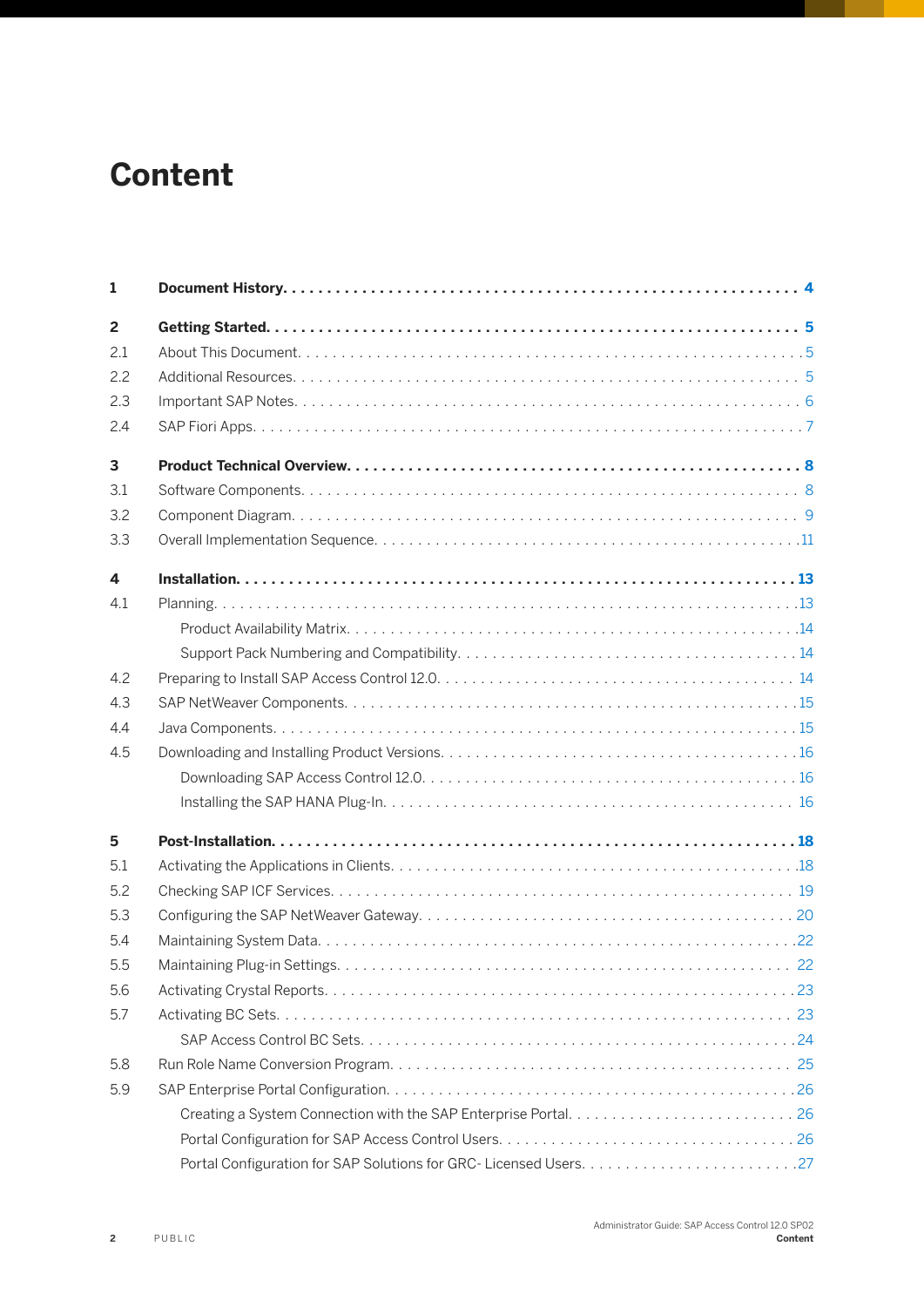# **Content**

| 1              |  |
|----------------|--|
| $\overline{2}$ |  |
| 2.1            |  |
| 2.2            |  |
| 2.3            |  |
| 2.4            |  |
| 3              |  |
| 3.1            |  |
| 3.2            |  |
| 3.3            |  |
| 4              |  |
| 4.1            |  |
|                |  |
|                |  |
| 4.2            |  |
| 4.3            |  |
| 4.4            |  |
| 4.5            |  |
|                |  |
|                |  |
| 5              |  |
| 5.1            |  |
| 5.2            |  |
| 5.3            |  |
| 5.4            |  |
| 5.5            |  |
| 5.6            |  |
| 5.7            |  |
|                |  |
| 5.8            |  |
| 5.9            |  |
|                |  |
|                |  |
|                |  |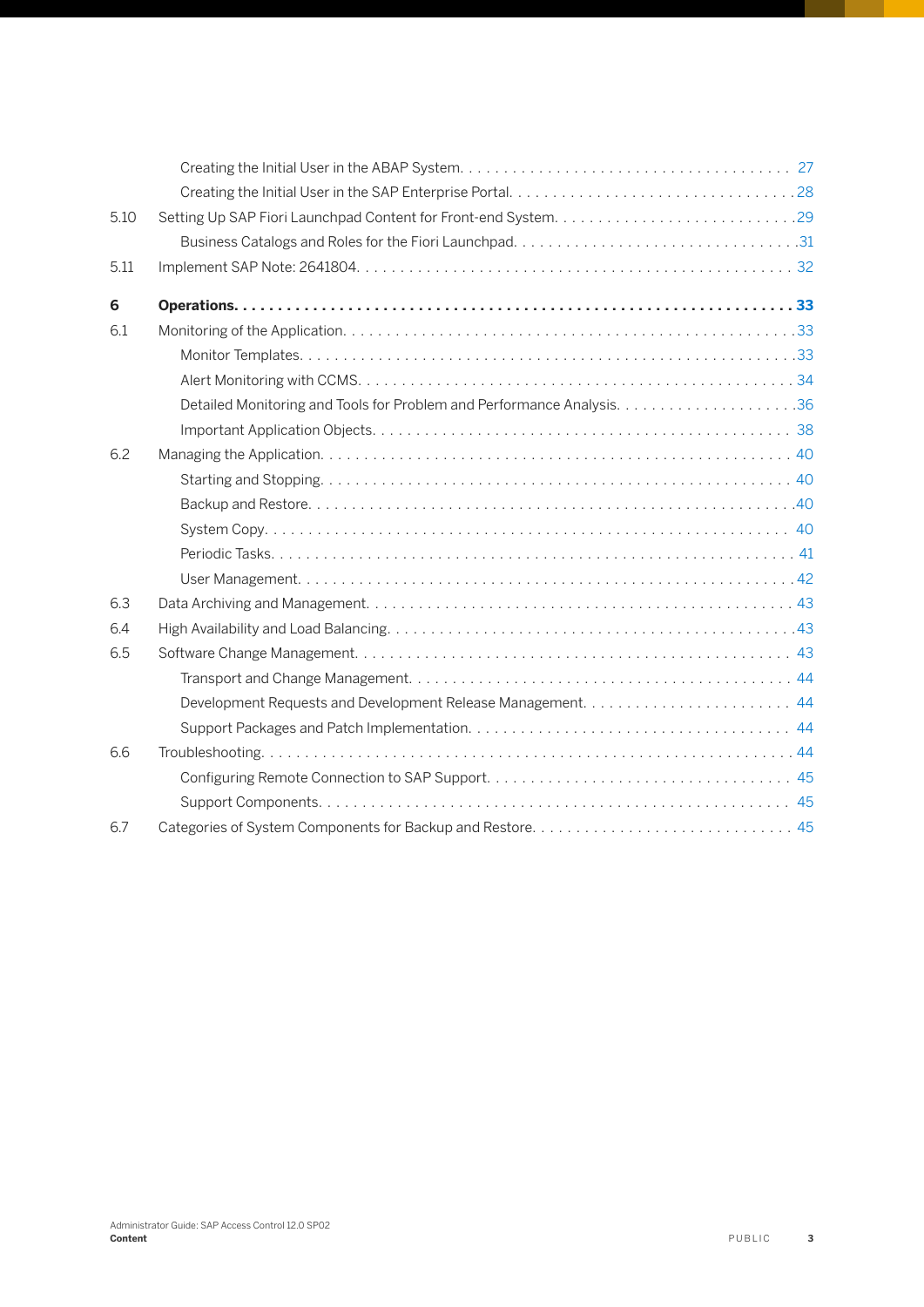| 5.10 |  |
|------|--|
|      |  |
| 5.11 |  |
| 6    |  |
| 6.1  |  |
|      |  |
|      |  |
|      |  |
|      |  |
| 6.2  |  |
|      |  |
|      |  |
|      |  |
|      |  |
|      |  |
| 6.3  |  |
| 6.4  |  |
| 6.5  |  |
|      |  |
|      |  |
|      |  |
| 6.6  |  |
|      |  |
|      |  |
| 6.7  |  |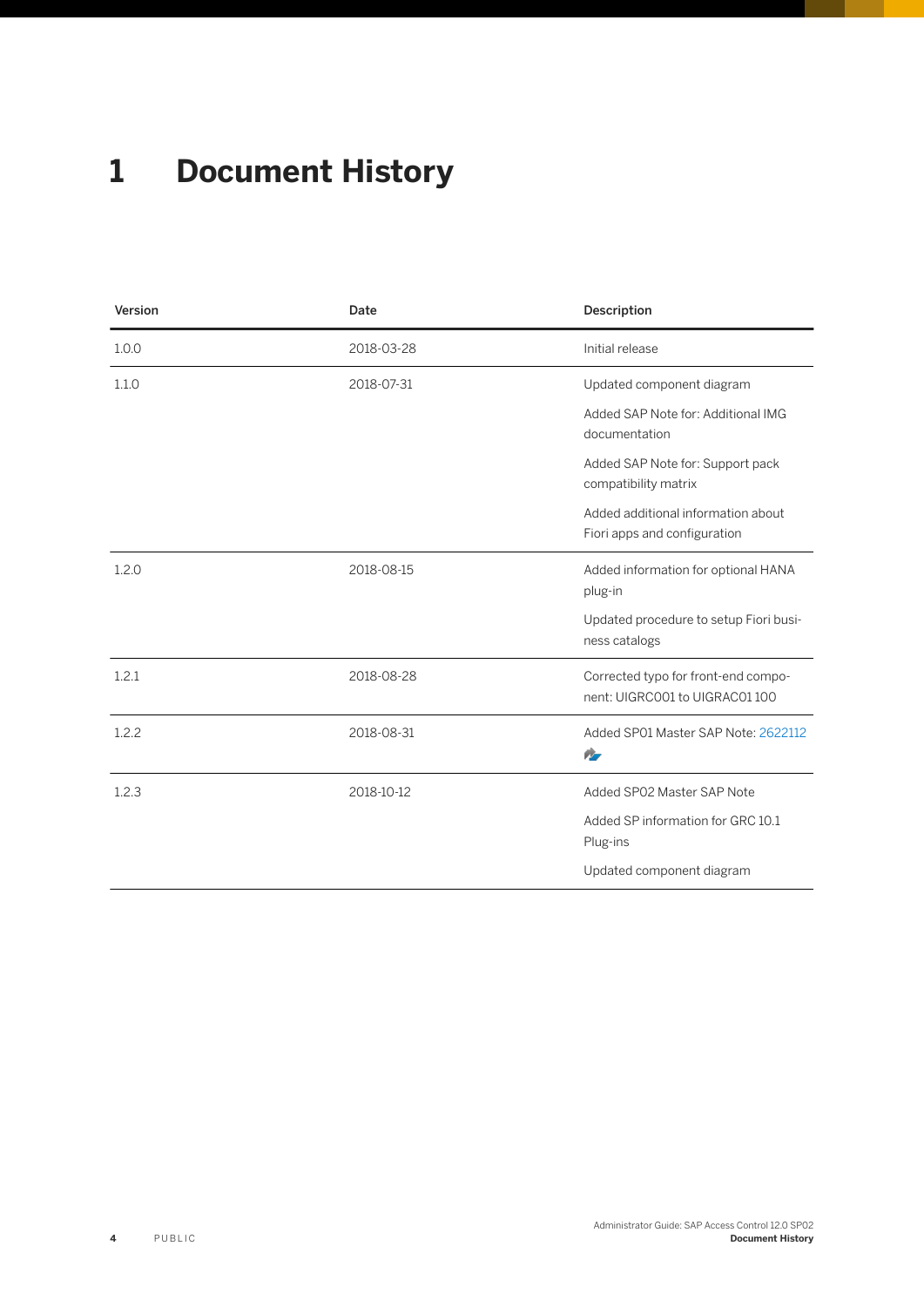# <span id="page-3-0"></span>**1 Document History**

| Version | Date       | Description                                                          |
|---------|------------|----------------------------------------------------------------------|
| 1.0.0   | 2018-03-28 | Initial release                                                      |
| 1.1.0   | 2018-07-31 | Updated component diagram                                            |
|         |            | Added SAP Note for: Additional IMG<br>documentation                  |
|         |            | Added SAP Note for: Support pack<br>compatibility matrix             |
|         |            | Added additional information about<br>Fiori apps and configuration   |
| 1.2.0   | 2018-08-15 | Added information for optional HANA<br>plug-in                       |
|         |            | Updated procedure to setup Fiori busi-<br>ness catalogs              |
| 1.2.1   | 2018-08-28 | Corrected typo for front-end compo-<br>nent: UIGRC001 to UIGRAC01100 |
| 1.2.2   | 2018-08-31 | Added SP01 Master SAP Note: 2622112<br>n.                            |
| 1.2.3   | 2018-10-12 | Added SP02 Master SAP Note                                           |
|         |            | Added SP information for GRC 10.1<br>Plug-ins                        |
|         |            | Updated component diagram                                            |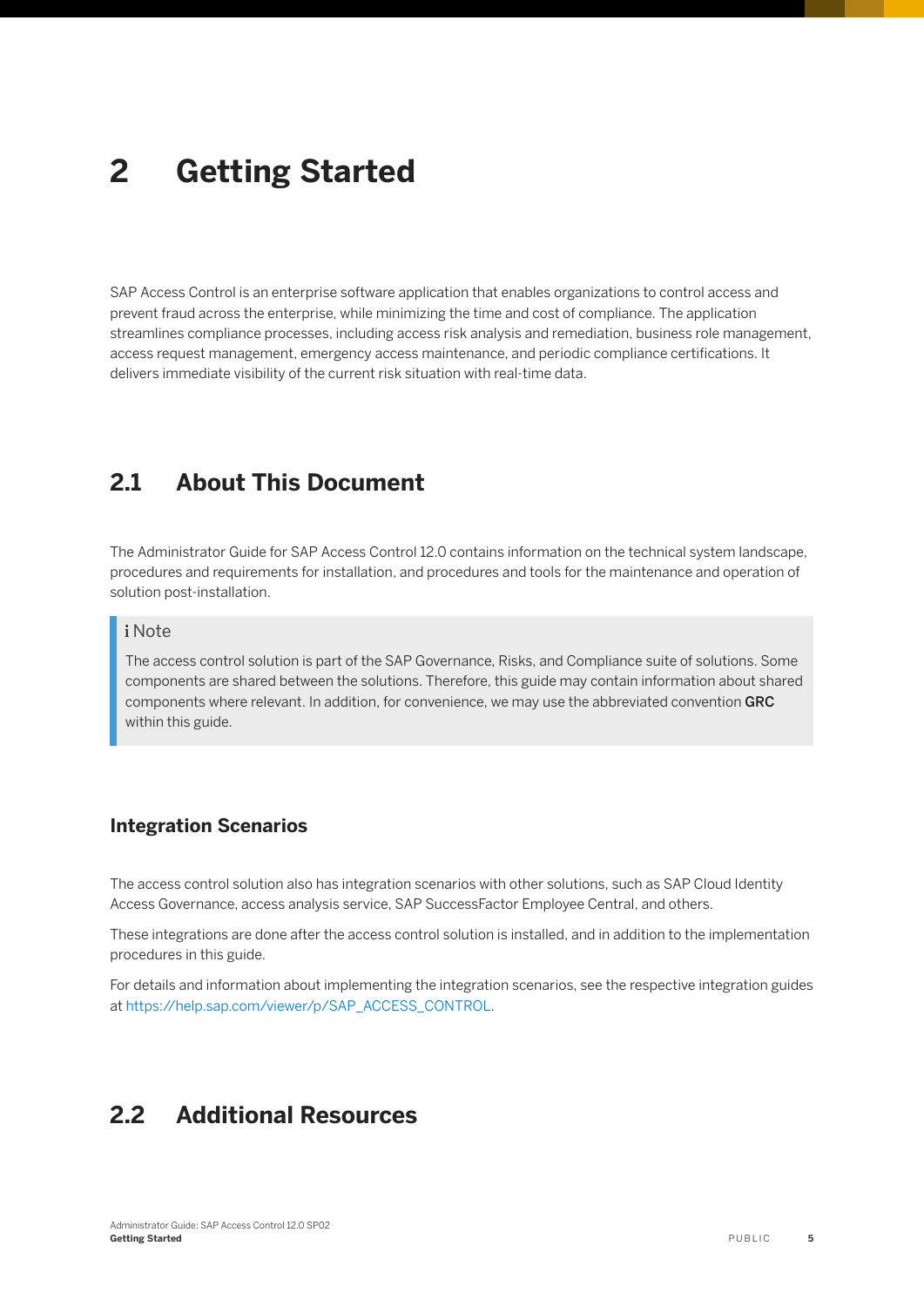# <span id="page-4-0"></span>**2 Getting Started**

SAP Access Control is an enterprise software application that enables organizations to control access and prevent fraud across the enterprise, while minimizing the time and cost of compliance. The application streamlines compliance processes, including access risk analysis and remediation, business role management, access request management, emergency access maintenance, and periodic compliance certifications. It delivers immediate visibility of the current risk situation with real-time data.

### **2.1 About This Document**

The Administrator Guide for SAP Access Control 12.0 contains information on the technical system landscape, procedures and requirements for installation, and procedures and tools for the maintenance and operation of solution post-installation.

#### i Note

The access control solution is part of the SAP Governance, Risks, and Compliance suite of solutions. Some components are shared between the solutions. Therefore, this guide may contain information about shared components where relevant. In addition, for convenience, we may use the abbreviated convention GRC within this guide.

#### **Integration Scenarios**

The access control solution also has integration scenarios with other solutions, such as SAP Cloud Identity Access Governance, access analysis service, SAP SuccessFactor Employee Central, and others.

These integrations are done after the access control solution is installed, and in addition to the implementation procedures in this guide.

For details and information about implementing the integration scenarios, see the respective integration guides at [https://help.sap.com/viewer/p/SAP\\_ACCESS\\_CONTROL](https://help.sap.com/viewer/p/SAP_ACCESS_CONTROL).

## **2.2 Additional Resources**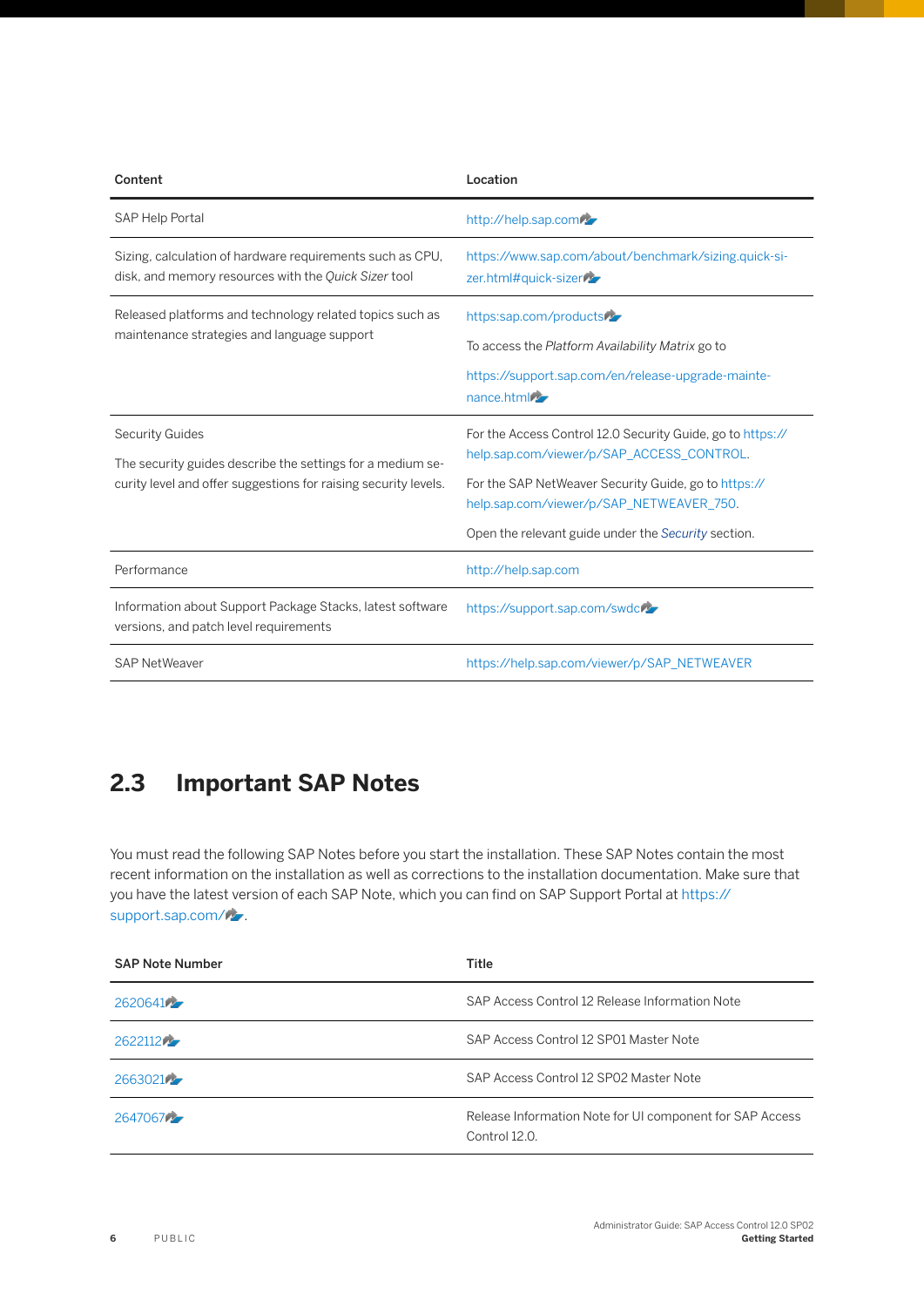<span id="page-5-0"></span>

| Content                                                                                                                                                 | Location                                                                                                                                                                                                                                                           |
|---------------------------------------------------------------------------------------------------------------------------------------------------------|--------------------------------------------------------------------------------------------------------------------------------------------------------------------------------------------------------------------------------------------------------------------|
| SAP Help Portal                                                                                                                                         | http://help.sap.com                                                                                                                                                                                                                                                |
| Sizing, calculation of hardware requirements such as CPU,<br>disk, and memory resources with the Quick Sizer tool                                       | https://www.sap.com/about/benchmark/sizing.quick-si-<br>zer.html#quick-sizer                                                                                                                                                                                       |
| Released platforms and technology related topics such as<br>maintenance strategies and language support                                                 | https:sap.com/products<br>To access the Platform Availability Matrix go to<br>https://support.sap.com/en/release-upgrade-mainte-<br>nance.html                                                                                                                     |
| <b>Security Guides</b><br>The security guides describe the settings for a medium se-<br>curity level and offer suggestions for raising security levels. | For the Access Control 12.0 Security Guide, go to https://<br>help.sap.com/viewer/p/SAP_ACCESS_CONTROL.<br>For the SAP NetWeaver Security Guide, go to https://<br>help.sap.com/viewer/p/SAP_NETWEAVER_750.<br>Open the relevant guide under the Security section. |
| Performance                                                                                                                                             | http://help.sap.com                                                                                                                                                                                                                                                |
| Information about Support Package Stacks, latest software<br>versions, and patch level requirements                                                     | https://support.sap.com/swdcres                                                                                                                                                                                                                                    |
| <b>SAP NetWeaver</b>                                                                                                                                    | https://help.sap.com/viewer/p/SAP_NETWEAVER                                                                                                                                                                                                                        |

## **2.3 Important SAP Notes**

You must read the following SAP Notes before you start the installation. These SAP Notes contain the most recent information on the installation as well as corrections to the installation documentation. Make sure that you have the latest version of each SAP Note, which you can find on SAP Support Portal at [https://](http://help.sap.com/disclaimer?site=https%3A%2F%2Fsupport.sap.com%2F) [support.sap.com/](http://help.sap.com/disclaimer?site=https%3A%2F%2Fsupport.sap.com%2F)

| <b>SAP Note Number</b> | Title                                                                     |
|------------------------|---------------------------------------------------------------------------|
| 26206417               | SAP Access Control 12 Release Information Note                            |
| 2622112                | SAP Access Control 12 SP01 Master Note                                    |
| 26630214               | SAP Access Control 12 SP02 Master Note                                    |
| 26470677               | Release Information Note for UI component for SAP Access<br>Control 12.0. |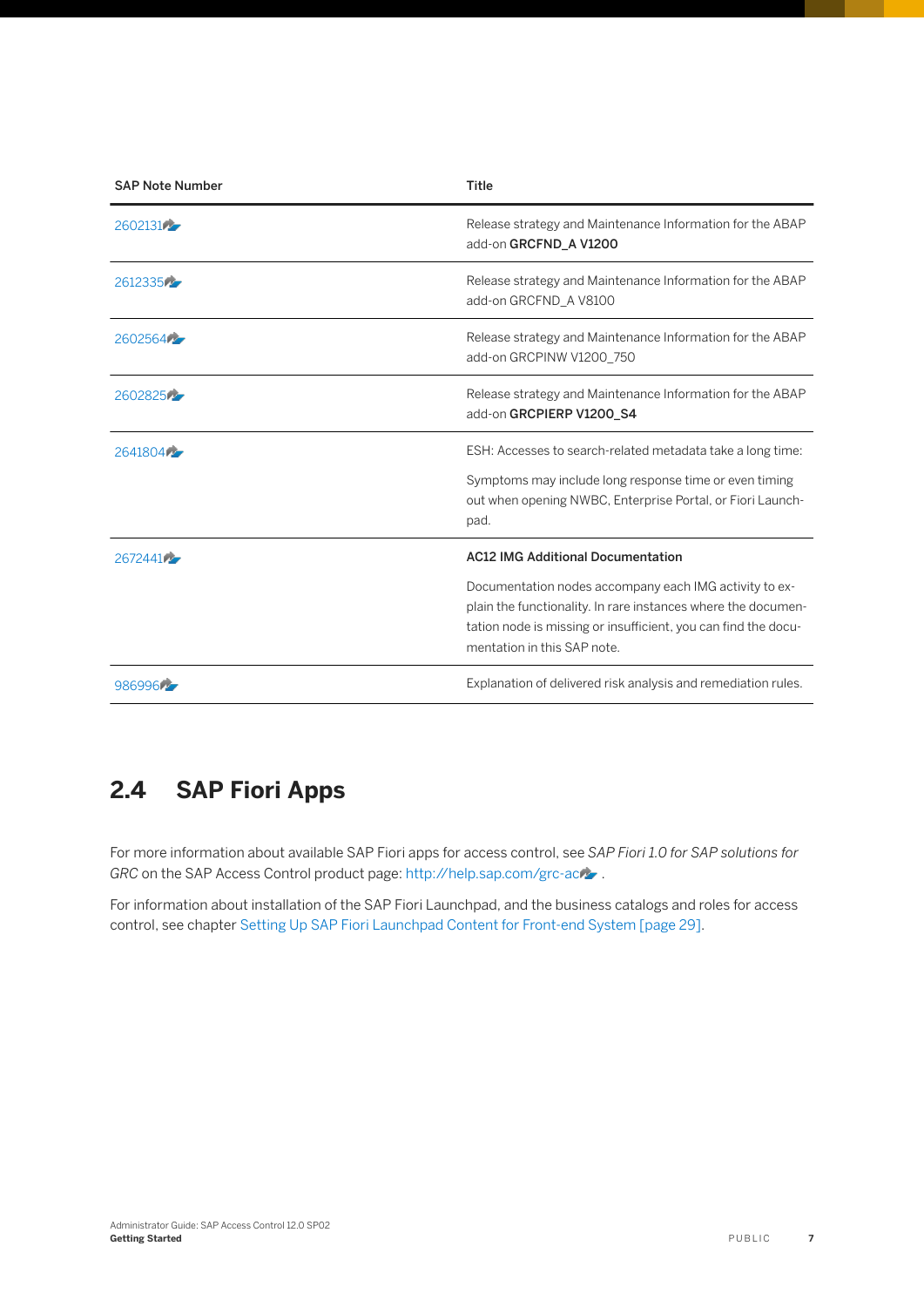<span id="page-6-0"></span>

| <b>SAP Note Number</b> | <b>Title</b>                                                                                                                                                                                                                                                         |
|------------------------|----------------------------------------------------------------------------------------------------------------------------------------------------------------------------------------------------------------------------------------------------------------------|
| 26021317               | Release strategy and Maintenance Information for the ABAP<br>add-on GRCFND A V1200                                                                                                                                                                                   |
| 26123356               | Release strategy and Maintenance Information for the ABAP<br>add-on GRCFND A V8100                                                                                                                                                                                   |
| 260256475              | Release strategy and Maintenance Information for the ABAP<br>add-on GRCPINW V1200 750                                                                                                                                                                                |
| 260282575              | Release strategy and Maintenance Information for the ABAP<br>add-on GRCPIERP V1200 S4                                                                                                                                                                                |
| 264180475              | ESH: Accesses to search-related metadata take a long time:<br>Symptoms may include long response time or even timing<br>out when opening NWBC, Enterprise Portal, or Fiori Launch-<br>pad.                                                                           |
| 26724417               | <b>AC12 IMG Additional Documentation</b><br>Documentation nodes accompany each IMG activity to ex-<br>plain the functionality. In rare instances where the documen-<br>tation node is missing or insufficient, you can find the docu-<br>mentation in this SAP note. |
| 986996                 | Explanation of delivered risk analysis and remediation rules.                                                                                                                                                                                                        |

## **2.4 SAP Fiori Apps**

For more information about available SAP Fiori apps for access control, see *SAP Fiori 1.0 for SAP solutions for GRC* on the SAP Access Control product page: http://help.sap.com/grc-ac/

For information about installation of the SAP Fiori Launchpad, and the business catalogs and roles for access control, see chapter [Setting Up SAP Fiori Launchpad Content for Front-end System \[page 29\].](#page-28-0)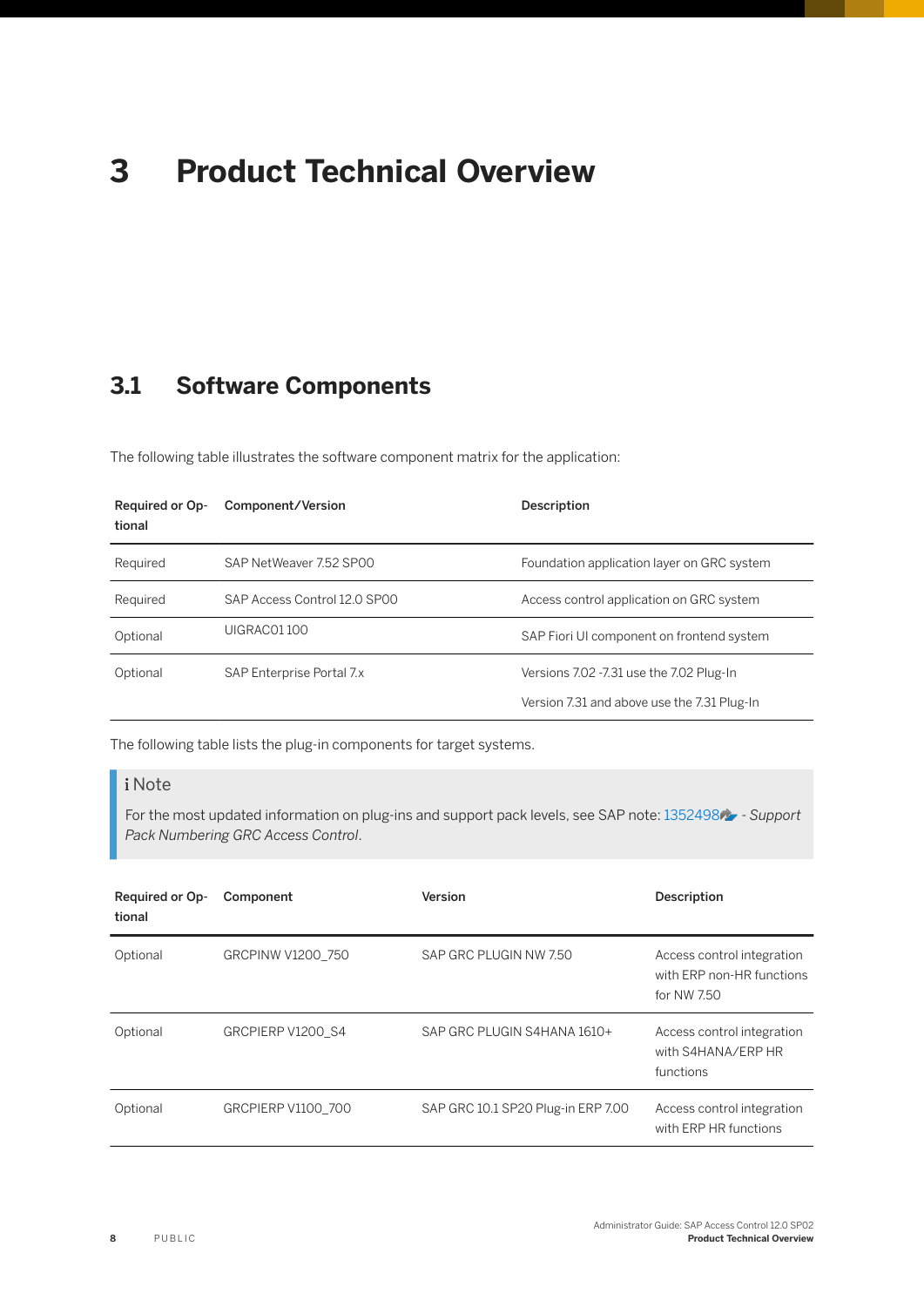# <span id="page-7-0"></span>**3 Product Technical Overview**

## **3.1 Software Components**

The following table illustrates the software component matrix for the application:

| <b>Required or Op-</b><br>tional | Component/Version            | Description                                 |
|----------------------------------|------------------------------|---------------------------------------------|
| Required                         | SAP NetWeaver 7.52 SP00      | Foundation application layer on GRC system  |
| Required                         | SAP Access Control 12.0 SP00 | Access control application on GRC system    |
| Optional                         | UIGRAC01100                  | SAP Fiori UI component on frontend system   |
| Optional                         | SAP Enterprise Portal 7.x    | Versions 7.02 -7.31 use the 7.02 Plug-In    |
|                                  |                              | Version 7.31 and above use the 7.31 Plug-In |

The following table lists the plug-in components for target systems.

#### i Note

For the most updated information on plug-ins and support pack levels, see SAP note: [1352498](http://help.sap.com/disclaimer?site=https://launchpad.support.sap.com/#/notes/1352498)  $\rightarrow$  - Support *Pack Numbering GRC Access Control*.

| Required or Op-<br>tional | Component          | Version                            | Description                                                            |
|---------------------------|--------------------|------------------------------------|------------------------------------------------------------------------|
| Optional                  | GRCPINW V1200 750  | SAP GRC PLUGIN NW 7.50             | Access control integration<br>with ERP non-HR functions<br>for NW 7.50 |
| Optional                  | GRCPIERP V1200 S4  | SAP GRC PLUGIN S4HANA 1610+        | Access control integration<br>with S4HANA/ERP HR<br>functions          |
| Optional                  | GRCPIERP V1100 700 | SAP GRC 10.1 SP20 Plug-in ERP 7.00 | Access control integration<br>with ERP HR functions                    |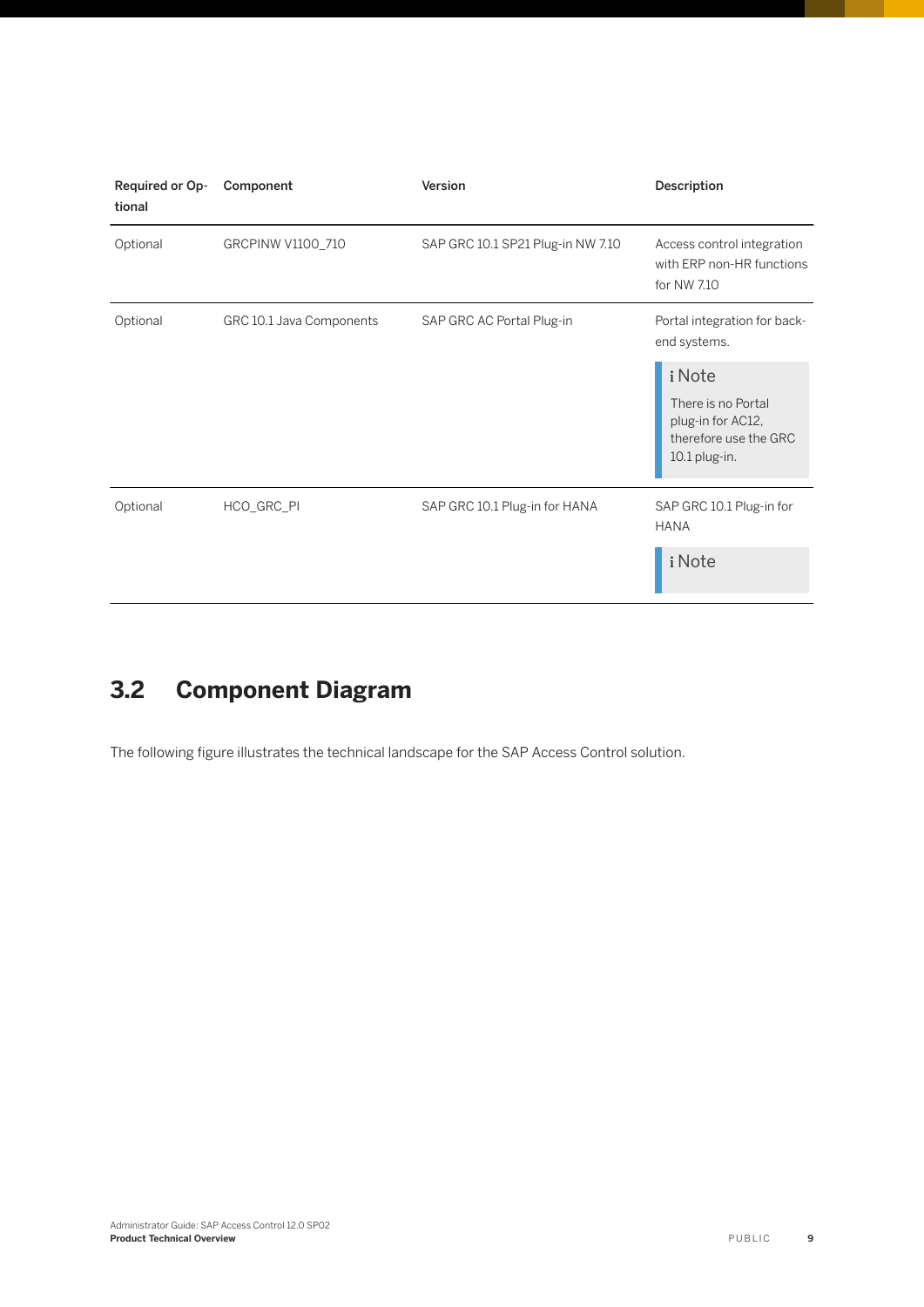<span id="page-8-0"></span>

| Required or Op-<br>tional | Component                | Version                           | Description                                                                                 |
|---------------------------|--------------------------|-----------------------------------|---------------------------------------------------------------------------------------------|
| Optional                  | GRCPINW V1100_710        | SAP GRC 10.1 SP21 Plug-in NW 7.10 | Access control integration<br>with ERP non-HR functions<br>for NW 7.10                      |
| Optional                  | GRC 10.1 Java Components | SAP GRC AC Portal Plug-in         | Portal integration for back-<br>end systems.                                                |
|                           |                          |                                   | i Note<br>There is no Portal<br>plug-in for AC12,<br>therefore use the GRC<br>10.1 plug-in. |
| Optional                  | HCO_GRC_PI               | SAP GRC 10.1 Plug-in for HANA     | SAP GRC 10.1 Plug-in for<br><b>HANA</b>                                                     |
|                           |                          |                                   | i Note                                                                                      |

## **3.2 Component Diagram**

The following figure illustrates the technical landscape for the SAP Access Control solution.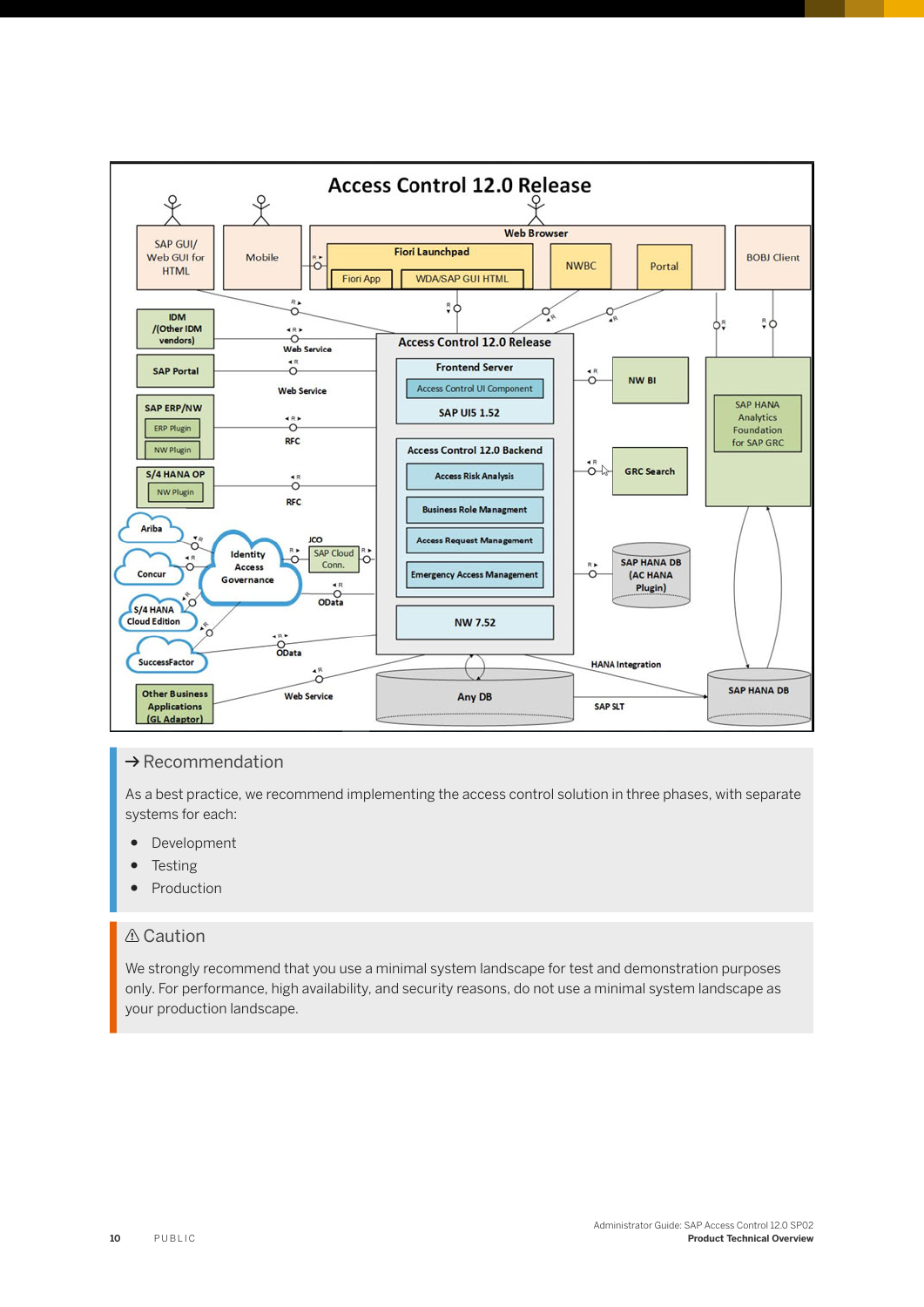

#### $\rightarrow$  Recommendation

As a best practice, we recommend implementing the access control solution in three phases, with separate systems for each:

- Development
- Testing
- Production

#### **△ Caution**

We strongly recommend that you use a minimal system landscape for test and demonstration purposes only. For performance, high availability, and security reasons, do not use a minimal system landscape as your production landscape.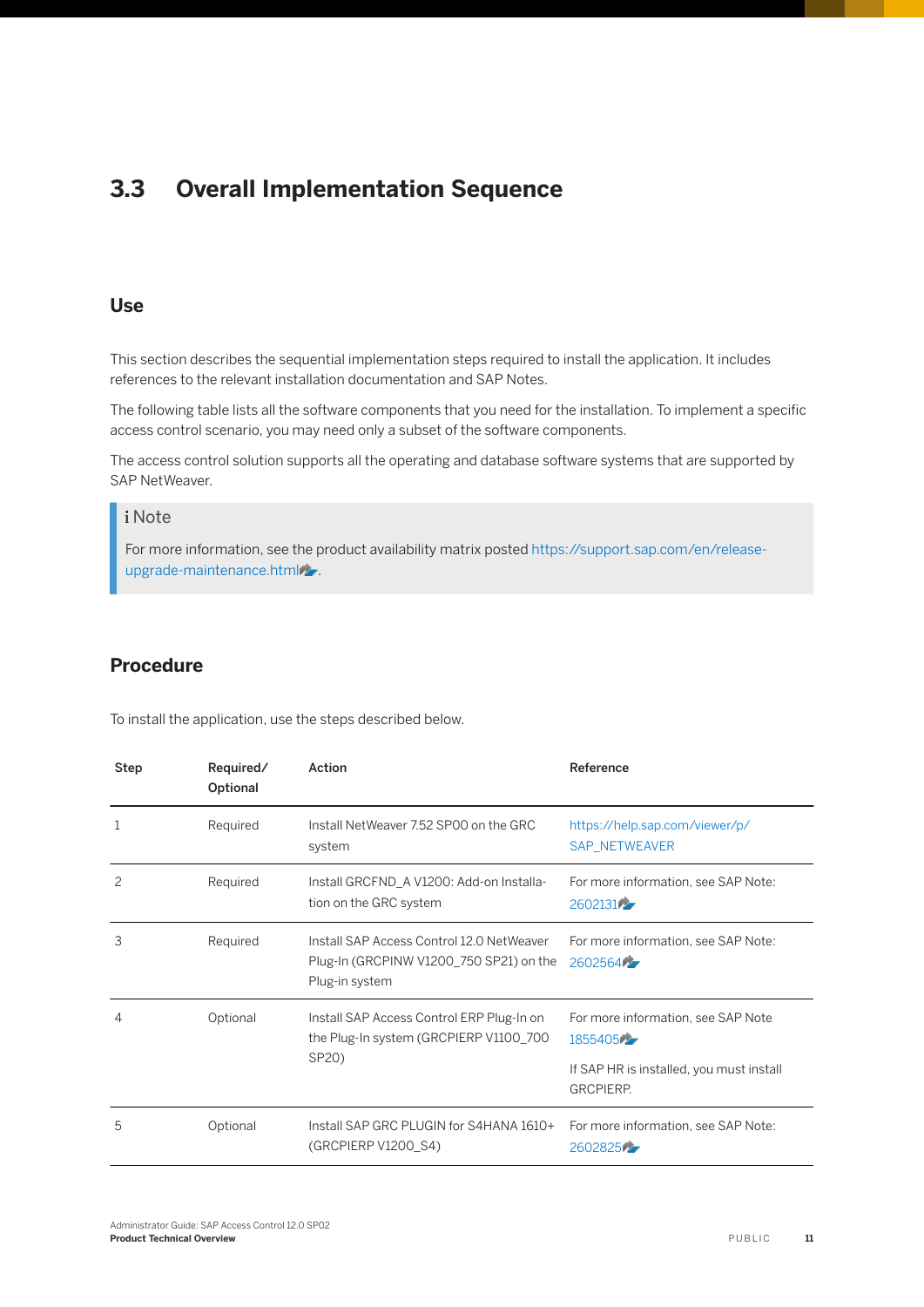## <span id="page-10-0"></span>**3.3 Overall Implementation Sequence**

#### **Use**

This section describes the sequential implementation steps required to install the application. It includes references to the relevant installation documentation and SAP Notes.

The following table lists all the software components that you need for the installation. To implement a specific access control scenario, you may need only a subset of the software components.

The access control solution supports all the operating and database software systems that are supported by SAP NetWeaver.

#### i Note

For more information, see the product availability matrix posted [https://support.sap.com/en/release](http://help.sap.com/disclaimer?site=https%3A%2F%2Fsupport.sap.com%2Fen%2Frelease-upgrade-maintenance.html)[upgrade-maintenance.html](http://help.sap.com/disclaimer?site=https%3A%2F%2Fsupport.sap.com%2Fen%2Frelease-upgrade-maintenance.html)

#### **Procedure**

To install the application, use the steps described below.

| Step                                                                                                          | Required/<br>Optional                                        | Action                                                                                                 | Reference                                              |
|---------------------------------------------------------------------------------------------------------------|--------------------------------------------------------------|--------------------------------------------------------------------------------------------------------|--------------------------------------------------------|
| 1                                                                                                             | Required                                                     | Install NetWeaver 7.52 SP00 on the GRC<br>system                                                       | https://help.sap.com/viewer/p/<br><b>SAP NETWEAVER</b> |
| $\overline{c}$                                                                                                | Required                                                     | Install GRCFND_A V1200: Add-on Installa-<br>tion on the GRC system                                     | For more information, see SAP Note:<br>260213175       |
| 3                                                                                                             | Required                                                     | Install SAP Access Control 12.0 NetWeaver<br>Plug-In (GRCPINW V1200_750 SP21) on the<br>Plug-in system | For more information, see SAP Note:<br>260256477       |
| Optional<br>Install SAP Access Control ERP Plug-In on<br>4<br>the Plug-In system (GRCPIERP V1100_700<br>SP20) |                                                              |                                                                                                        | For more information, see SAP Note<br>18554054         |
|                                                                                                               | If SAP HR is installed, you must install<br><b>GRCPIERP.</b> |                                                                                                        |                                                        |
| 5                                                                                                             | Optional                                                     | Install SAP GRC PLUGIN for S4HANA 1610+<br>(GRCPIERP V1200_S4)                                         | For more information, see SAP Note:<br>260282575       |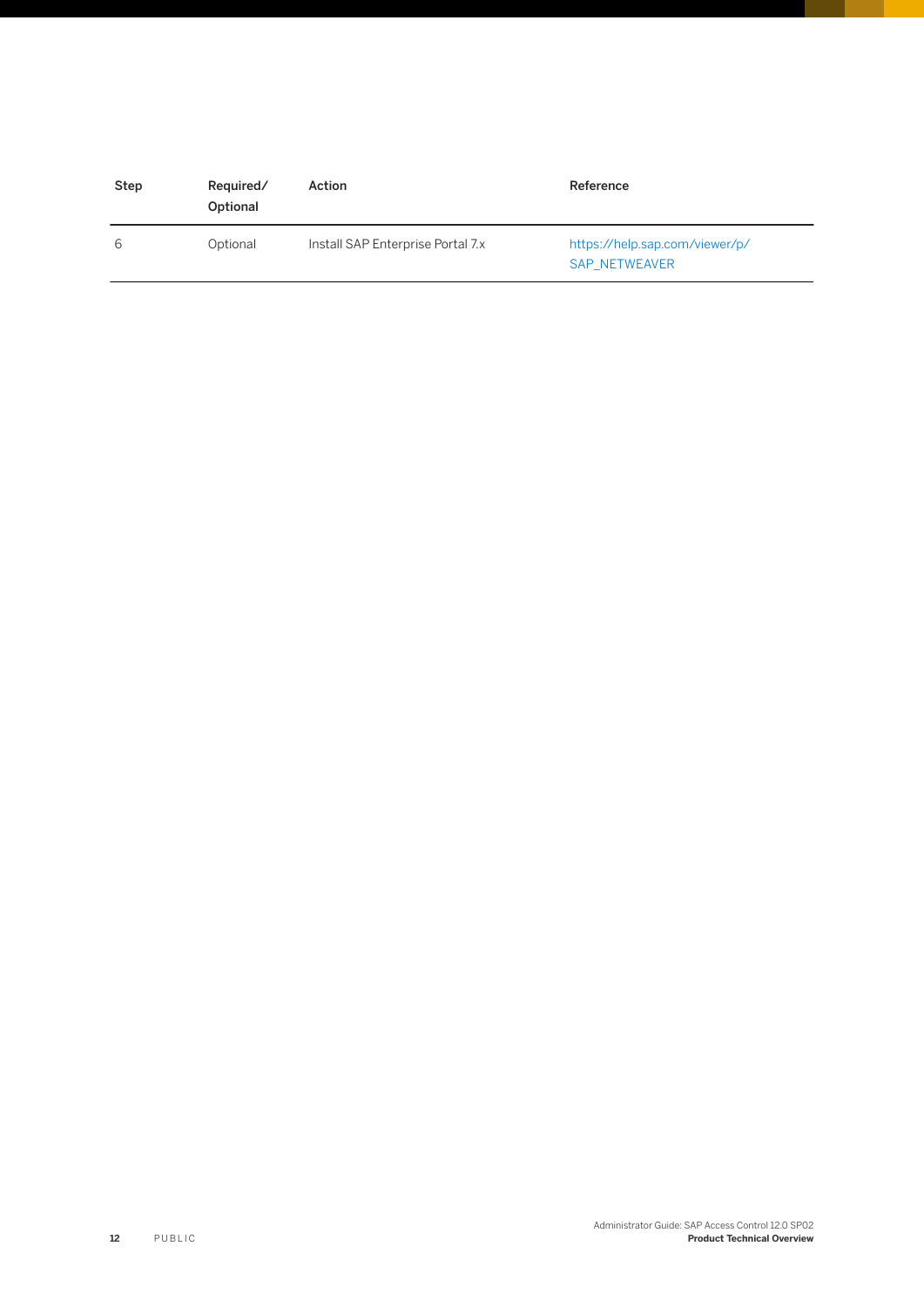| Step | Required/<br>Optional | Action                            | Reference                                              |
|------|-----------------------|-----------------------------------|--------------------------------------------------------|
| 6    | Optional              | Install SAP Enterprise Portal 7.x | https://help.sap.com/viewer/p/<br><b>SAP NETWEAVER</b> |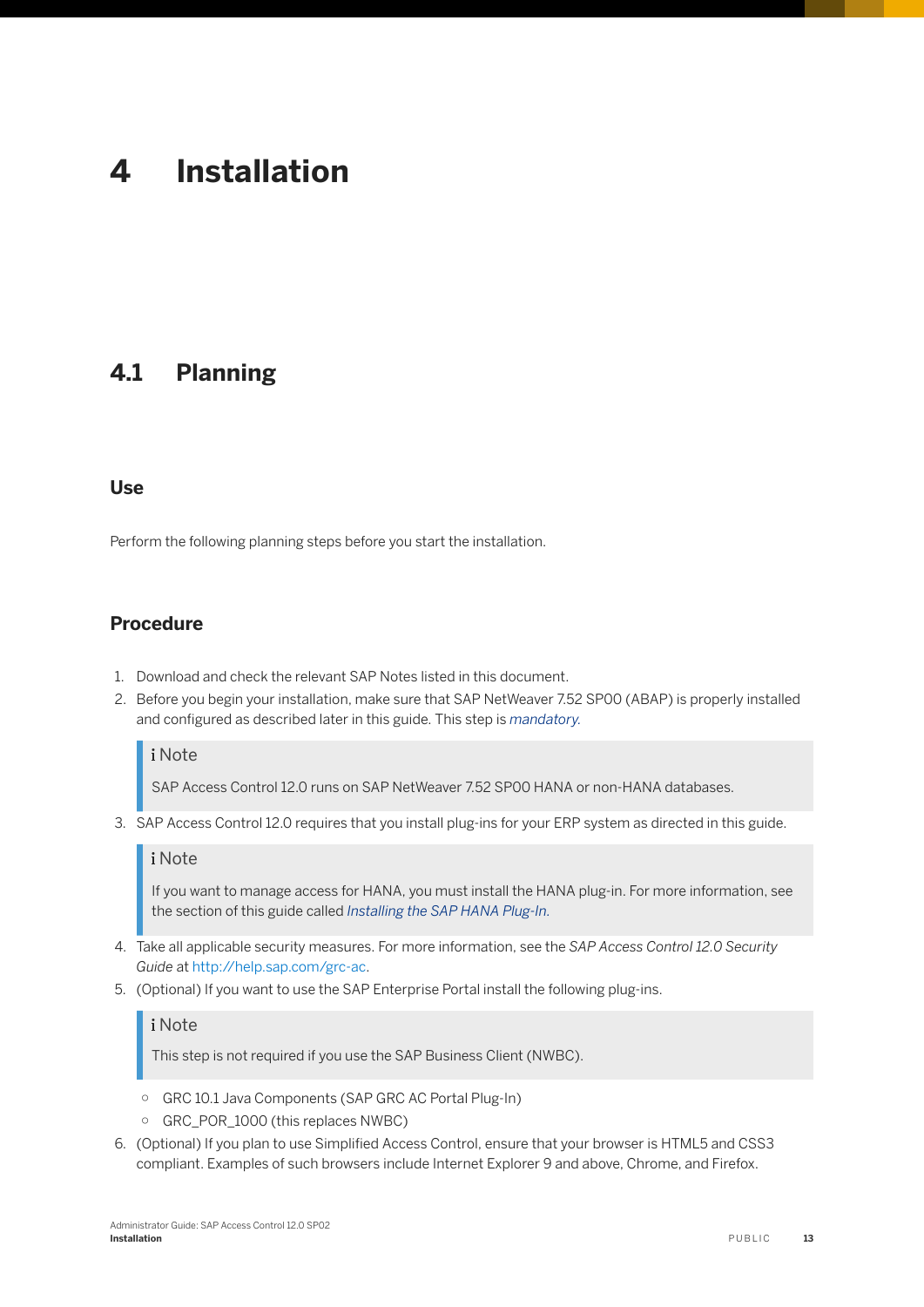# <span id="page-12-0"></span>**4 Installation**

### **4.1 Planning**

#### **Use**

Perform the following planning steps before you start the installation.

#### **Procedure**

- 1. Download and check the relevant SAP Notes listed in this document.
- 2. Before you begin your installation, make sure that SAP NetWeaver 7.52 SP00 (ABAP) is properly installed and configured as described later in this guide. This step is *mandatory.*

#### i Note

SAP Access Control 12.0 runs on SAP NetWeaver 7.52 SP00 HANA or non-HANA databases.

3. SAP Access Control 12.0 requires that you install plug-ins for your ERP system as directed in this guide.

#### i Note

If you want to manage access for HANA, you must install the HANA plug-in. For more information, see the section of this guide called *Installing the SAP HANA Plug-In.*

- 4. Take all applicable security measures. For more information, see the *SAP Access Control 12.0 Security Guide* at [http://help.sap.com/grc-ac.](http://help.sap.com/grc-ac)
- 5. (Optional) If you want to use the SAP Enterprise Portal install the following plug-ins.

#### i Note

This step is not required if you use the SAP Business Client (NWBC).

- GRC 10.1 Java Components (SAP GRC AC Portal Plug-In)
- GRC\_POR\_1000 (this replaces NWBC)
- 6. (Optional) If you plan to use Simplified Access Control, ensure that your browser is HTML5 and CSS3 compliant. Examples of such browsers include Internet Explorer 9 and above, Chrome, and Firefox.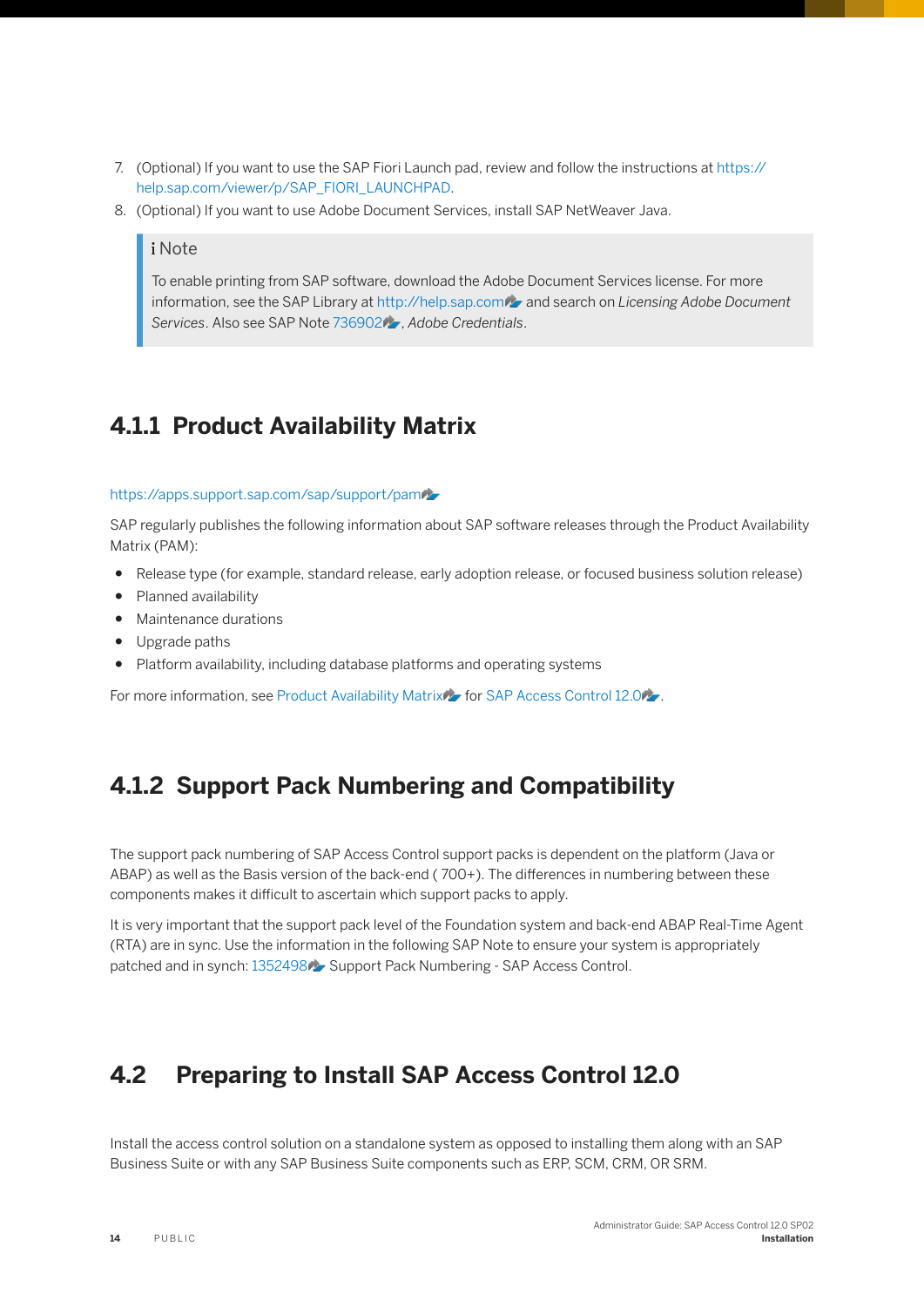- <span id="page-13-0"></span>7. (Optional) If you want to use the SAP Fiori Launch pad, review and follow the instructions at [https://](https://help.sap.com/viewer/p/SAP_FIORI_LAUNCHPAD) [help.sap.com/viewer/p/SAP\\_FIORI\\_LAUNCHPAD](https://help.sap.com/viewer/p/SAP_FIORI_LAUNCHPAD).
- 8. (Optional) If you want to use Adobe Document Services, install SAP NetWeaver Java.

#### i Note

To enable printing from SAP software, download the Adobe Document Services license. For more information, see the SAP Library at [http://help.sap.com](http://help.sap.com/disclaimer?site=http%3A%2F%2Fhelp.sap.com) and search on *Licensing Adobe Document Services*. Also see SAP Note [736902](http://help.sap.com/disclaimer?site=https://launchpad.support.sap.com/#/notes/736902) , *Adobe Credentials*.

### **4.1.1 Product Availability Matrix**

#### [https://apps.support.sap.com/sap/support/pam](http://help.sap.com/disclaimer?site=https%3A%2F%2Fapps.support.sap.com%2Fsap%2Fsupport%2Fpam)

SAP regularly publishes the following information about SAP software releases through the Product Availability Matrix (PAM):

- Release type (for example, standard release, early adoption release, or focused business solution release)
- Planned availability
- Maintenance durations
- Upgrade paths
- Platform availability, including database platforms and operating systems

For more information, see [Product Availability Matrix](http://help.sap.com/disclaimer?site=https%3A%2F%2Fapps.support.sap.com%2Fsap%2Fsupport%2Fpam) is for [SAP Access Control 12.0](http://help.sap.com/disclaimer?site=https%3A%2F%2Fapps.support.sap.com%2Fsap%2Fsupport%2Fpam%3Fhash%3Dpvnr%253D73555000100900002288%2526pt%253Dg%25257Cr)

### **4.1.2 Support Pack Numbering and Compatibility**

The support pack numbering of SAP Access Control support packs is dependent on the platform (Java or ABAP) as well as the Basis version of the back-end ( 700+). The differences in numbering between these components makes it difficult to ascertain which support packs to apply.

It is very important that the support pack level of the Foundation system and back-end ABAP Real-Time Agent (RTA) are in sync. Use the information in the following SAP Note to ensure your system is appropriately patched and in synch: [1352498](http://help.sap.com/disclaimer?site=https://launchpad.support.sap.com/#/notes/1352498) Support Pack Numbering - SAP Access Control.

### **4.2 Preparing to Install SAP Access Control 12.0**

Install the access control solution on a standalone system as opposed to installing them along with an SAP Business Suite or with any SAP Business Suite components such as ERP, SCM, CRM, OR SRM.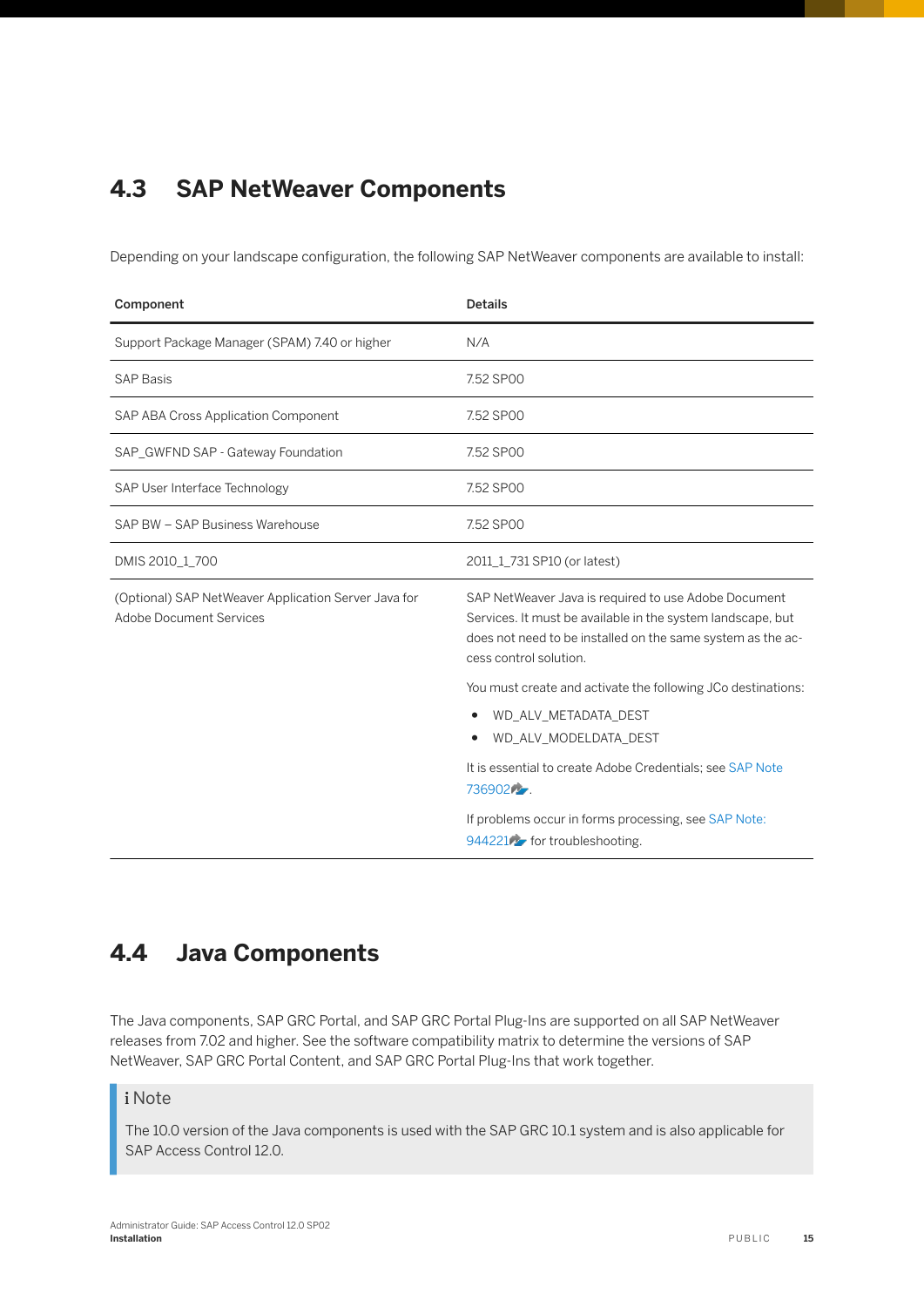## <span id="page-14-0"></span>**4.3 SAP NetWeaver Components**

Depending on your landscape configuration, the following SAP NetWeaver components are available to install:

| Component                                                                              | <b>Details</b>                                                                                                                                                                                               |
|----------------------------------------------------------------------------------------|--------------------------------------------------------------------------------------------------------------------------------------------------------------------------------------------------------------|
| Support Package Manager (SPAM) 7.40 or higher                                          | N/A                                                                                                                                                                                                          |
| <b>SAP Basis</b>                                                                       | 7.52 SP00                                                                                                                                                                                                    |
| SAP ABA Cross Application Component                                                    | 7.52 SP00                                                                                                                                                                                                    |
| SAP_GWFND SAP - Gateway Foundation                                                     | 7.52 SP00                                                                                                                                                                                                    |
| SAP User Interface Technology                                                          | 7.52 SP00                                                                                                                                                                                                    |
| SAP BW - SAP Business Warehouse                                                        | 7.52 SP00                                                                                                                                                                                                    |
| DMIS 2010_1_700                                                                        | 2011 1 731 SP10 (or latest)                                                                                                                                                                                  |
| (Optional) SAP NetWeaver Application Server Java for<br><b>Adobe Document Services</b> | SAP NetWeaver Java is required to use Adobe Document<br>Services. It must be available in the system landscape, but<br>does not need to be installed on the same system as the ac-<br>cess control solution. |
|                                                                                        | You must create and activate the following JCo destinations:                                                                                                                                                 |
|                                                                                        | WD_ALV_METADATA_DEST<br>٠<br>WD_ALV_MODELDATA_DEST                                                                                                                                                           |
|                                                                                        | It is essential to create Adobe Credentials: see SAP Note<br>736902                                                                                                                                          |
|                                                                                        | If problems occur in forms processing, see SAP Note:<br>944221 for troubleshooting.                                                                                                                          |

## **4.4 Java Components**

The Java components, SAP GRC Portal, and SAP GRC Portal Plug-Ins are supported on all SAP NetWeaver releases from 7.02 and higher. See the software compatibility matrix to determine the versions of SAP NetWeaver, SAP GRC Portal Content, and SAP GRC Portal Plug-Ins that work together.

#### i Note

The 10.0 version of the Java components is used with the SAP GRC 10.1 system and is also applicable for SAP Access Control 12.0.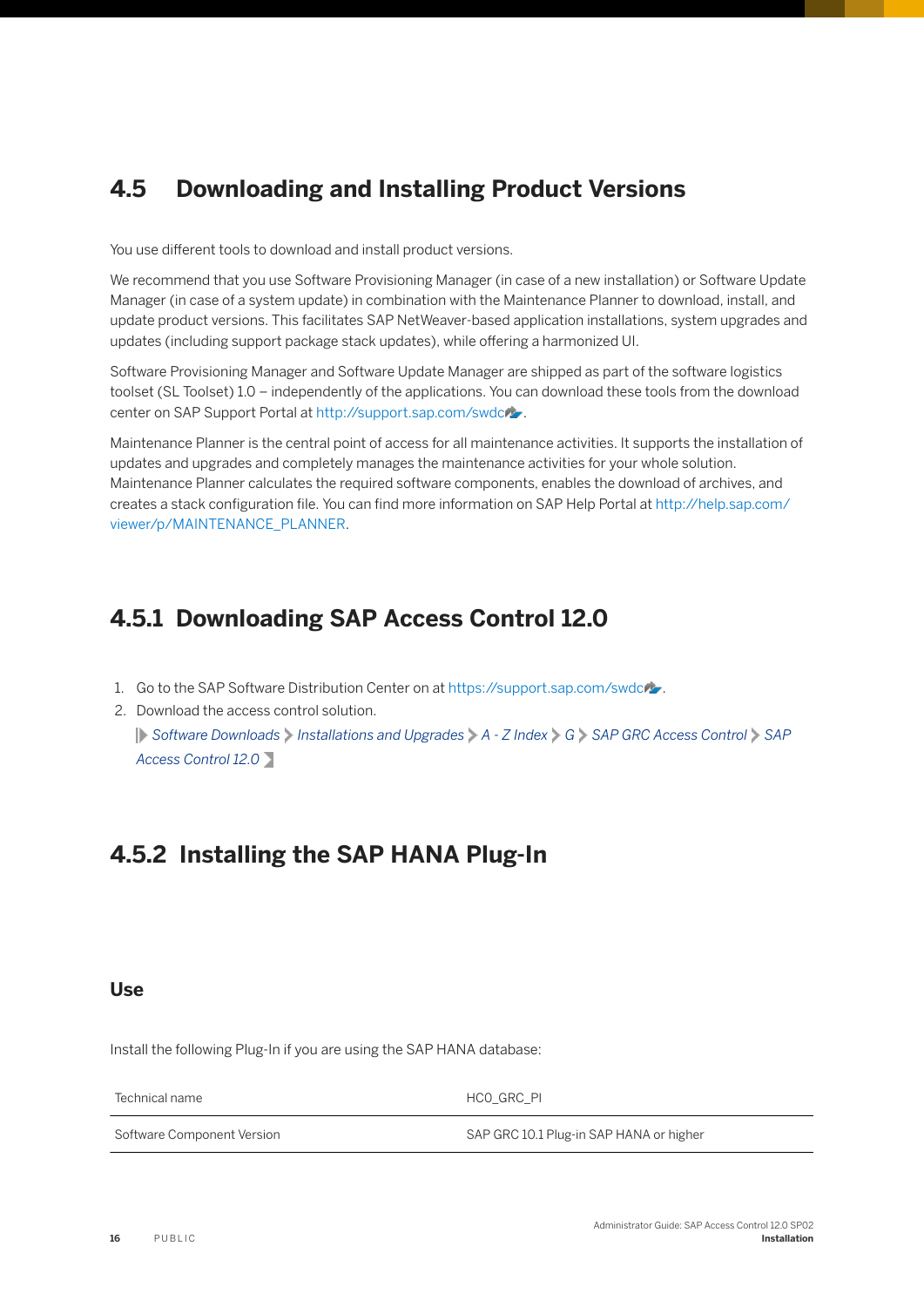## <span id="page-15-0"></span>**4.5 Downloading and Installing Product Versions**

You use different tools to download and install product versions.

We recommend that you use Software Provisioning Manager (in case of a new installation) or Software Update Manager (in case of a system update) in combination with the Maintenance Planner to download, install, and update product versions. This facilitates SAP NetWeaver-based application installations, system upgrades and updates (including support package stack updates), while offering a harmonized UI.

Software Provisioning Manager and Software Update Manager are shipped as part of the software logistics toolset (SL Toolset) 1.0 – independently of the applications. You can download these tools from the download center on SAP Support Portal at [http://support.sap.com/swdc](http://help.sap.com/disclaimer?site=http%3A%2F%2Fsupport.sap.com%2Fswdc).

Maintenance Planner is the central point of access for all maintenance activities. It supports the installation of updates and upgrades and completely manages the maintenance activities for your whole solution. Maintenance Planner calculates the required software components, enables the download of archives, and creates a stack configuration file. You can find more information on SAP Help Portal at [http://help.sap.com/](http://help.sap.com/viewer/p/MAINTENANCE_PLANNER) [viewer/p/MAINTENANCE\\_PLANNER.](http://help.sap.com/viewer/p/MAINTENANCE_PLANNER)

## **4.5.1 Downloading SAP Access Control 12.0**

- 1. Go to the SAP Software Distribution Center on at [https://support.sap.com/swdc](http://help.sap.com/disclaimer?site=https%3A%2F%2Fsupport.sap.com%2Fswdc)/.
- 2. Download the access control solution. *Software Downloads Installations and Upgrades A - Z Index G SAP GRC Access Control SAP Access Control 12.0*

## **4.5.2 Installing the SAP HANA Plug-In**

#### **Use**

Install the following Plug-In if you are using the SAP HANA database:

Technical name **HCO** GRC\_PI

Software Component Version SAP GRC 10.1 Plug-in SAP HANA or higher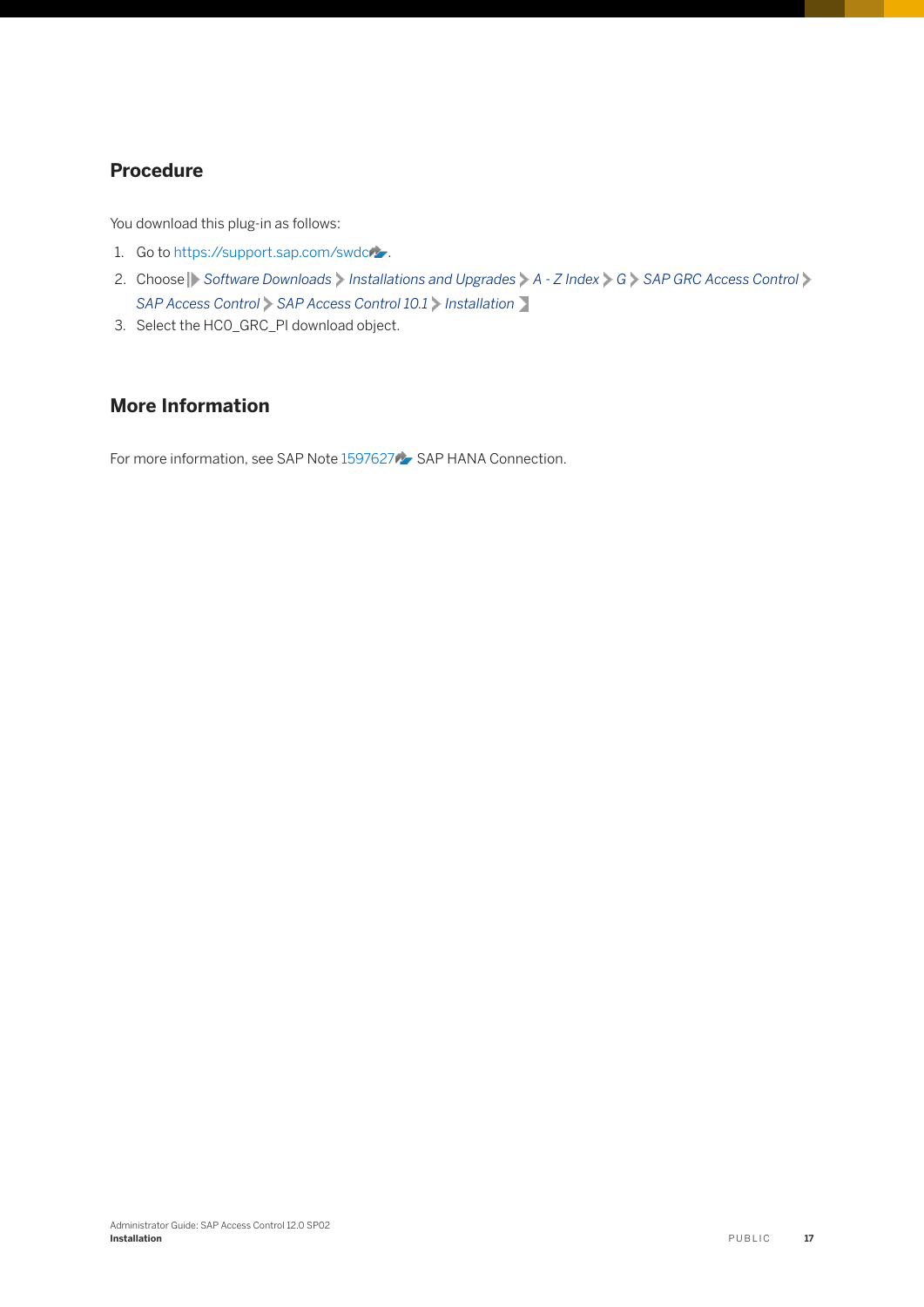#### **Procedure**

You download this plug-in as follows:

- 1. Go to [https://support.sap.com/swdc](http://help.sap.com/disclaimer?site=https%3A%2F%2Fsupport.sap.com%2Fswdc) ...
- 2. Choose Software Downloads Installations and Upgrades  $A Z$  Index  $G$  SAP GRC Access Control *SAP Access Control SAP Access Control 10.1 Installation*
- 3. Select the HC0\_GRC\_PI download object.

#### **More Information**

For more information, see SAP Note [1597627](http://help.sap.com/disclaimer?site=https://launchpad.support.sap.com/#/notes/1597627) SAP HANA Connection.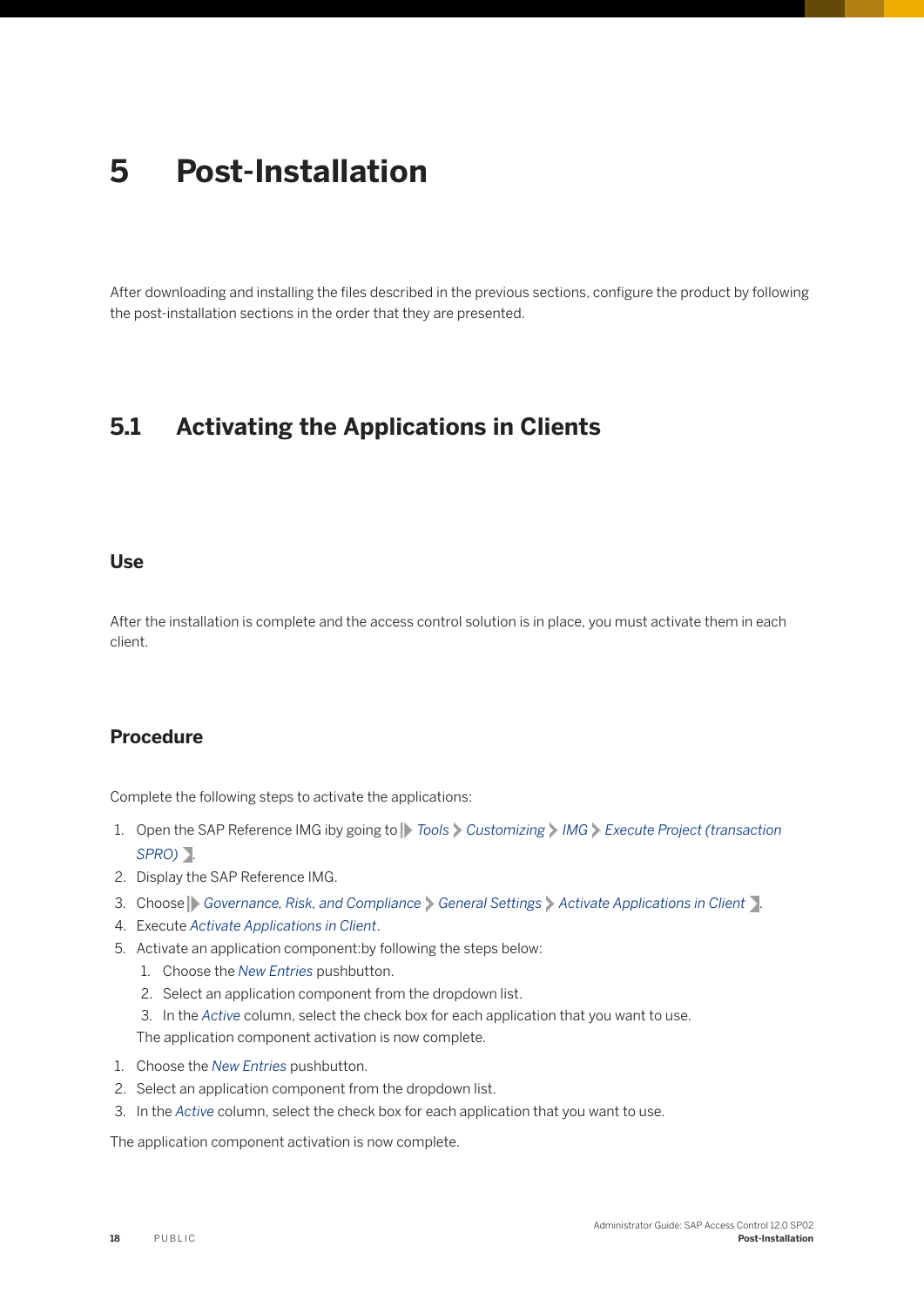# <span id="page-17-0"></span>**5 Post-Installation**

After downloading and installing the files described in the previous sections, configure the product by following the post-installation sections in the order that they are presented.

## **5.1 Activating the Applications in Clients**

#### **Use**

After the installation is complete and the access control solution is in place, you must activate them in each client.

#### **Procedure**

Complete the following steps to activate the applications:

- 1. Open the SAP Reference IMG iby going to *Tools Customizing IMG Execute Project (transaction SPRO)* .
- 2. Display the SAP Reference IMG.
- 3. Choose **Governance, Risk, and Compliance** General Settings Activate Applications in Client 1.
- 4. Execute *Activate Applications in Client*.
- 5. Activate an application component:by following the steps below:
	- 1. Choose the *New Entries* pushbutton.
	- 2. Select an application component from the dropdown list.
	- 3. In the *Active* column, select the check box for each application that you want to use.

The application component activation is now complete.

- 1. Choose the *New Entries* pushbutton.
- 2. Select an application component from the dropdown list.
- 3. In the *Active* column, select the check box for each application that you want to use.

The application component activation is now complete.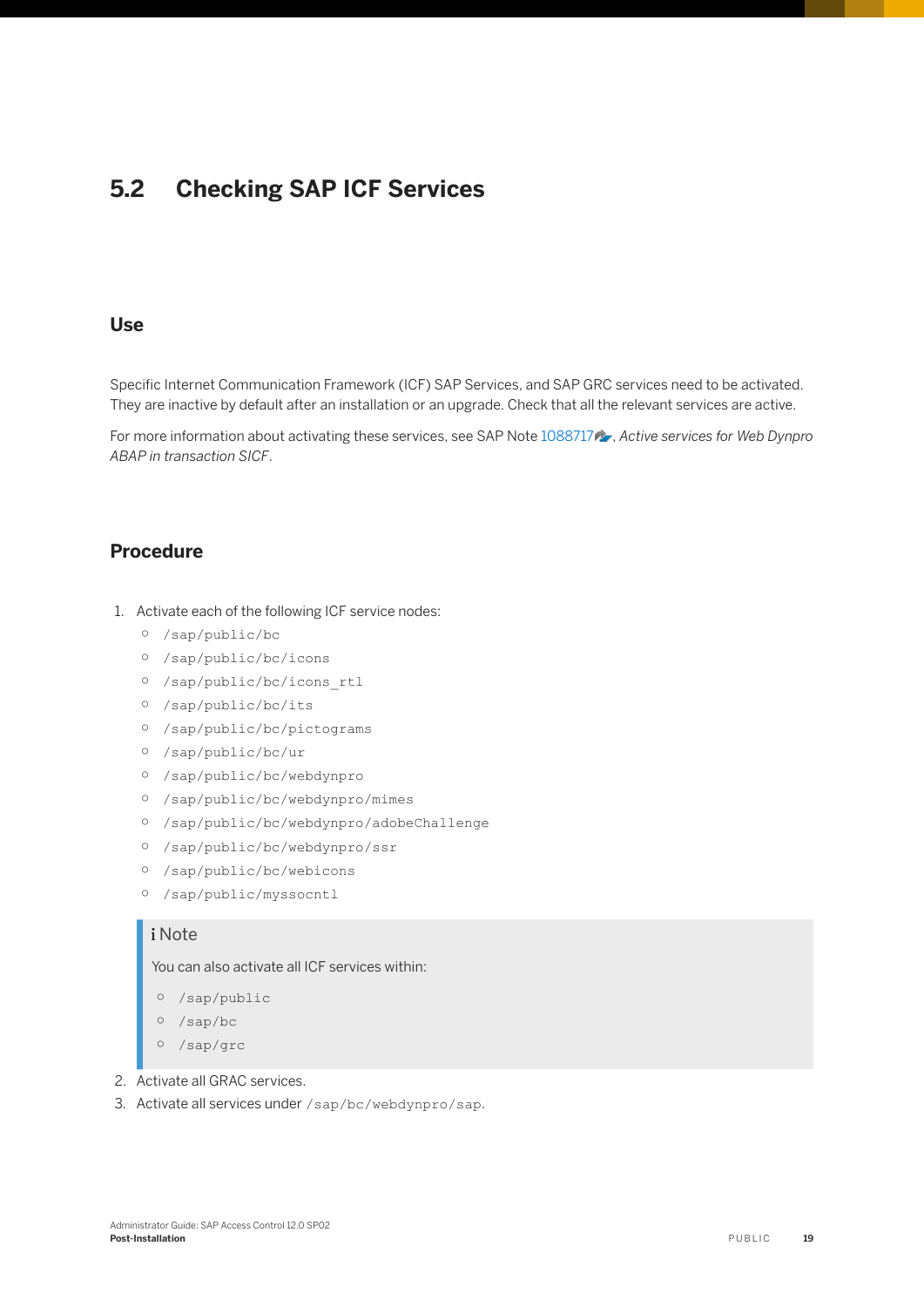## <span id="page-18-0"></span>**5.2 Checking SAP ICF Services**

#### **Use**

Specific Internet Communication Framework (ICF) SAP Services, and SAP GRC services need to be activated. They are inactive by default after an installation or an upgrade. Check that all the relevant services are active.

For more information about activating these services, see SAP Note [1088717](http://help.sap.com/disclaimer?site=https://launchpad.support.sap.com/#/notes/1088717)  $\rightarrow$  *Active services for Web Dynpro ABAP in transaction SICF*.

#### **Procedure**

- 1. Activate each of the following ICF service nodes:
	- /sap/public/bc
	- /sap/public/bc/icons
	- /sap/public/bc/icons\_rtl
	- /sap/public/bc/its
	- /sap/public/bc/pictograms
	- /sap/public/bc/ur
	- /sap/public/bc/webdynpro
	- /sap/public/bc/webdynpro/mimes
	- /sap/public/bc/webdynpro/adobeChallenge
	- /sap/public/bc/webdynpro/ssr
	- /sap/public/bc/webicons
	- /sap/public/myssocntl

#### i Note

You can also activate all ICF services within:

- /sap/public
- /sap/bc
- /sap/grc
- 2. Activate all GRAC services.
- 3. Activate all services under /sap/bc/webdynpro/sap.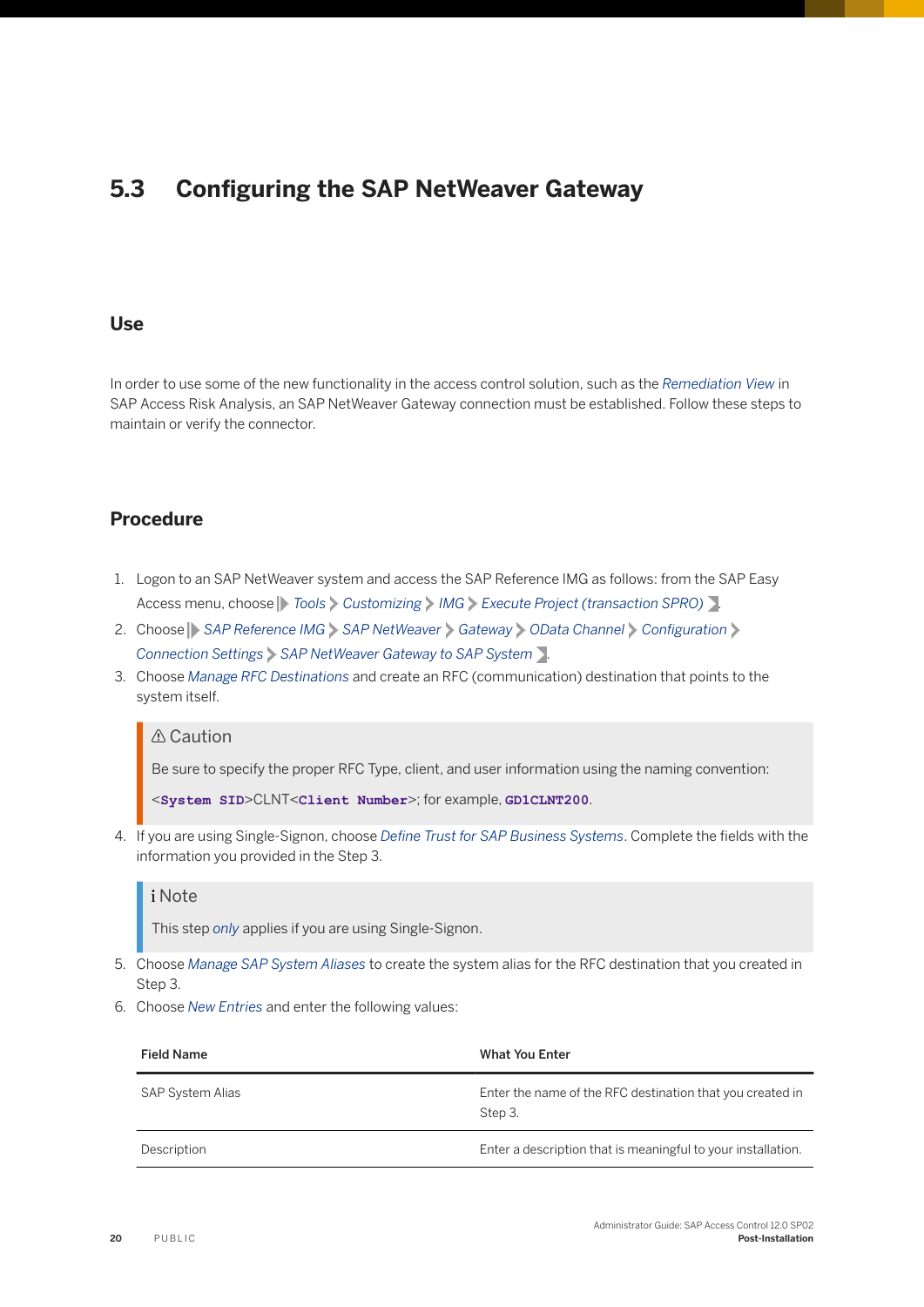## <span id="page-19-0"></span>**5.3 Configuring the SAP NetWeaver Gateway**

#### **Use**

In order to use some of the new functionality in the access control solution, such as the *Remediation View* in SAP Access Risk Analysis, an SAP NetWeaver Gateway connection must be established. Follow these steps to maintain or verify the connector.

#### **Procedure**

- 1. Logon to an SAP NetWeaver system and access the SAP Reference IMG as follows: from the SAP Easy Access menu, choose *Tools Customizing IMG Execute Project (transaction SPRO)* .
- 2. Choose **SAP Reference IMG** > SAP NetWeaver > Gateway > OData Channel > Configuration *Connection Settings SAP NetWeaver Gateway to SAP System* .
- 3. Choose *Manage RFC Destinations* and create an RFC (communication) destination that points to the system itself.

#### A Caution

Be sure to specify the proper RFC Type, client, and user information using the naming convention:

<**System SID**>CLNT<**Client Number**>; for example, **GD1CLNT200**.

4. If you are using Single-Signon, choose *Define Trust for SAP Business Systems*. Complete the fields with the information you provided in the Step 3.

#### i Note

This step *only* applies if you are using Single-Signon.

- 5. Choose *Manage SAP System Aliases* to create the system alias for the RFC destination that you created in Step 3.
- 6. Choose *New Entries* and enter the following values:

| <b>Field Name</b>       | <b>What You Enter</b>                                                |
|-------------------------|----------------------------------------------------------------------|
| <b>SAP System Alias</b> | Enter the name of the RFC destination that you created in<br>Step 3. |
| Description             | Enter a description that is meaningful to your installation.         |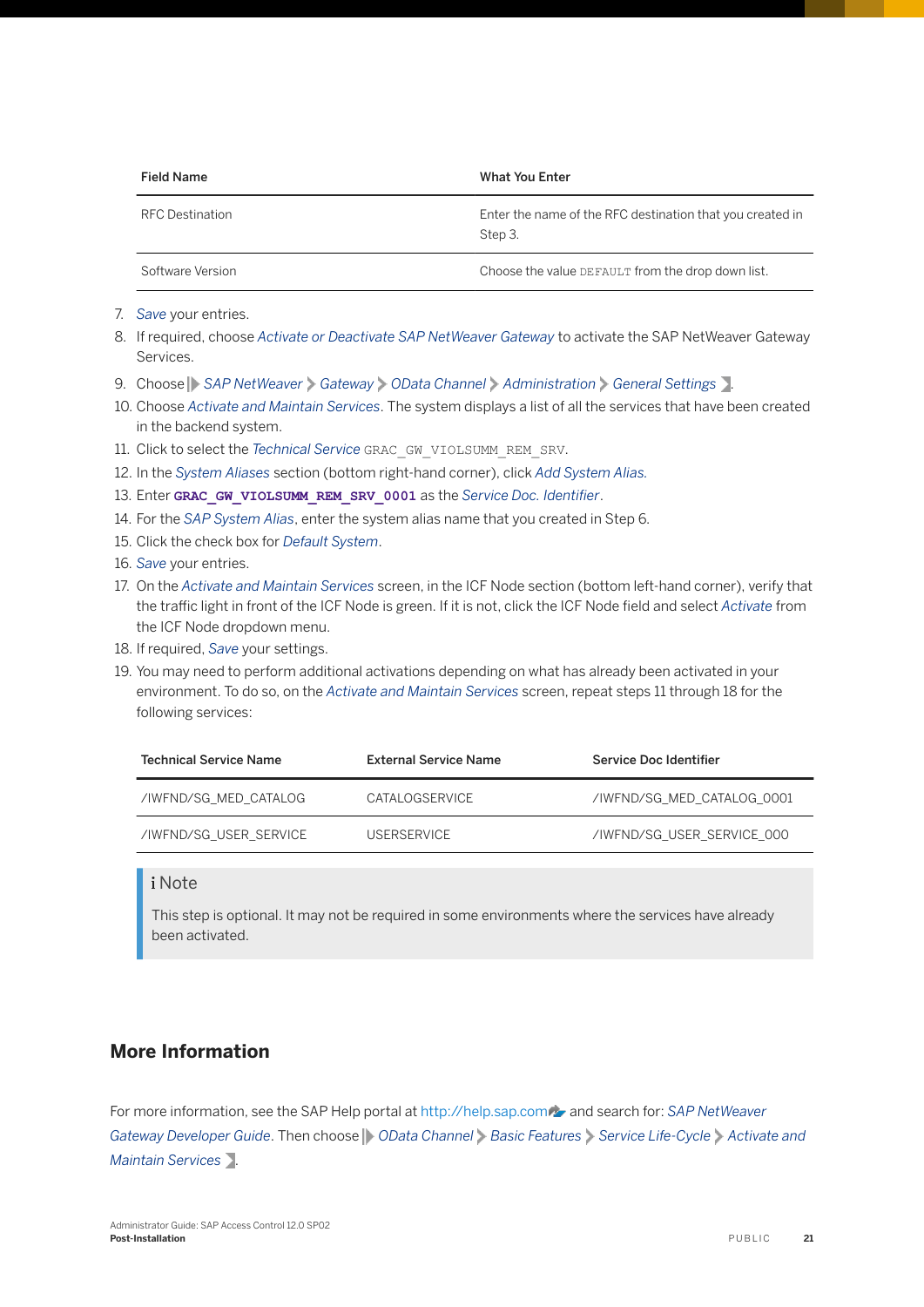| <b>Field Name</b>      | <b>What You Enter</b>                                                |
|------------------------|----------------------------------------------------------------------|
| <b>RFC Destination</b> | Enter the name of the RFC destination that you created in<br>Step 3. |
| Software Version       | Choose the value DEFAULT from the drop down list.                    |

- 7. *Save* your entries.
- 8. If required, choose *Activate or Deactivate SAP NetWeaver Gateway* to activate the SAP NetWeaver Gateway Services.
- 9. Choose **SAP NetWeaver** Gateway **OData Channel** Administration General Settings .
- 10. Choose *Activate and Maintain Services*. The system displays a list of all the services that have been created in the backend system.
- 11. Click to select the *Technical Service* GRAC\_GW\_VIOLSUMM\_REM\_SRV.
- 12. In the *System Aliases* section (bottom right-hand corner), click *Add System Alias.*
- 13. Enter GRAC GW VIOLSUMM REM SRV 0001 as the Service Doc. Identifier.
- 14. For the *SAP System Alias*, enter the system alias name that you created in Step 6.
- 15. Click the check box for *Default System*.
- 16. *Save* your entries.
- 17. On the *Activate and Maintain Services* screen, in the ICF Node section (bottom left-hand corner), verify that the traffic light in front of the ICF Node is green. If it is not, click the ICF Node field and select *Activate* from the ICF Node dropdown menu.
- 18. If required, *Save* your settings.
- 19. You may need to perform additional activations depending on what has already been activated in your environment. To do so, on the *Activate and Maintain Services* screen, repeat steps 11 through 18 for the following services:

| <b>Technical Service Name</b> | <b>External Service Name</b> | Service Doc Identifier     |
|-------------------------------|------------------------------|----------------------------|
| /IWFND/SG MED CATALOG         | CATALOGSERVICE               | /IWFND/SG MED CATALOG 0001 |
| /IWFND/SG USER SERVICE        | <b>USERSERVICE</b>           | /IWFND/SG USER SERVICE 000 |

#### i Note

This step is optional. It may not be required in some environments where the services have already been activated.

#### **More Information**

For more information, see the SAP Help portal at [http://help.sap.com](http://help.sap.com/disclaimer?site=http%3A%2F%2Fhelp.sap.com) and search for: *SAP NetWeaver Gateway Developer Guide*. Then choose *OData Channel Basic Features Service Life-Cycle Activate and Maintain Services* .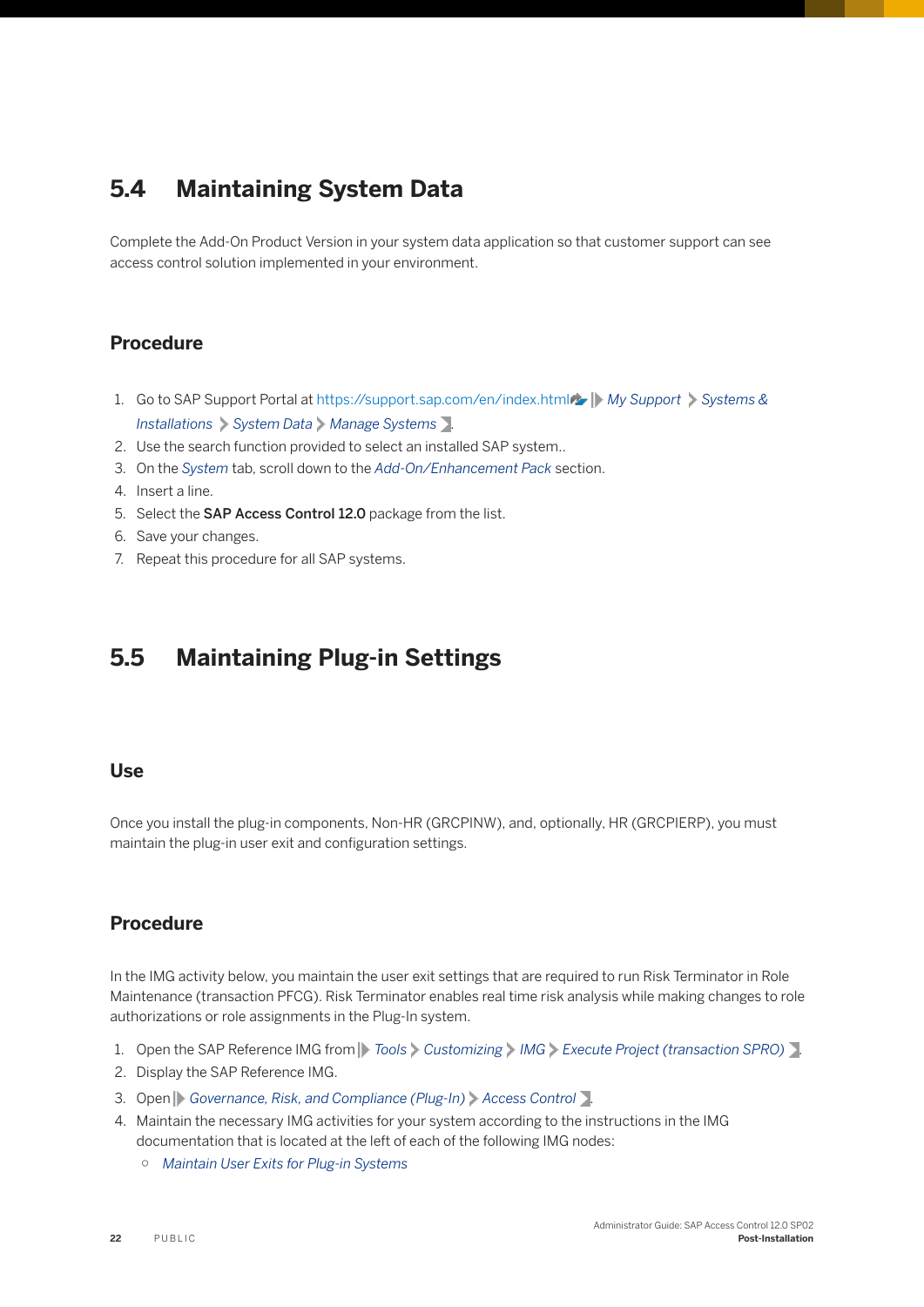## <span id="page-21-0"></span>**5.4 Maintaining System Data**

Complete the Add-On Product Version in your system data application so that customer support can see access control solution implemented in your environment.

#### **Procedure**

- 1. Go to SAP Support Portal at [https://support.sap.com/en/index.html](http://help.sap.com/disclaimer?site=https%3A%2F%2Fsupport.sap.com%2Fen%2Findex.html) **//** My Support Systems & *Installations System Data Manage Systems* .
- 2. Use the search function provided to select an installed SAP system..
- 3. On the *System* tab, scroll down to the *Add-On/Enhancement Pack* section.
- 4. Insert a line.
- 5. Select the SAP Access Control 12.0 package from the list.
- 6. Save your changes.
- 7. Repeat this procedure for all SAP systems.

## **5.5 Maintaining Plug-in Settings**

#### **Use**

Once you install the plug-in components, Non-HR (GRCPINW), and, optionally, HR (GRCPIERP), you must maintain the plug-in user exit and configuration settings.

#### **Procedure**

In the IMG activity below, you maintain the user exit settings that are required to run Risk Terminator in Role Maintenance (transaction PFCG). Risk Terminator enables real time risk analysis while making changes to role authorizations or role assignments in the Plug-In system.

- 1. Open the SAP Reference IMG from *Tools Customizing IMG Execute Project (transaction SPRO)* .
- 2. Display the SAP Reference IMG.
- 3. Open *Governance, Risk, and Compliance (Plug-In) Access Control* .
- 4. Maintain the necessary IMG activities for your system according to the instructions in the IMG documentation that is located at the left of each of the following IMG nodes:
	- *Maintain User Exits for Plug-in Systems*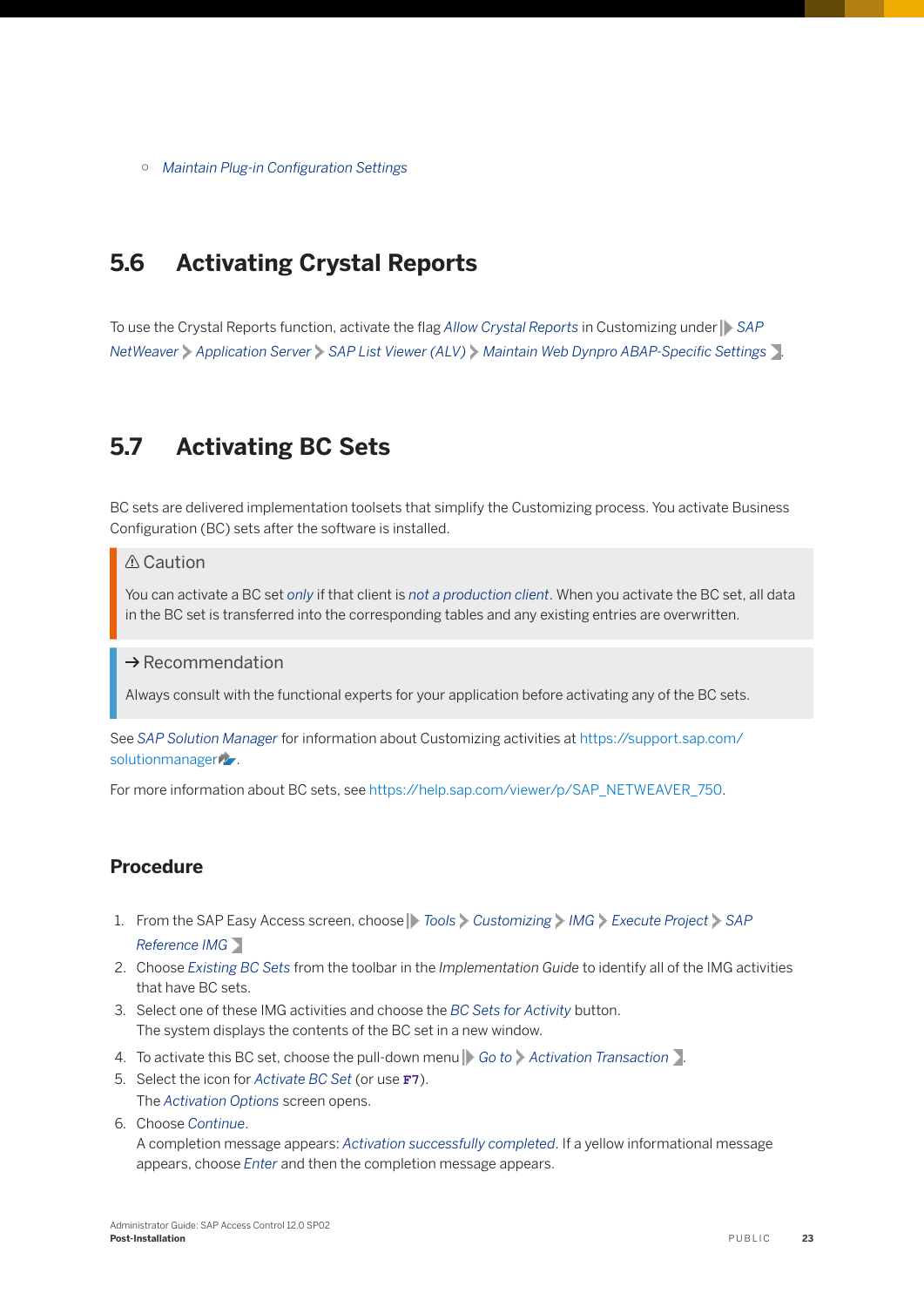<span id="page-22-0"></span>o Maintain Plug-in Configuration Settings

## **5.6 Activating Crystal Reports**

To use the Crystal Reports function, activate the flag *Allow Crystal Reports* in Customizing under *SAP NetWeaver* **Application Server** > SAP List Viewer (ALV) > Maintain Web Dynpro ABAP-Specific Settings .

## **5.7 Activating BC Sets**

BC sets are delivered implementation toolsets that simplify the Customizing process. You activate Business Configuration (BC) sets after the software is installed.

#### **∆ Caution**

You can activate a BC set *only* if that client is *not a production client*. When you activate the BC set, all data in the BC set is transferred into the corresponding tables and any existing entries are overwritten.

#### $\rightarrow$  Recommendation

Always consult with the functional experts for your application before activating any of the BC sets.

See *SAP Solution Manager* for information about Customizing activities at [https://support.sap.com/](http://help.sap.com/disclaimer?site=https%3A%2F%2Fsupport.sap.com%2Fsolutionmanager) [solutionmanager](http://help.sap.com/disclaimer?site=https%3A%2F%2Fsupport.sap.com%2Fsolutionmanager).

For more information about BC sets, see [https://help.sap.com/viewer/p/SAP\\_NETWEAVER\\_750](https://help.sap.com/viewer/p/SAP_NETWEAVER_750).

#### **Procedure**

- 1. From the SAP Easy Access screen, choose *Tools Customizing IMG Execute Project SAP Reference IMG*
- 2. Choose *Existing BC Sets* from the toolbar in the *Implementation Guide* to identify all of the IMG activities that have BC sets.
- 3. Select one of these IMG activities and choose the *BC Sets for Activity* button. The system displays the contents of the BC set in a new window.
- 4. To activate this BC set, choose the pull-down menu *Go to Activation Transaction* .
- 5. Select the icon for *Activate BC Set* (or use **F7**). The *Activation Options* screen opens.
- 6. Choose *Continue*.

A completion message appears: *Activation successfully completed*. If a yellow informational message appears, choose *Enter* and then the completion message appears.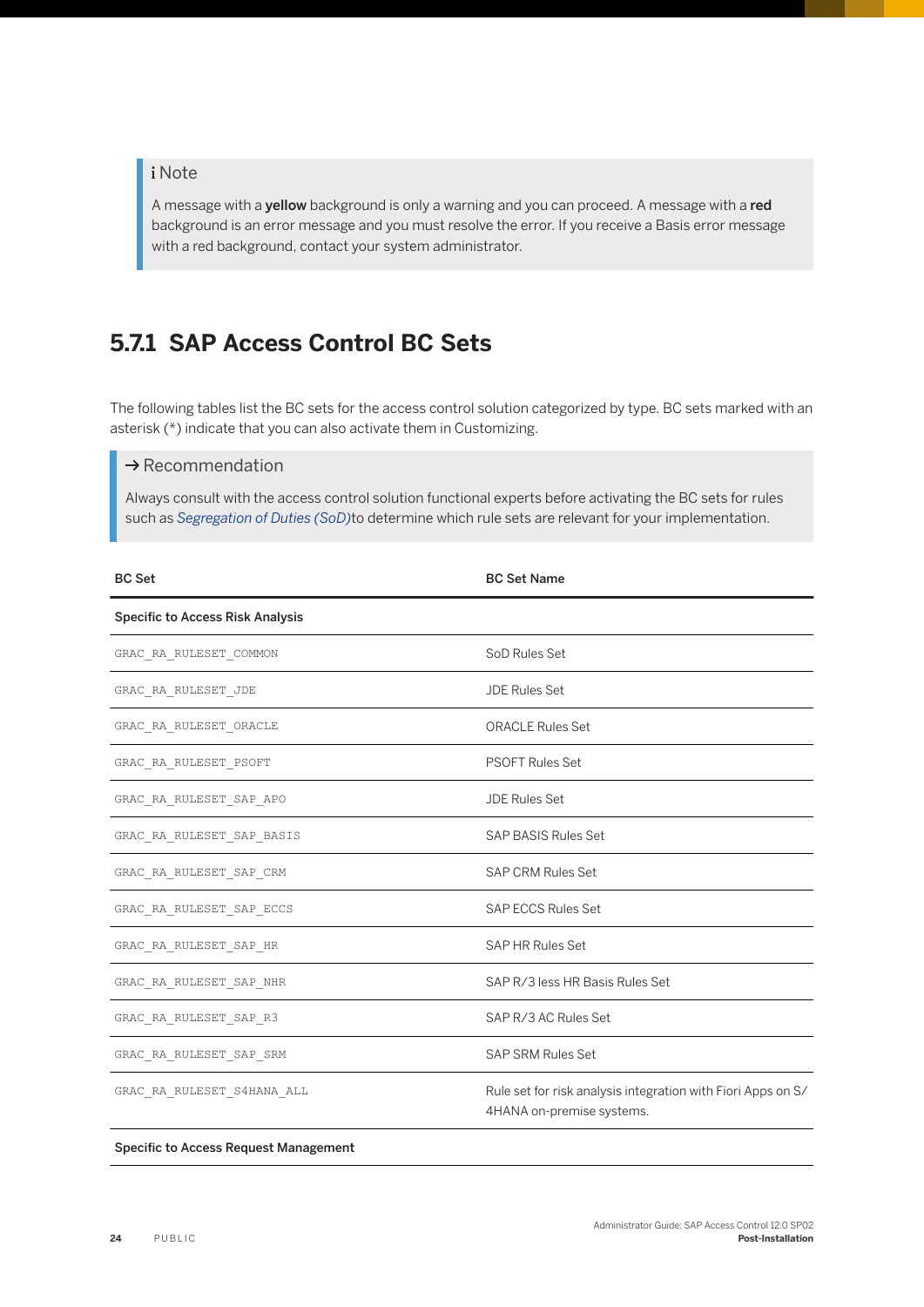#### <span id="page-23-0"></span>i Note

A message with a yellow background is only a warning and you can proceed. A message with a red background is an error message and you must resolve the error. If you receive a Basis error message with a red background, contact your system administrator.

## **5.7.1 SAP Access Control BC Sets**

The following tables list the BC sets for the access control solution categorized by type. BC sets marked with an asterisk (\*) indicate that you can also activate them in Customizing.

#### $\rightarrow$  Recommendation

Always consult with the access control solution functional experts before activating the BC sets for rules such as *Segregation of Duties (SoD)*to determine which rule sets are relevant for your implementation.

| <b>BC Set</b>                           | <b>BC Set Name</b>                                                                        |
|-----------------------------------------|-------------------------------------------------------------------------------------------|
| <b>Specific to Access Risk Analysis</b> |                                                                                           |
| GRAC_RA_RULESET_COMMON                  | SoD Rules Set                                                                             |
| GRAC RA RULESET JDE                     | <b>JDE Rules Set</b>                                                                      |
| GRAC_RA_RULESET_ORACLE                  | <b>ORACLE Rules Set</b>                                                                   |
| GRAC_RA_RULESET_PSOFT                   | <b>PSOFT Rules Set</b>                                                                    |
| GRAC RA RULESET SAP APO                 | <b>JDE Rules Set</b>                                                                      |
| GRAC RA RULESET SAP BASIS               | <b>SAP BASIS Rules Set</b>                                                                |
| GRAC RA RULESET SAP CRM                 | <b>SAP CRM Rules Set</b>                                                                  |
| GRAC RA RULESET SAP ECCS                | <b>SAP ECCS Rules Set</b>                                                                 |
| GRAC RA RULESET SAP HR                  | <b>SAP HR Rules Set</b>                                                                   |
| GRAC_RA_RULESET_SAP_NHR                 | SAP R/3 less HR Basis Rules Set                                                           |
| GRAC RA RULESET SAP R3                  | SAP R/3 AC Rules Set                                                                      |
| GRAC_RA_RULESET_SAP_SRM                 | <b>SAP SRM Rules Set</b>                                                                  |
| GRAC_RA_RULESET_S4HANA_ALL              | Rule set for risk analysis integration with Fiori Apps on S/<br>4HANA on-premise systems. |

#### Specific to Access Request Management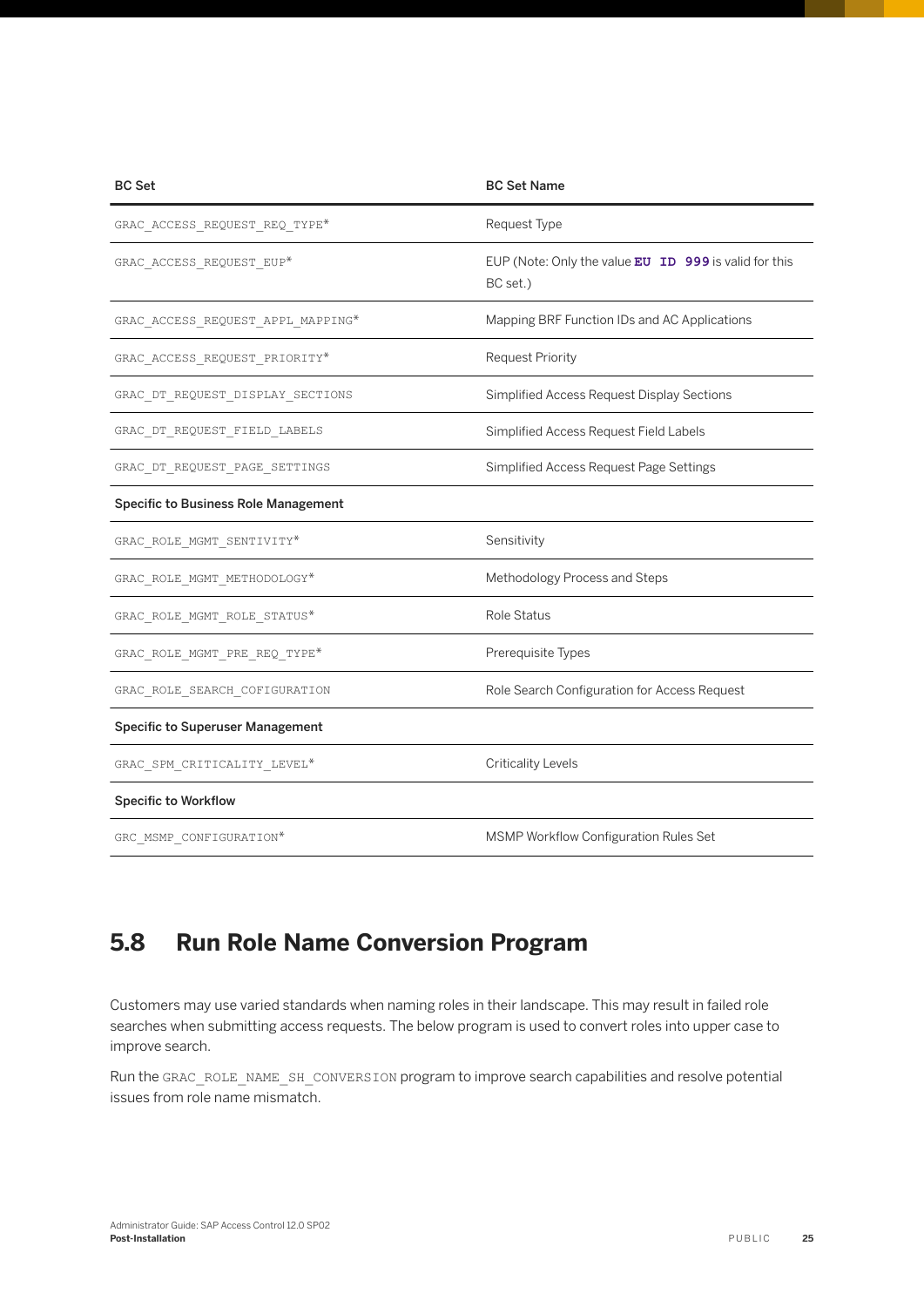<span id="page-24-0"></span>

| <b>BC Set</b>                                         | <b>BC Set Name</b>                                                  |
|-------------------------------------------------------|---------------------------------------------------------------------|
| GRAC_ACCESS_REQUEST_REQ_TYPE*                         | Request Type                                                        |
| GRAC_ACCESS_REQUEST_EUP*                              | EUP (Note: Only the value $EU$ ID 999 is valid for this<br>BC set.) |
| ${\tt GRAC\_ACCESS\_REQUEST\_APPL}$ ${\tt MAPPING}^*$ | Mapping BRF Function IDs and AC Applications                        |
| GRAC ACCESS REQUEST PRIORITY*                         | <b>Request Priority</b>                                             |
| GRAC_DT_REQUEST_DISPLAY_SECTIONS                      | Simplified Access Request Display Sections                          |
| GRAC DT REQUEST FIELD LABELS                          | Simplified Access Request Field Labels                              |
| GRAC DT REQUEST PAGE SETTINGS                         | Simplified Access Request Page Settings                             |
| <b>Specific to Business Role Management</b>           |                                                                     |
| GRAC ROLE MGMT SENTIVITY*                             | Sensitivity                                                         |
| ${\tt GRAC\_ROLE\_MGMT\_METHODOLOGY*}$                | Methodology Process and Steps                                       |
| GRAC ROLE MGMT ROLE STATUS*                           | Role Status                                                         |
| GRAC ROLE MGMT PRE REQ TYPE*                          | Prerequisite Types                                                  |
| GRAC ROLE SEARCH COFIGURATION                         | Role Search Configuration for Access Request                        |
| <b>Specific to Superuser Management</b>               |                                                                     |
| GRAC_SPM_CRITICALITY_LEVEL*                           | <b>Criticality Levels</b>                                           |
| <b>Specific to Workflow</b>                           |                                                                     |
| GRC MSMP CONFIGURATION*                               | MSMP Workflow Configuration Rules Set                               |

## **5.8 Run Role Name Conversion Program**

Customers may use varied standards when naming roles in their landscape. This may result in failed role searches when submitting access requests. The below program is used to convert roles into upper case to improve search.

Run the GRAC\_ROLE\_NAME\_SH\_CONVERSION program to improve search capabilities and resolve potential issues from role name mismatch.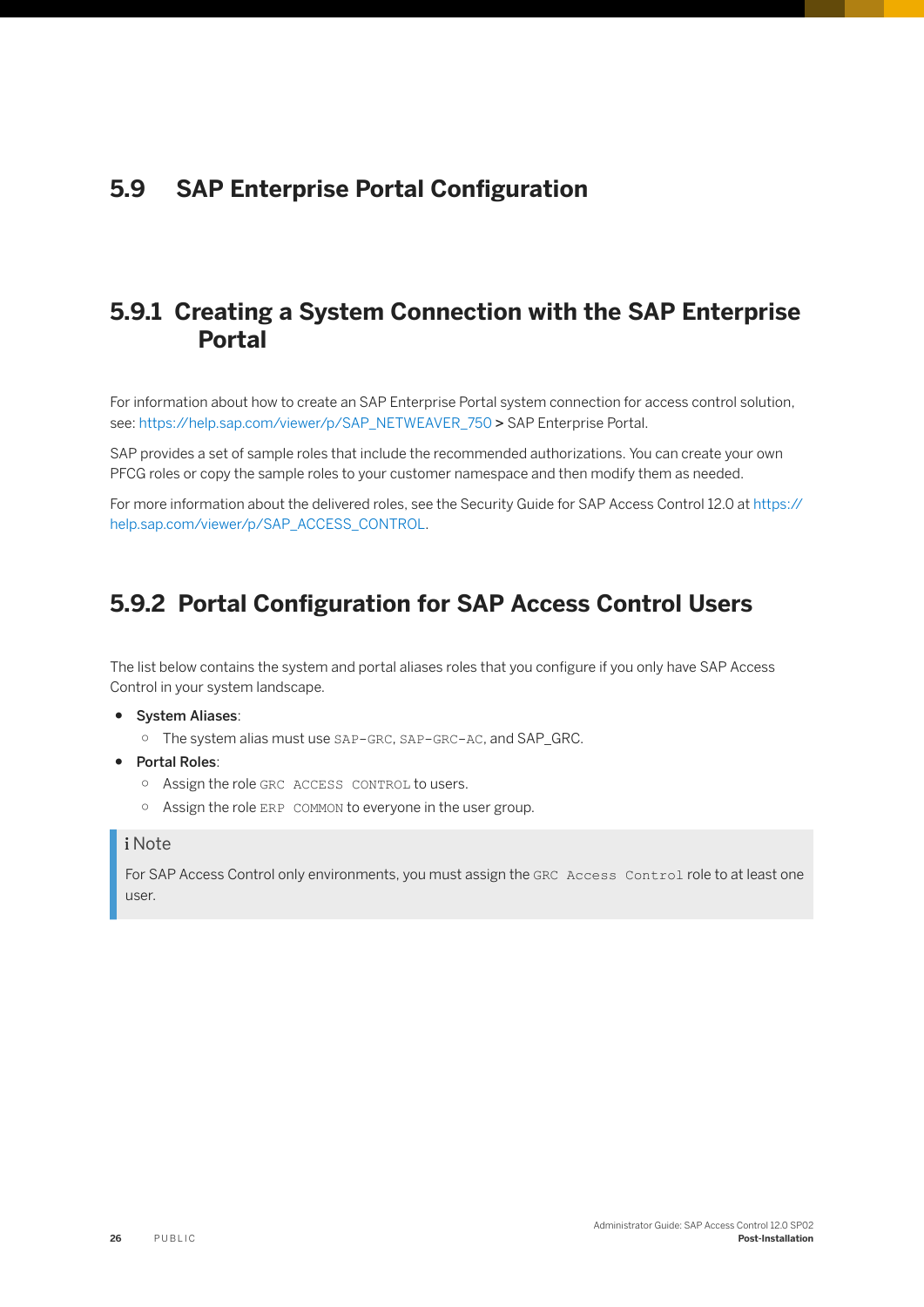## <span id="page-25-0"></span>**5.9 SAP Enterprise Portal Configuration**

## **5.9.1 Creating a System Connection with the SAP Enterprise Portal**

For information about how to create an SAP Enterprise Portal system connection for access control solution, see: [https://help.sap.com/viewer/p/SAP\\_NETWEAVER\\_750](https://help.sap.com/viewer/p/SAP_NETWEAVER_750) > SAP Enterprise Portal.

SAP provides a set of sample roles that include the recommended authorizations. You can create your own PFCG roles or copy the sample roles to your customer namespace and then modify them as needed.

For more information about the delivered roles, see the Security Guide for SAP Access Control 12.0 at [https://](https://help.sap.com/viewer/p/SAP_ACCESS_CONTROL) [help.sap.com/viewer/p/SAP\\_ACCESS\\_CONTROL](https://help.sap.com/viewer/p/SAP_ACCESS_CONTROL).

## **5.9.2 Portal Configuration for SAP Access Control Users**

The list below contains the system and portal aliases roles that you configure if you only have SAP Access Control in your system landscape.

- System Aliases:
	- The system alias must use SAP-GRC, SAP-GRC-AC, and SAP\_GRC.
- Portal Roles:
	- Assign the role GRC ACCESS CONTROL to users.
	- Assign the role ERP COMMON to everyone in the user group.

#### i Note

For SAP Access Control only environments, you must assign the GRC Access Control role to at least one user.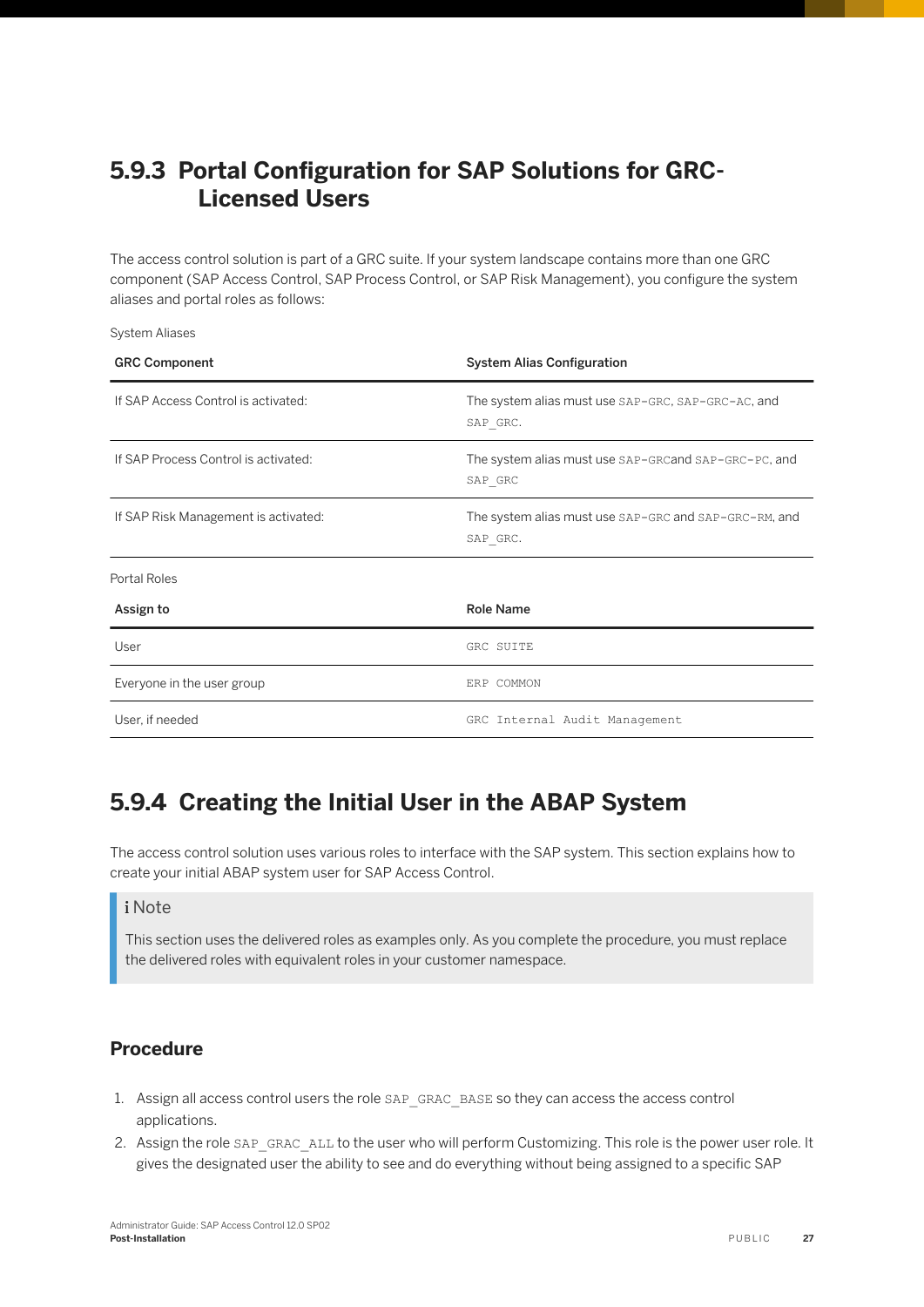## <span id="page-26-0"></span>5.9.3 Portal Configuration for SAP Solutions for GRC-**Licensed Users**

The access control solution is part of a GRC suite. If your system landscape contains more than one GRC component (SAP Access Control, SAP Process Control, or SAP Risk Management), you configure the system aliases and portal roles as follows:

System Aliases

| <b>GRC Component</b>                 | <b>System Alias Configuration</b>                                 |
|--------------------------------------|-------------------------------------------------------------------|
| If SAP Access Control is activated:  | The system alias must use SAP-GRC, SAP-GRC-AC, and<br>SAP GRC.    |
| If SAP Process Control is activated: | The system alias must use SAP-GRCand SAP-GRC-PC, and<br>SAP GRC   |
| If SAP Risk Management is activated: | The system alias must use SAP-GRC and SAP-GRC-RM, and<br>SAP GRC. |
| Portal Roles                         |                                                                   |
| Assign to                            | <b>Role Name</b>                                                  |
| User                                 | GRC SUITE                                                         |
| Everyone in the user group           | ERP COMMON                                                        |
| User, if needed                      | GRC Internal Audit Management                                     |

## **5.9.4 Creating the Initial User in the ABAP System**

The access control solution uses various roles to interface with the SAP system. This section explains how to create your initial ABAP system user for SAP Access Control.

#### i Note

This section uses the delivered roles as examples only. As you complete the procedure, you must replace the delivered roles with equivalent roles in your customer namespace.

#### **Procedure**

- 1. Assign all access control users the role SAP\_GRAC\_BASE so they can access the access control applications.
- 2. Assign the role SAP\_GRAC\_ALL to the user who will perform Customizing. This role is the power user role. It gives the designated user the ability to see and do everything without being assigned to a specific SAP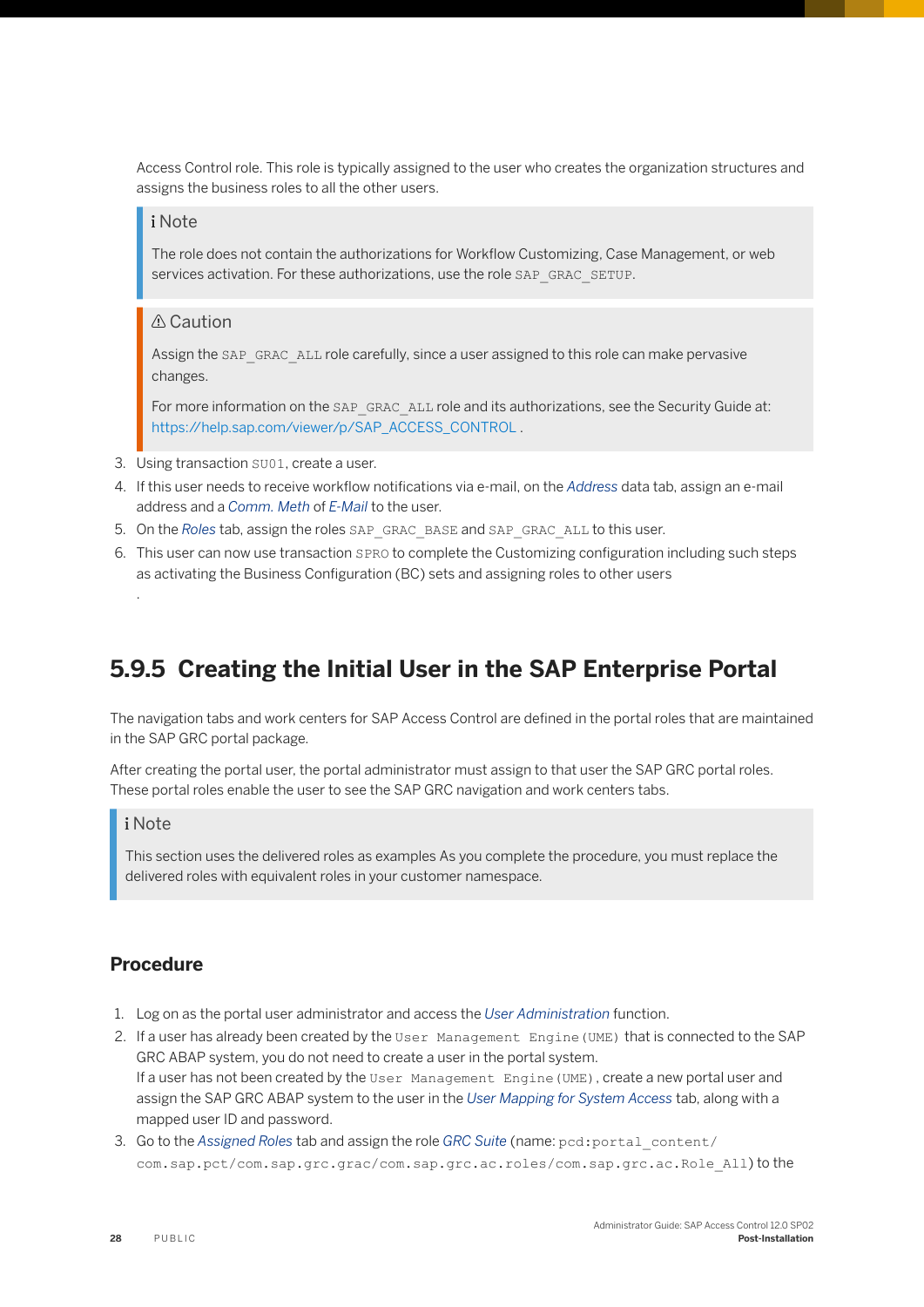<span id="page-27-0"></span>Access Control role. This role is typically assigned to the user who creates the organization structures and assigns the business roles to all the other users.

#### i Note

The role does not contain the authorizations for Workflow Customizing, Case Management, or web services activation. For these authorizations, use the role SAP\_GRAC\_SETUP.

#### A Caution

Assign the SAP\_GRAC\_ALL role carefully, since a user assigned to this role can make pervasive changes.

For more information on the SAP\_GRAC\_ALL role and its authorizations, see the Security Guide at: [https://help.sap.com/viewer/p/SAP\\_ACCESS\\_CONTROL](https://help.sap.com/viewer/p/SAP_ACCESS_CONTROL) .

- 3. Using transaction SU01, create a user.
- 4. If this user needs to receive workflow notifications via e-mail, on the *Address* data tab, assign an e-mail address and a *Comm. Meth* of *E-Mail* to the user.
- 5. On the *Roles* tab, assign the roles SAP\_GRAC\_BASE and SAP\_GRAC\_ALL to this user.
- 6. This user can now use transaction SPRO to complete the Customizing configuration including such steps as activating the Business Configuration (BC) sets and assigning roles to other users

### **5.9.5 Creating the Initial User in the SAP Enterprise Portal**

The navigation tabs and work centers for SAP Access Control are defined in the portal roles that are maintained in the SAP GRC portal package.

After creating the portal user, the portal administrator must assign to that user the SAP GRC portal roles. These portal roles enable the user to see the SAP GRC navigation and work centers tabs.

#### i Note

.

This section uses the delivered roles as examples As you complete the procedure, you must replace the delivered roles with equivalent roles in your customer namespace.

#### **Procedure**

- 1. Log on as the portal user administrator and access the *User Administration* function.
- 2. If a user has already been created by the User Management Engine(UME) that is connected to the SAP GRC ABAP system, you do not need to create a user in the portal system. If a user has not been created by the User Management Engine (UME), create a new portal user and assign the SAP GRC ABAP system to the user in the *User Mapping for System Access* tab, along with a mapped user ID and password.
- 3. Go to the *Assigned Roles* tab and assign the role *GRC Suite* (name: pcd:portal\_content/ com.sap.pct/com.sap.grc.grac/com.sap.grc.ac.roles/com.sap.grc.ac.Role\_All) to the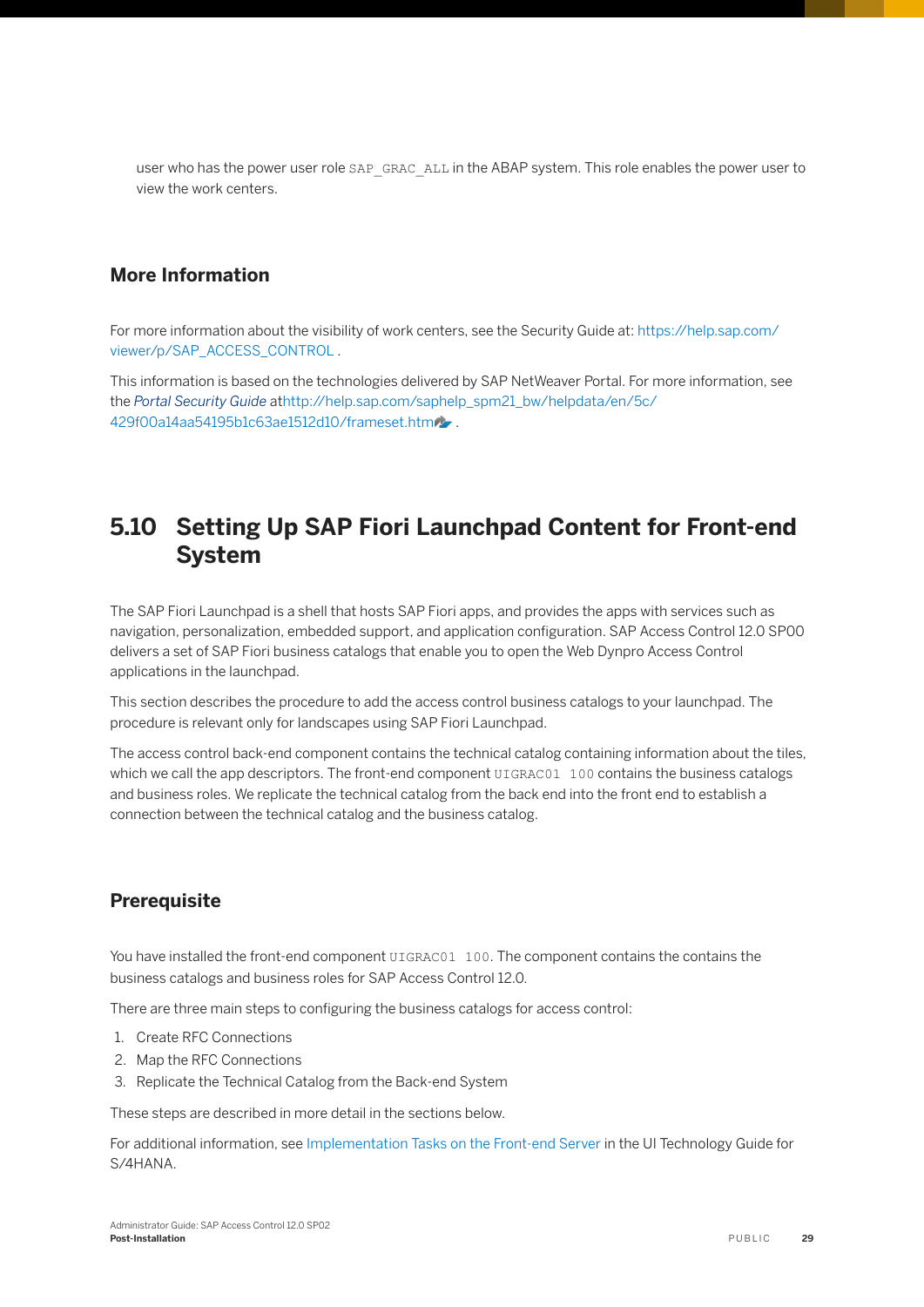<span id="page-28-0"></span>user who has the power user role SAP\_GRAC\_ALL in the ABAP system. This role enables the power user to view the work centers.

#### **More Information**

For more information about the visibility of work centers, see the Security Guide at: [https://help.sap.com/](https://help.sap.com/viewer/p/SAP_ACCESS_CONTROL) [viewer/p/SAP\\_ACCESS\\_CONTROL](https://help.sap.com/viewer/p/SAP_ACCESS_CONTROL).

This information is based on the technologies delivered by SAP NetWeaver Portal. For more information, see the *Portal Security Guide* a[thttp://help.sap.com/saphelp\\_spm21\\_bw/helpdata/en/5c/](http://help.sap.com/disclaimer?site=http%3A%2F%2Fhelp.sap.com%2Fsaphelp_spm21_bw%2Fhelpdata%2Fen%2F5c%2F429f00a14aa54195b1c63ae1512d10%2Fframeset.htm) [429f00a14aa54195b1c63ae1512d10/frameset.htm](http://help.sap.com/disclaimer?site=http%3A%2F%2Fhelp.sap.com%2Fsaphelp_spm21_bw%2Fhelpdata%2Fen%2F5c%2F429f00a14aa54195b1c63ae1512d10%2Fframeset.htm) .

## **5.10 Setting Up SAP Fiori Launchpad Content for Front-end System**

The SAP Fiori Launchpad is a shell that hosts SAP Fiori apps, and provides the apps with services such as navigation, personalization, embedded support, and application configuration. SAP Access Control 12.0 SP00 delivers a set of SAP Fiori business catalogs that enable you to open the Web Dynpro Access Control applications in the launchpad.

This section describes the procedure to add the access control business catalogs to your launchpad. The procedure is relevant only for landscapes using SAP Fiori Launchpad.

The access control back-end component contains the technical catalog containing information about the tiles, which we call the app descriptors. The front-end component UIGRAC01 100 contains the business catalogs and business roles. We replicate the technical catalog from the back end into the front end to establish a connection between the technical catalog and the business catalog.

#### **Prerequisite**

You have installed the front-end component UIGRAC01 100. The component contains the contains the business catalogs and business roles for SAP Access Control 12.0.

There are three main steps to configuring the business catalogs for access control:

- 1. Create RFC Connections
- 2. Map the RFC Connections
- 3. Replicate the Technical Catalog from the Back-end System

These steps are described in more detail in the sections below.

For additional information, se[e Implementation Tasks on the Front-end Server](https://help.sap.com/viewer/cdc25c83b63e482586b31b8acd49cf2f/1709%20002/en-US/7a5489588bf89244e10000000a4450e5.html) in the UI Technology Guide for S/4HANA.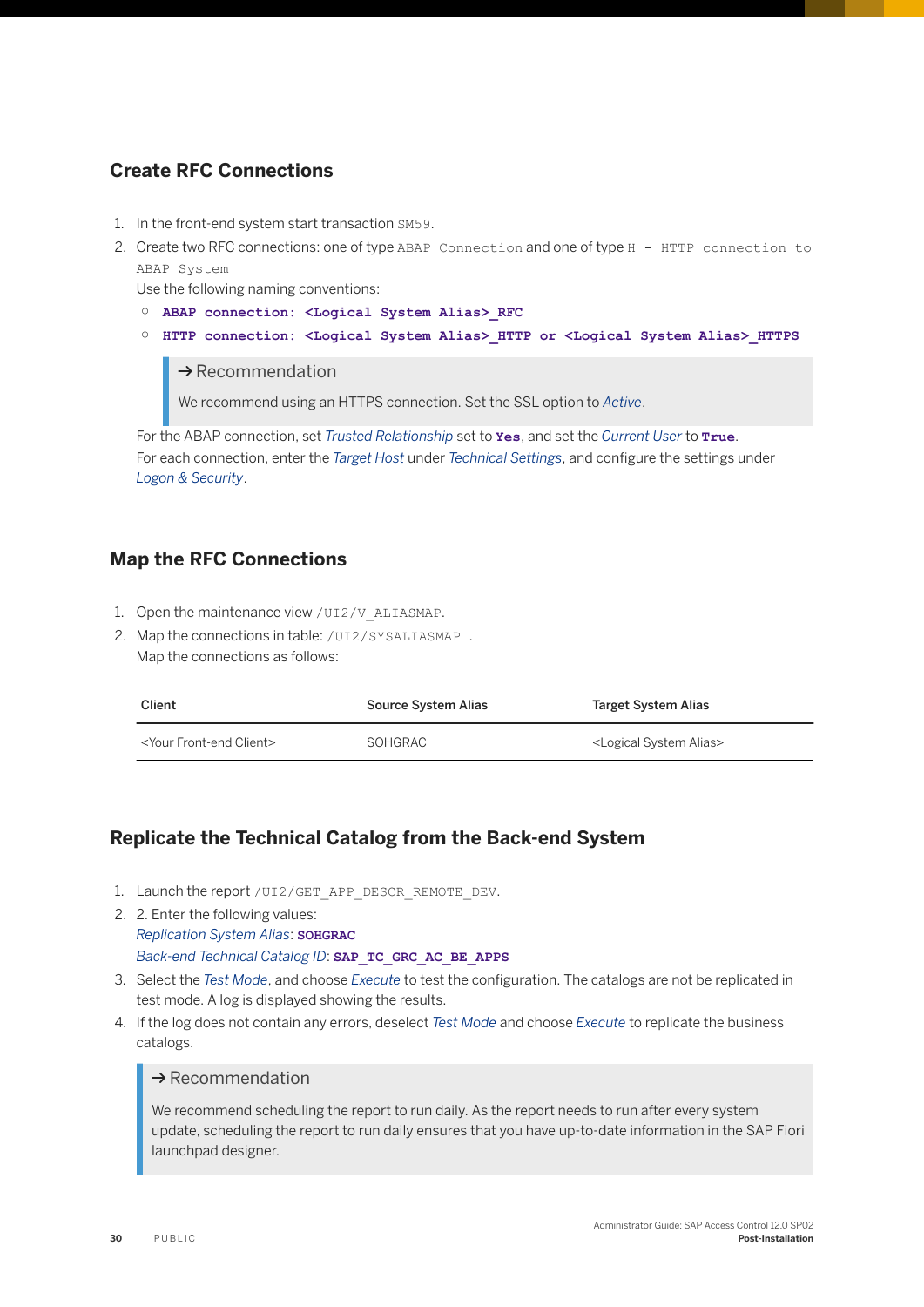#### **Create RFC Connections**

- 1. In the front-end system start transaction SM59.
- 2. Create two RFC connections: one of type ABAP Connection and one of type H HTTP connection to ABAP System

Use the following naming conventions:

- **ABAP connection: <Logical System Alias>\_RFC**
- **HTTP connection: <Logical System Alias>\_HTTP or <Logical System Alias>\_HTTPS**

 $\rightarrow$  Recommendation

We recommend using an HTTPS connection. Set the SSL option to *Active*.

For the ABAP connection, set *Trusted Relationship* set to **Yes**, and set the *Current User* to **True**. For each connection, enter the *Target Host* under *Technical Settings*, and configure the settings under *Logon & Security*.

#### **Map the RFC Connections**

- 1. Open the maintenance view / UI2/V\_ALIASMAP.
- 2. Map the connections in table: /UI2/SYSALIASMAP. Map the connections as follows:

| <b>Client</b>                        | Source System Alias | Target System Alias                    |
|--------------------------------------|---------------------|----------------------------------------|
| <your client="" front-end=""></your> | SOHGRAC             | <logical alias="" system=""></logical> |

#### **Replicate the Technical Catalog from the Back-end System**

- 1. Launch the report / UI2/GET APP DESCR\_REMOTE\_DEV.
- 2. 2. Enter the following values: *Replication System Alias*: **SOHGRAC** *Back-end Technical Catalog ID*: **SAP\_TC\_GRC\_AC\_BE\_APPS**
- 3. Select the *Test Mode*, and choose *Execute* to test the configuration. The catalogs are not be replicated in test mode. A log is displayed showing the results.
- 4. If the log does not contain any errors, deselect *Test Mode* and choose *Execute* to replicate the business catalogs.

#### $\rightarrow$  Recommendation

We recommend scheduling the report to run daily. As the report needs to run after every system update, scheduling the report to run daily ensures that you have up-to-date information in the SAP Fiori launchpad designer.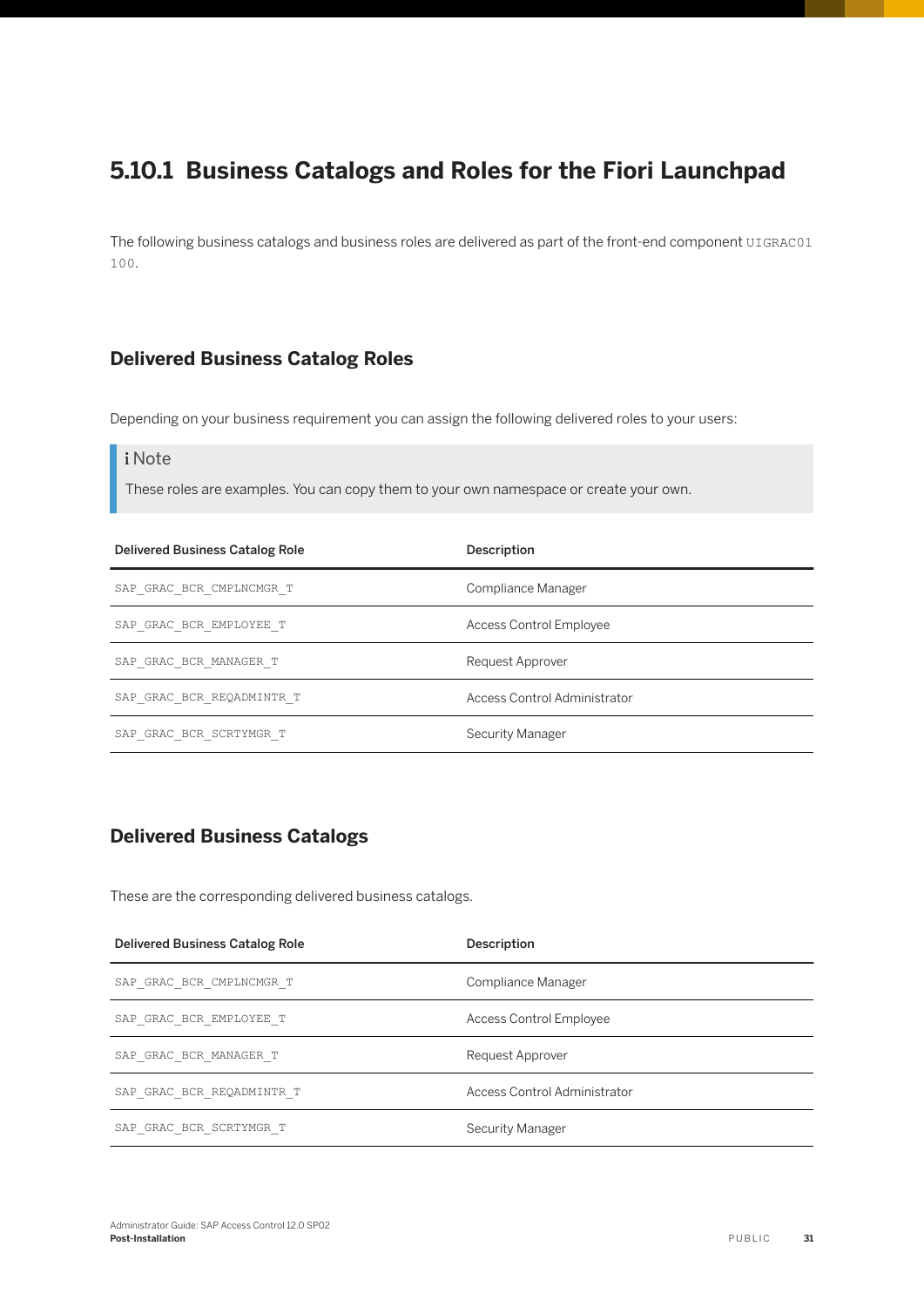## <span id="page-30-0"></span>**5.10.1 Business Catalogs and Roles for the Fiori Launchpad**

The following business catalogs and business roles are delivered as part of the front-end component UIGRAC01 100.

#### **Delivered Business Catalog Roles**

Depending on your business requirement you can assign the following delivered roles to your users:

#### i Note

These roles are examples. You can copy them to your own namespace or create your own.

| Delivered Business Catalog Role | Description                    |
|---------------------------------|--------------------------------|
| SAP GRAC BCR CMPLNCMGR T        | Compliance Manager             |
| SAP GRAC BCR EMPLOYEE T         | <b>Access Control Employee</b> |
| SAP GRAC BCR MANAGER T          | Request Approver               |
| SAP GRAC BCR REQADMINTR T       | Access Control Administrator   |
| SAP GRAC BCR SCRTYMGR T         | Security Manager               |

#### **Delivered Business Catalogs**

These are the corresponding delivered business catalogs.

| <b>Delivered Business Catalog Role</b> | Description                  |
|----------------------------------------|------------------------------|
| SAP GRAC BCR CMPLNCMGR T               | Compliance Manager           |
| SAP GRAC BCR EMPLOYEE T                | Access Control Employee      |
| SAP GRAC BCR MANAGER T                 | Request Approver             |
| SAP GRAC BCR REQADMINTR T              | Access Control Administrator |
| SAP GRAC BCR SCRTYMGR T                | Security Manager             |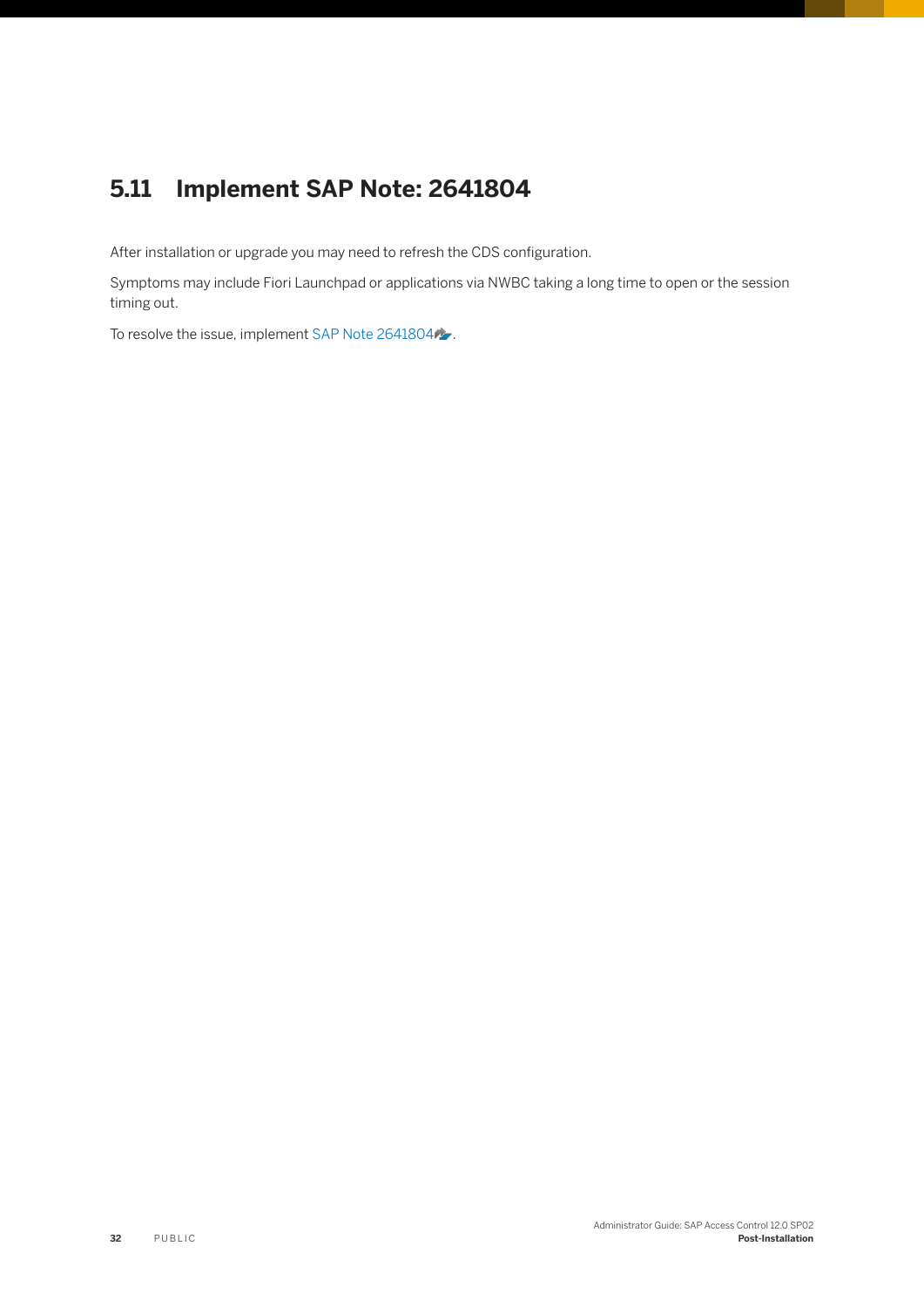## <span id="page-31-0"></span>**5.11 Implement SAP Note: 2641804**

After installation or upgrade you may need to refresh the CDS configuration.

Symptoms may include Fiori Launchpad or applications via NWBC taking a long time to open or the session timing out.

To resolve the issue, implement [SAP Note 2641804](http://help.sap.com/disclaimer?site=https://launchpad.support.sap.com/#/notes/SAP Note 2641804)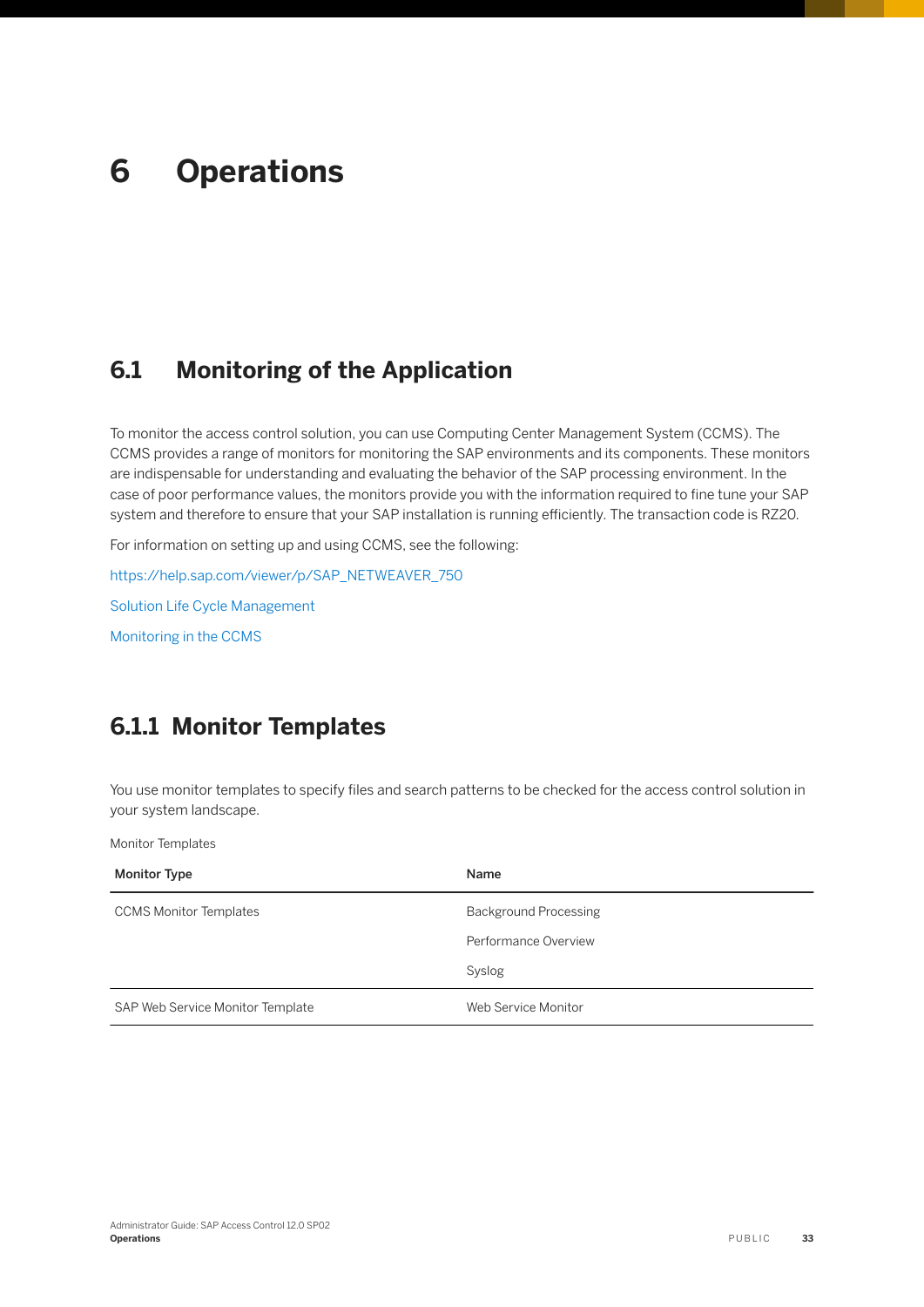# <span id="page-32-0"></span>**6 Operations**

## **6.1 Monitoring of the Application**

To monitor the access control solution, you can use Computing Center Management System (CCMS). The CCMS provides a range of monitors for monitoring the SAP environments and its components. These monitors are indispensable for understanding and evaluating the behavior of the SAP processing environment. In the case of poor performance values, the monitors provide you with the information required to fine tune your SAP system and therefore to ensure that your SAP installation is running efficiently. The transaction code is RZ20.

For information on setting up and using CCMS, see the following:

[https://help.sap.com/viewer/p/SAP\\_NETWEAVER\\_750](https://help.sap.com/viewer/p/SAP_NETWEAVER_750)

[Solution Life Cycle Management](https://help.sap.com/viewer/ff18034f08af4d7bb33894c2047c3b71/7.5.9/en-US/48c43aa1ca64581de10000000a42189c.html)

[Monitoring in the CCMS](https://help.sap.com/viewer/3364beced9d145a5ad185c89a1e04658/7.5.9/en-US)

## **6.1.1 Monitor Templates**

You use monitor templates to specify files and search patterns to be checked for the access control solution in your system landscape.

Monitor Templates

| <b>Monitor Type</b>              | Name                         |
|----------------------------------|------------------------------|
| <b>CCMS Monitor Templates</b>    | <b>Background Processing</b> |
|                                  | Performance Overview         |
|                                  | Syslog                       |
| SAP Web Service Monitor Template | Web Service Monitor          |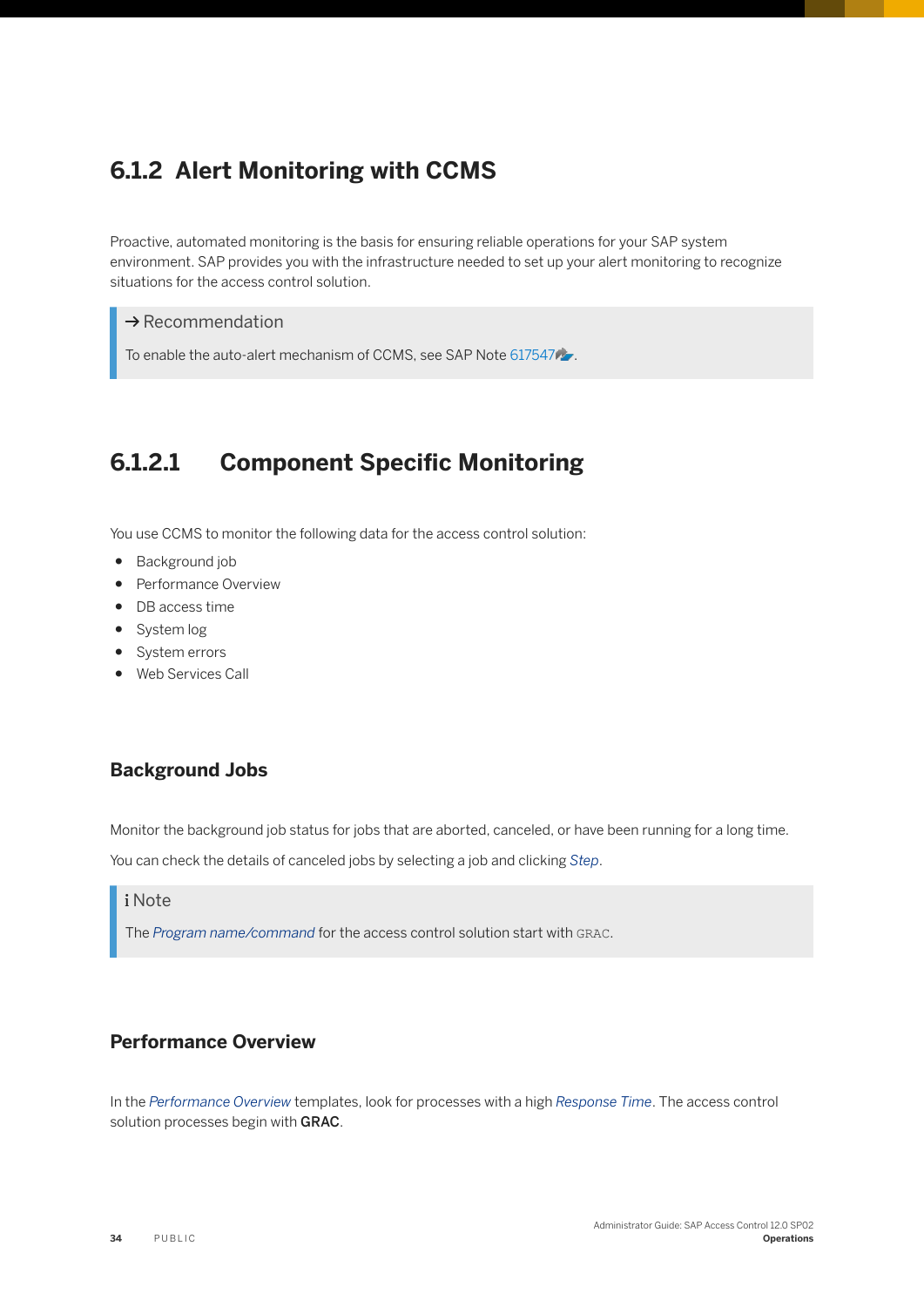## <span id="page-33-0"></span>**6.1.2 Alert Monitoring with CCMS**

Proactive, automated monitoring is the basis for ensuring reliable operations for your SAP system environment. SAP provides you with the infrastructure needed to set up your alert monitoring to recognize situations for the access control solution.

#### $\rightarrow$  Recommendation

To enable the auto-alert mechanism of CCMS, see SAP Note [617547](http://help.sap.com/disclaimer?site=https://launchpad.support.sap.com/#/notes/617547)

## **6.1.2.1 Component Specific Monitoring**

You use CCMS to monitor the following data for the access control solution:

- Background job
- Performance Overview
- DB access time
- System log
- System errors
- Web Services Call

#### **Background Jobs**

Monitor the background job status for jobs that are aborted, canceled, or have been running for a long time.

You can check the details of canceled jobs by selecting a job and clicking *Step*.

#### i Note

The *Program name/command* for the access control solution start with GRAC.

#### **Performance Overview**

In the *Performance Overview* templates, look for processes with a high *Response Time*. The access control solution processes begin with GRAC.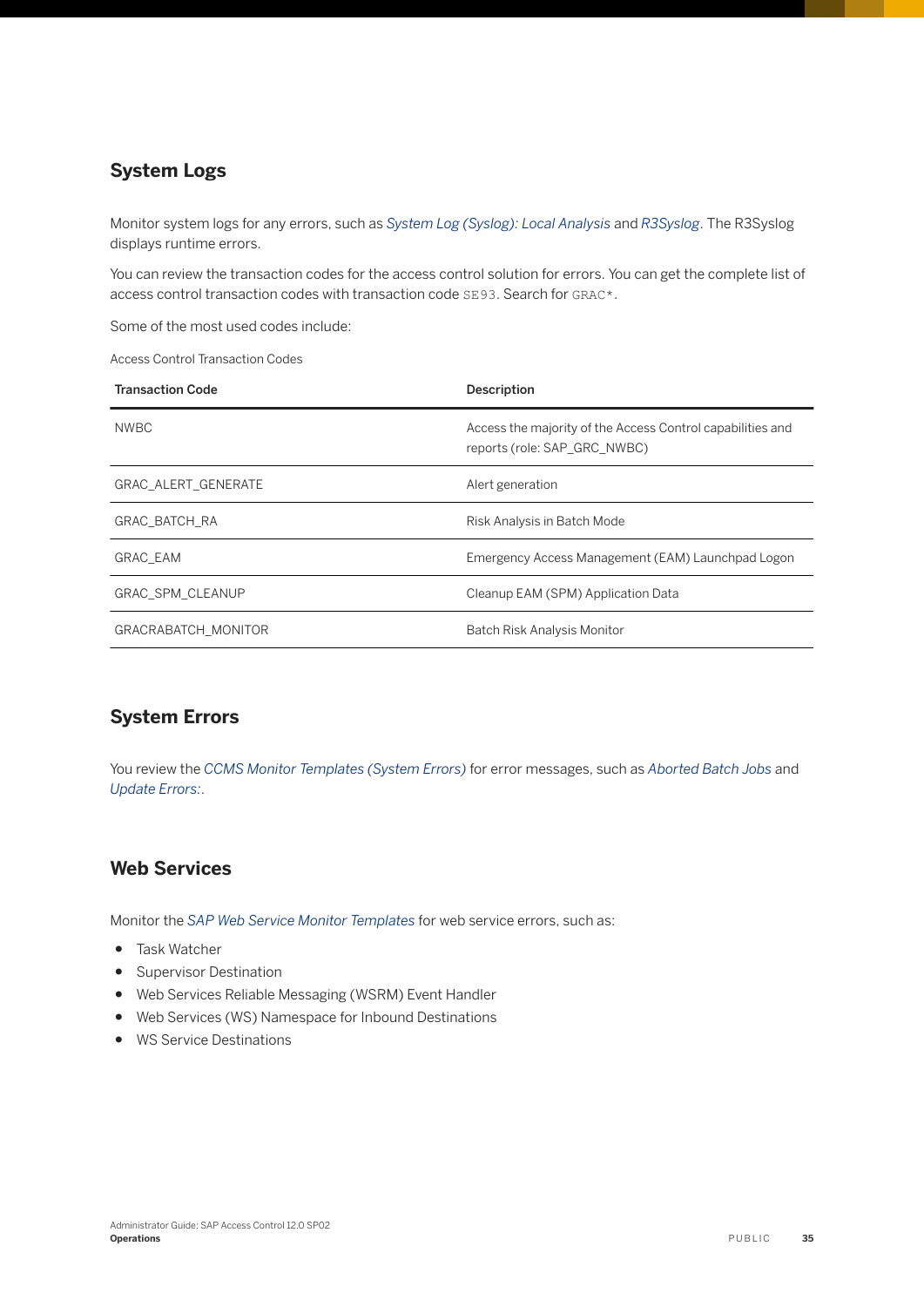#### **System Logs**

Monitor system logs for any errors, such as *System Log (Syslog): Local Analysis* and *R3Syslog*. The R3Syslog displays runtime errors.

You can review the transaction codes for the access control solution for errors. You can get the complete list of access control transaction codes with transaction code SE93. Search for GRAC\*.

Some of the most used codes include:

Access Control Transaction Codes

| <b>Transaction Code</b>    | Description                                                                                |
|----------------------------|--------------------------------------------------------------------------------------------|
| <b>NWBC</b>                | Access the majority of the Access Control capabilities and<br>reports (role: SAP GRC NWBC) |
| <b>GRAC ALERT GENERATE</b> | Alert generation                                                                           |
| <b>GRAC BATCH RA</b>       | Risk Analysis in Batch Mode                                                                |
| <b>GRAC EAM</b>            | Emergency Access Management (EAM) Launchpad Logon                                          |
| <b>GRAC SPM CLEANUP</b>    | Cleanup EAM (SPM) Application Data                                                         |
| <b>GRACRABATCH MONITOR</b> | Batch Risk Analysis Monitor                                                                |

#### **System Errors**

You review the *CCMS Monitor Templates (System Errors)* for error messages, such as *Aborted Batch Jobs* and *Update Errors:*.

#### **Web Services**

Monitor the *SAP Web Service Monitor Templates* for web service errors, such as:

- Task Watcher
- Supervisor Destination
- Web Services Reliable Messaging (WSRM) Event Handler
- Web Services (WS) Namespace for Inbound Destinations
- WS Service Destinations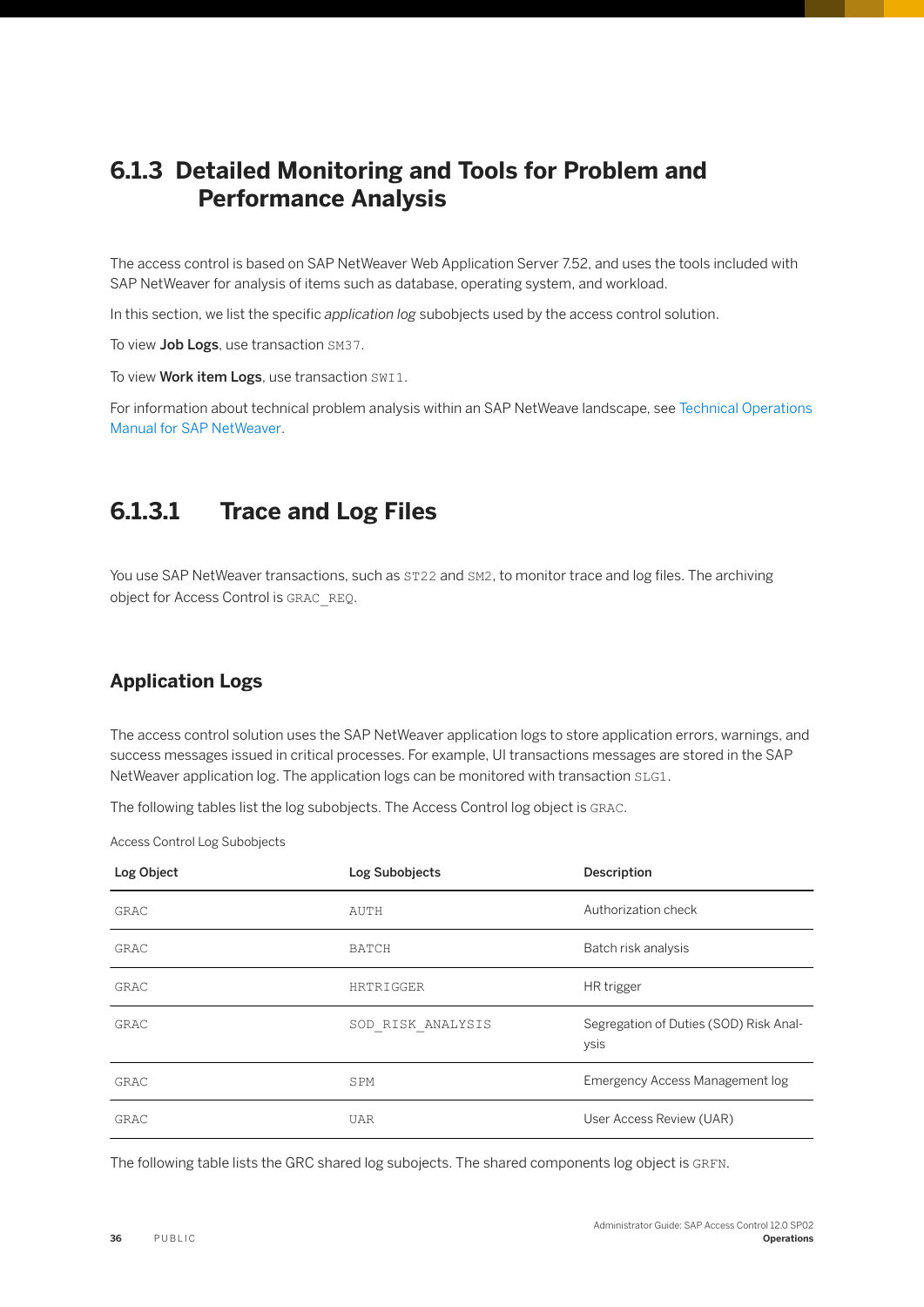## <span id="page-35-0"></span>**6.1.3 Detailed Monitoring and Tools for Problem and Performance Analysis**

The access control is based on SAP NetWeaver Web Application Server 7.52, and uses the tools included with SAP NetWeaver for analysis of items such as database, operating system, and workload.

In this section, we list the specific *application log* subobjects used by the access control solution.

To view Job Logs, use transaction SM37.

To view Work item Logs, use transaction SWI1.

For information about technical problem analysis within an SAP NetWeave landscape, see [Technical Operations](https://help.sap.com/viewer/6522d0462aeb4909a79c3462b090ec51/7.5.10/en-US/5f4c63c099a3408488da11aab4254f07.html)  [Manual for SAP NetWeaver](https://help.sap.com/viewer/6522d0462aeb4909a79c3462b090ec51/7.5.10/en-US/5f4c63c099a3408488da11aab4254f07.html).

## **6.1.3.1 Trace and Log Files**

You use SAP NetWeaver transactions, such as  $ST22$  and  $SM2$ , to monitor trace and log files. The archiving object for Access Control is GRAC\_REQ.

#### **Application Logs**

The access control solution uses the SAP NetWeaver application logs to store application errors, warnings, and success messages issued in critical processes. For example, UI transactions messages are stored in the SAP NetWeaver application log. The application logs can be monitored with transaction SLG1.

The following tables list the log subobjects. The Access Control log object is GRAC.

Access Control Log Subobjects

| Log Object  | Log Subobjects    | Description                                    |
|-------------|-------------------|------------------------------------------------|
| <b>GRAC</b> | AUTH              | Authorization check                            |
| GRAC        | <b>BATCH</b>      | Batch risk analysis                            |
| GRAC        | HRTRIGGER         | HR trigger                                     |
| GRAC        | SOD RISK ANALYSIS | Segregation of Duties (SOD) Risk Anal-<br>ysis |
| GRAC        | SPM               | Emergency Access Management log                |
| GRAC        | <b>UAR</b>        | User Access Review (UAR)                       |

The following table lists the GRC shared log subojects. The shared components log object is GRFN.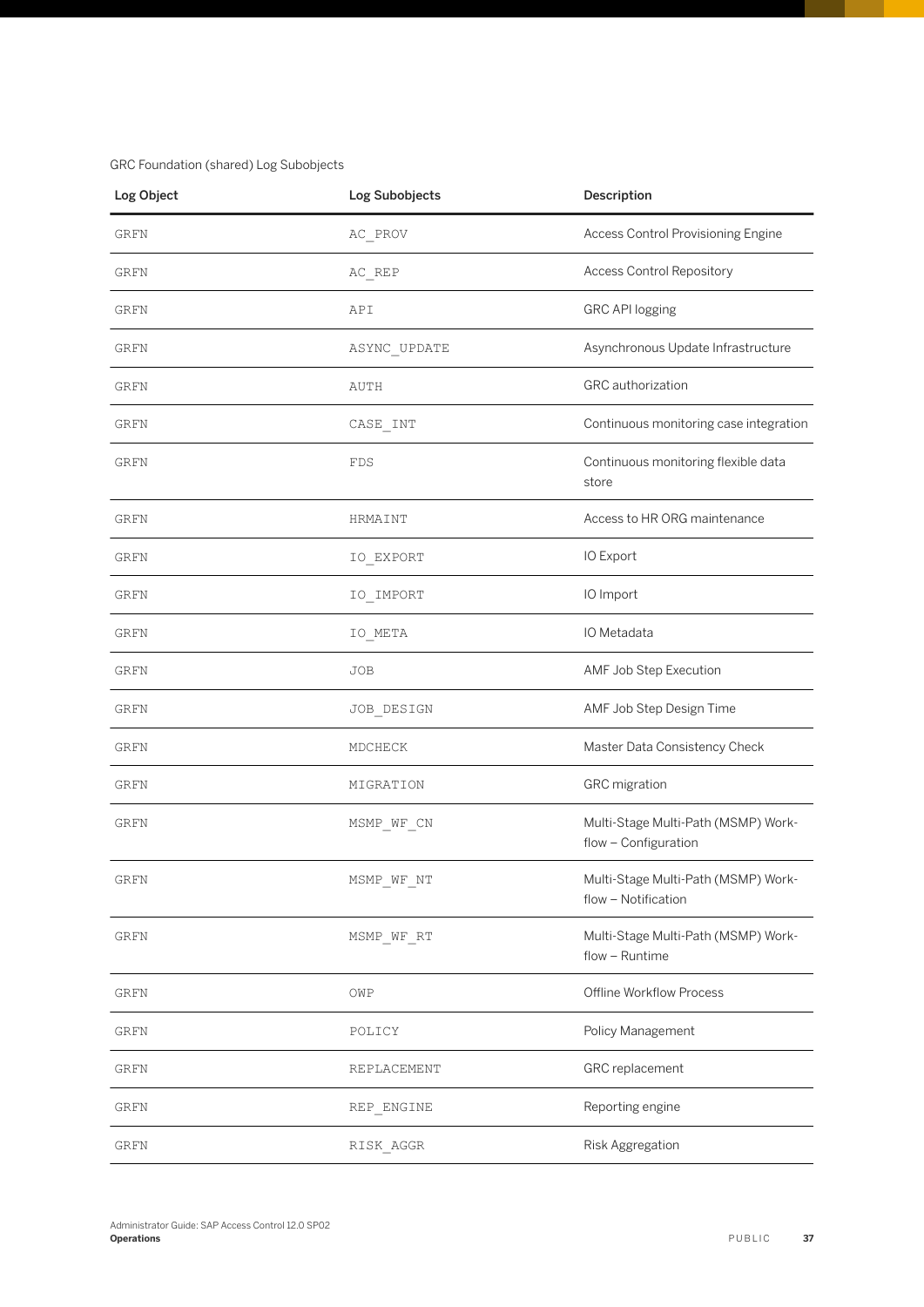#### GRC Foundation (shared) Log Subobjects

| Log Object  | Log Subobjects | Description                                                 |  |
|-------------|----------------|-------------------------------------------------------------|--|
| <b>GRFN</b> | AC_PROV        | Access Control Provisioning Engine                          |  |
| GRFN        | $AC$ $REP$     | <b>Access Control Repository</b>                            |  |
| GRFN        | API            | <b>GRC API logging</b>                                      |  |
| GRFN        | ASYNC_UPDATE   | Asynchronous Update Infrastructure                          |  |
| GRFN        | AUTH           | GRC authorization                                           |  |
| GRFN        | CASE_INT       | Continuous monitoring case integration                      |  |
| GRFN        | FDS            | Continuous monitoring flexible data<br>store                |  |
| GRFN        | HRMAINT        | Access to HR ORG maintenance                                |  |
| GRFN        | IO_EXPORT      | IO Export                                                   |  |
| GRFN        | IO IMPORT      | IO Import                                                   |  |
| GRFN        | IO_META        | IO Metadata                                                 |  |
| GRFN        | JOB            | AMF Job Step Execution                                      |  |
| <b>GRFN</b> | JOB_DESIGN     | AMF Job Step Design Time                                    |  |
| GRFN        | MDCHECK        | Master Data Consistency Check                               |  |
| GRFN        | MIGRATION      | <b>GRC</b> migration                                        |  |
| <b>GRFN</b> | MSMP_WF_CN     | Multi-Stage Multi-Path (MSMP) Work-<br>flow - Configuration |  |
| GRFN        | MSMP_WF_NT     | Multi-Stage Multi-Path (MSMP) Work-<br>flow - Notification  |  |
| GRFN        | MSMP_WF_RT     | Multi-Stage Multi-Path (MSMP) Work-<br>flow - Runtime       |  |
| GRFN        | OWP            | Offline Workflow Process                                    |  |
| GRFN        | POLICY         | Policy Management                                           |  |
| <b>GRFN</b> | REPLACEMENT    | GRC replacement                                             |  |
| GRFN        | REP ENGINE     | Reporting engine                                            |  |
| GRFN        | RISK AGGR      | Risk Aggregation                                            |  |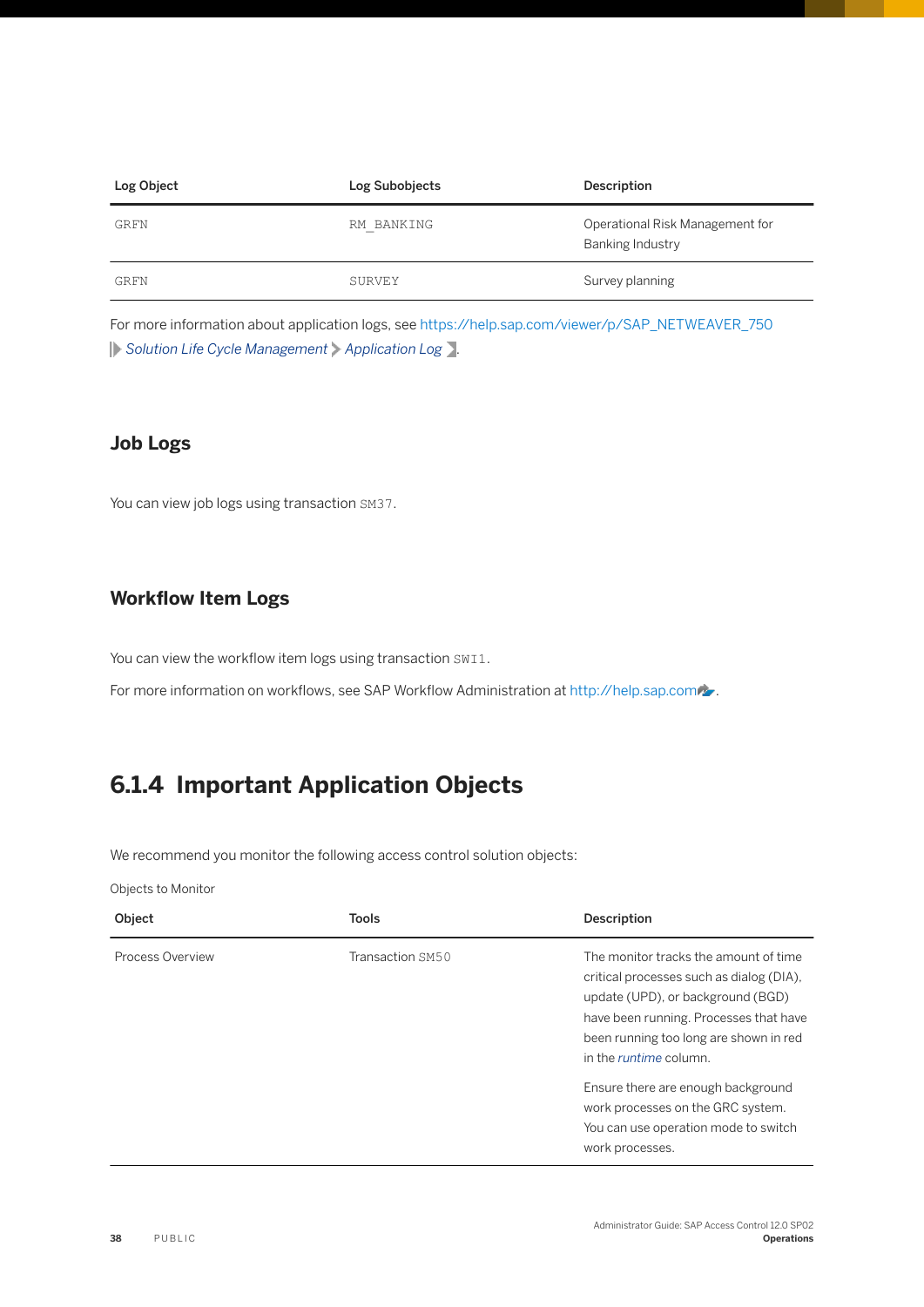<span id="page-37-0"></span>

| Log Object | Log Subobjects | Description                                         |
|------------|----------------|-----------------------------------------------------|
| GRFN       | RM BANKING     | Operational Risk Management for<br>Banking Industry |
| GRFN       | SURVEY         | Survey planning                                     |

For more information about application logs, see [https://help.sap.com/viewer/p/SAP\\_NETWEAVER\\_750](https://help.sap.com/viewer/p/SAP_NETWEAVER_750) *Solution Life Cycle Management Application Log* .

#### **Job Logs**

You can view job logs using transaction SM37.

#### **Workflow Item Logs**

You can view the workflow item logs using transaction SWI1.

For more information on workflows, see SAP Workflow Administration at [http://help.sap.com](http://help.sap.com/disclaimer?site=http%3A%2F%2Fhelp.sap.com) ...

## **6.1.4 Important Application Objects**

We recommend you monitor the following access control solution objects:

Objects to Monitor

| Object           | <b>Tools</b>     | Description                                                                                                                                                                                                                                                                                                                                                    |
|------------------|------------------|----------------------------------------------------------------------------------------------------------------------------------------------------------------------------------------------------------------------------------------------------------------------------------------------------------------------------------------------------------------|
| Process Overview | Transaction SM50 | The monitor tracks the amount of time<br>critical processes such as dialog (DIA),<br>update (UPD), or background (BGD)<br>have been running. Processes that have<br>been running too long are shown in red<br>in the <i>runtime</i> column.<br>Ensure there are enough background<br>work processes on the GRC system.<br>You can use operation mode to switch |
|                  |                  | work processes.                                                                                                                                                                                                                                                                                                                                                |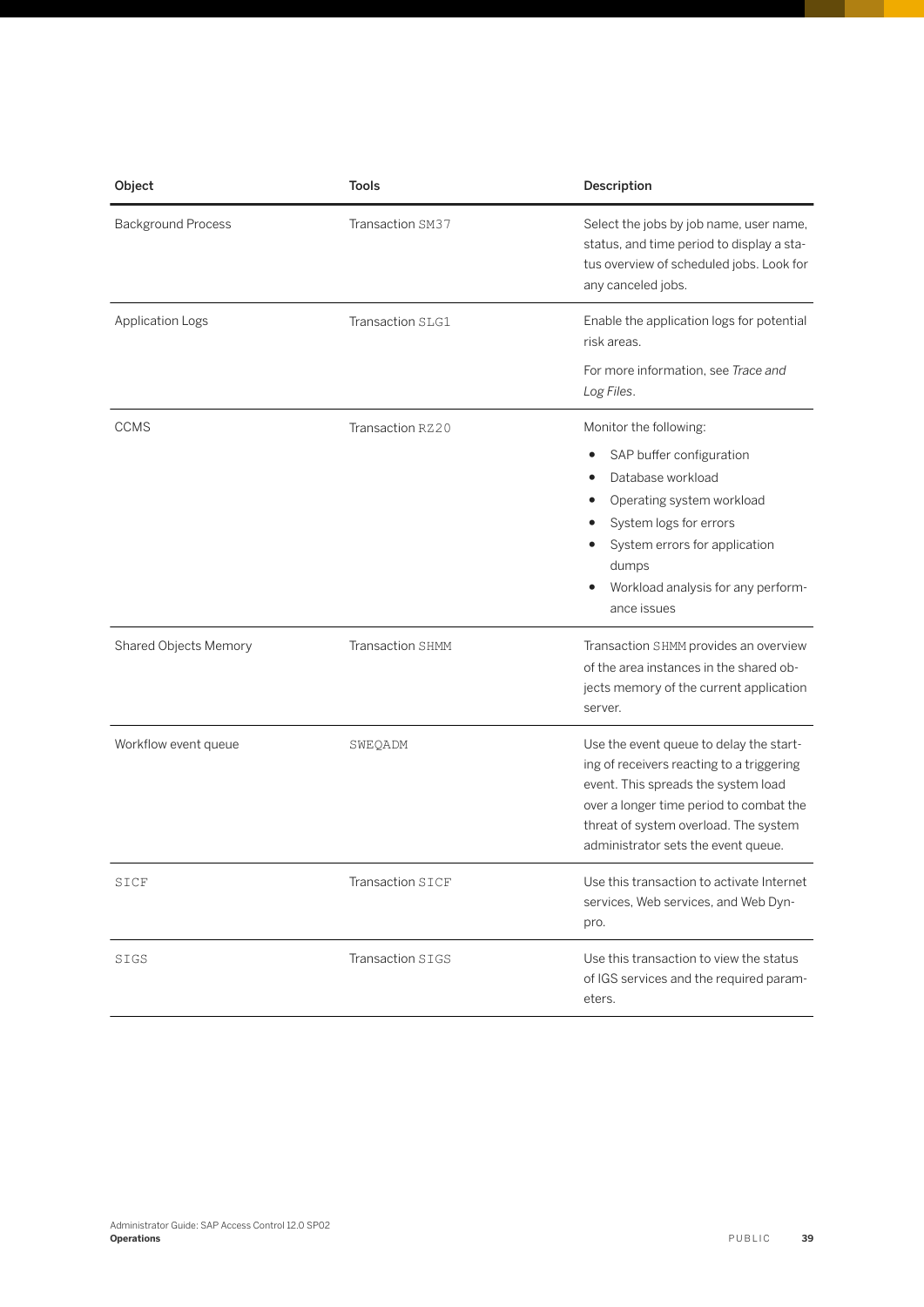| Object                    | <b>Tools</b>     | Description                                                                                                                                                                                                                                            |  |
|---------------------------|------------------|--------------------------------------------------------------------------------------------------------------------------------------------------------------------------------------------------------------------------------------------------------|--|
| <b>Background Process</b> | Transaction SM37 | Select the jobs by job name, user name,<br>status, and time period to display a sta-<br>tus overview of scheduled jobs. Look for<br>any canceled jobs.                                                                                                 |  |
| <b>Application Logs</b>   | Transaction SLG1 | Enable the application logs for potential<br>risk areas.                                                                                                                                                                                               |  |
|                           |                  | For more information, see Trace and<br>Log Files.                                                                                                                                                                                                      |  |
| <b>CCMS</b>               | Transaction RZ20 | Monitor the following:<br>SAP buffer configuration<br>Database workload<br>Operating system workload<br>System logs for errors<br>System errors for application<br>dumps<br>Workload analysis for any perform-<br>ance issues                          |  |
| Shared Objects Memory     | Transaction SHMM | Transaction SHMM provides an overview<br>of the area instances in the shared ob-<br>jects memory of the current application<br>server.                                                                                                                 |  |
| Workflow event queue      | SWEQADM          | Use the event queue to delay the start-<br>ing of receivers reacting to a triggering<br>event. This spreads the system load<br>over a longer time period to combat the<br>threat of system overload. The system<br>administrator sets the event queue. |  |
| SICF                      | Transaction SICF | Use this transaction to activate Internet<br>services, Web services, and Web Dyn-<br>pro.                                                                                                                                                              |  |
| SIGS                      | Transaction SIGS | Use this transaction to view the status<br>of IGS services and the required param-<br>eters.                                                                                                                                                           |  |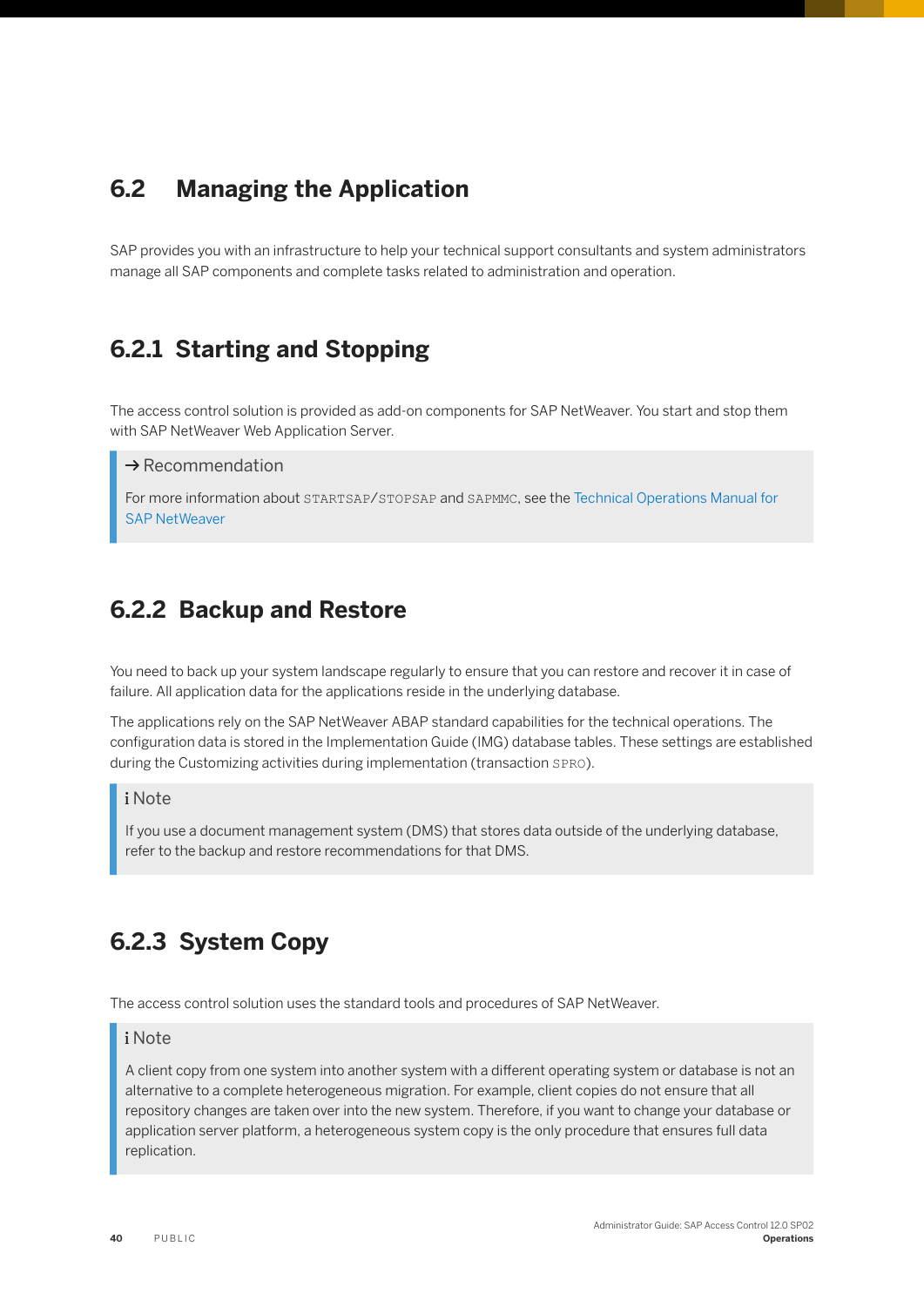## <span id="page-39-0"></span>**6.2 Managing the Application**

SAP provides you with an infrastructure to help your technical support consultants and system administrators manage all SAP components and complete tasks related to administration and operation.

## **6.2.1 Starting and Stopping**

The access control solution is provided as add-on components for SAP NetWeaver. You start and stop them with SAP NetWeaver Web Application Server.

#### $\rightarrow$  Recommendation

For more information about STARTSAP/STOPSAP and SAPMMC, see the [Technical Operations Manual for](https://help.sap.com/viewer/6522d0462aeb4909a79c3462b090ec51/7.5.10/en-US/5f4c63c099a3408488da11aab4254f07.html)  [SAP NetWeaver](https://help.sap.com/viewer/6522d0462aeb4909a79c3462b090ec51/7.5.10/en-US/5f4c63c099a3408488da11aab4254f07.html)

### **6.2.2 Backup and Restore**

You need to back up your system landscape regularly to ensure that you can restore and recover it in case of failure. All application data for the applications reside in the underlying database.

The applications rely on the SAP NetWeaver ABAP standard capabilities for the technical operations. The configuration data is stored in the Implementation Guide (IMG) database tables. These settings are established during the Customizing activities during implementation (transaction SPRO).

#### i Note

If you use a document management system (DMS) that stores data outside of the underlying database, refer to the backup and restore recommendations for that DMS.

## **6.2.3 System Copy**

The access control solution uses the standard tools and procedures of SAP NetWeaver.

#### i Note

A client copy from one system into another system with a different operating system or database is not an alternative to a complete heterogeneous migration. For example, client copies do not ensure that all repository changes are taken over into the new system. Therefore, if you want to change your database or application server platform, a heterogeneous system copy is the only procedure that ensures full data replication.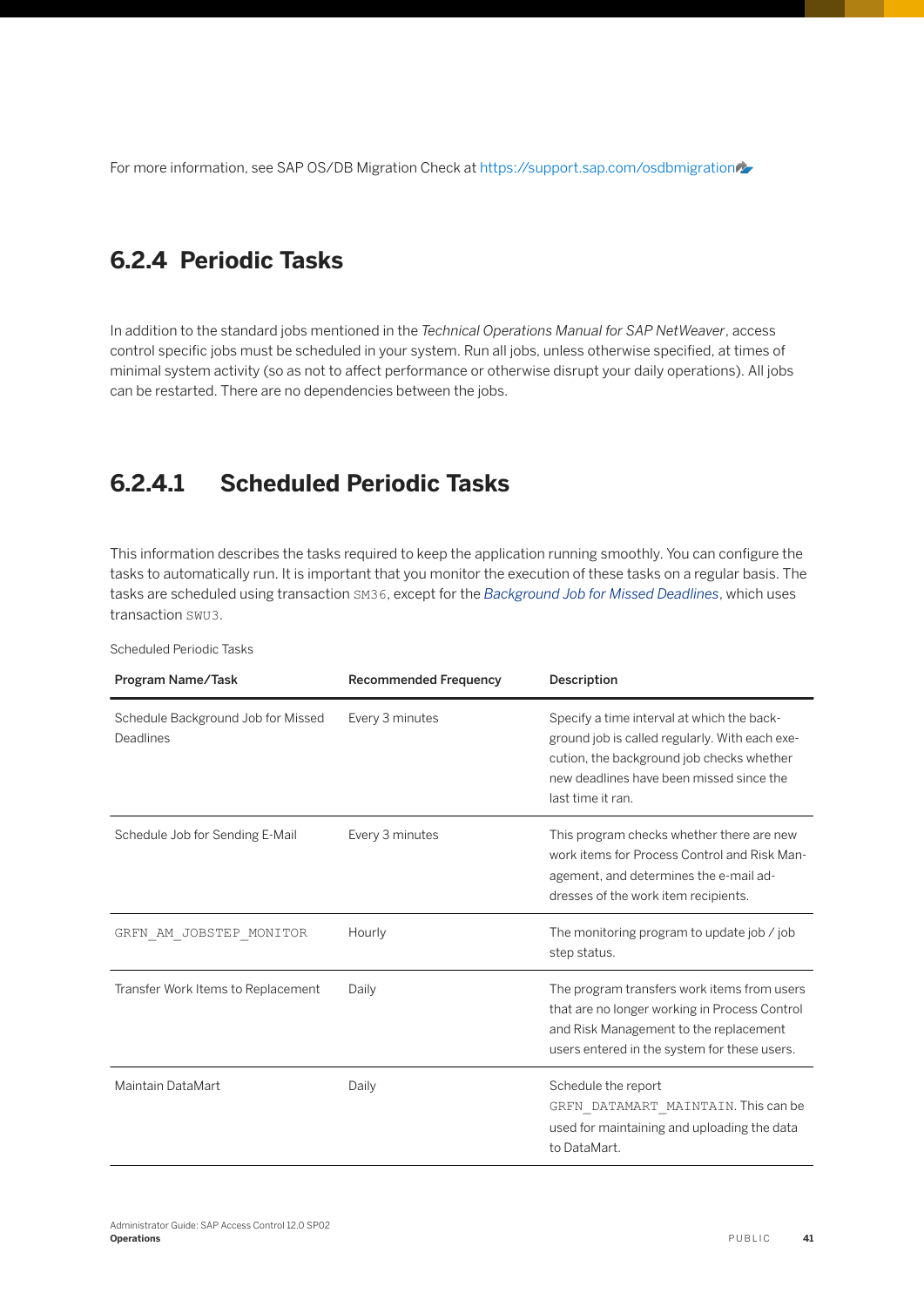<span id="page-40-0"></span>For more information, see SAP OS/DB Migration Check at [https://support.sap.com/osdbmigration](http://help.sap.com/disclaimer?site=https%3A%2F%2Fsupport.sap.com%2Fosdbmigration)

## **6.2.4 Periodic Tasks**

In addition to the standard jobs mentioned in the *Technical Operations Manual for SAP NetWeaver*, access control specific jobs must be scheduled in your system. Run all jobs, unless otherwise specified, at times of minimal system activity (so as not to affect performance or otherwise disrupt your daily operations). All jobs can be restarted. There are no dependencies between the jobs.

## **6.2.4.1 Scheduled Periodic Tasks**

This information describes the tasks required to keep the application running smoothly. You can configure the tasks to automatically run. It is important that you monitor the execution of these tasks on a regular basis. The tasks are scheduled using transaction SM36, except for the *Background Job for Missed Deadlines*, which uses transaction SWU3.

| Program Name/Task                               | <b>Recommended Frequency</b> | Description                                                                                                                                                                                                |
|-------------------------------------------------|------------------------------|------------------------------------------------------------------------------------------------------------------------------------------------------------------------------------------------------------|
| Schedule Background Job for Missed<br>Deadlines | Every 3 minutes              | Specify a time interval at which the back-<br>ground job is called regularly. With each exe-<br>cution, the background job checks whether<br>new deadlines have been missed since the<br>last time it ran. |
| Schedule Job for Sending E-Mail                 | Every 3 minutes              | This program checks whether there are new<br>work items for Process Control and Risk Man-<br>agement, and determines the e-mail ad-<br>dresses of the work item recipients.                                |
| GRFN AM JOBSTEP MONITOR                         | Hourly                       | The monitoring program to update job / job<br>step status.                                                                                                                                                 |
| Transfer Work Items to Replacement              | Daily                        | The program transfers work items from users<br>that are no longer working in Process Control<br>and Risk Management to the replacement<br>users entered in the system for these users.                     |
| Maintain DataMart                               | Daily                        | Schedule the report<br>GRFN_DATAMART_MAINTAIN. This can be<br>used for maintaining and uploading the data<br>to DataMart.                                                                                  |

Scheduled Periodic Tasks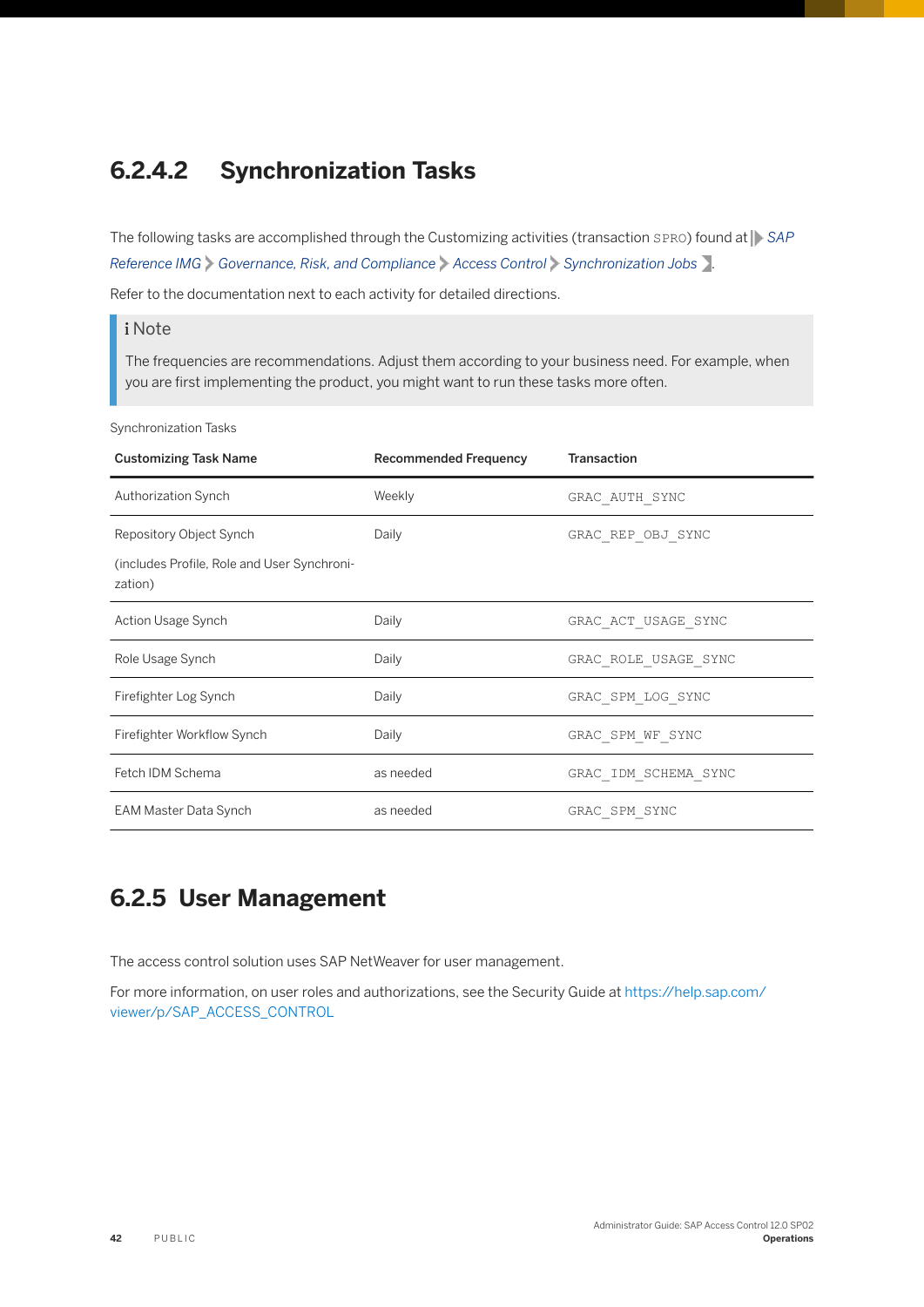## <span id="page-41-0"></span>**6.2.4.2 Synchronization Tasks**

The following tasks are accomplished through the Customizing activities (transaction SPRO) found at **F** SAP *Reference IMG Governance, Risk, and Compliance Access Control Synchronization Jobs* .

Refer to the documentation next to each activity for detailed directions.

#### i Note

The frequencies are recommendations. Adjust them according to your business need. For example, when you are first implementing the product, you might want to run these tasks more often.

Synchronization Tasks

| <b>Customizing Task Name</b>                           | <b>Recommended Frequency</b> | <b>Transaction</b>   |
|--------------------------------------------------------|------------------------------|----------------------|
| <b>Authorization Synch</b>                             | Weekly                       | GRAC AUTH SYNC       |
| Repository Object Synch                                | Daily                        | GRAC REP OBJ SYNC    |
| (includes Profile, Role and User Synchroni-<br>zation) |                              |                      |
| Action Usage Synch                                     | Daily                        | GRAC ACT USAGE SYNC  |
| Role Usage Synch                                       | Daily                        | GRAC_ROLE_USAGE_SYNC |
| Firefighter Log Synch                                  | Daily                        | GRAC SPM LOG SYNC    |
| Firefighter Workflow Synch                             | Daily                        | GRAC SPM WF SYNC     |
| Fetch IDM Schema                                       | as needed                    | GRAC IDM SCHEMA SYNC |
| EAM Master Data Synch                                  | as needed                    | GRAC SPM SYNC        |

## **6.2.5 User Management**

The access control solution uses SAP NetWeaver for user management.

For more information, on user roles and authorizations, see the Security Guide at [https://help.sap.com/](https://help.sap.com/viewer/p/SAP_ACCESS_CONTROL) [viewer/p/SAP\\_ACCESS\\_CONTROL](https://help.sap.com/viewer/p/SAP_ACCESS_CONTROL)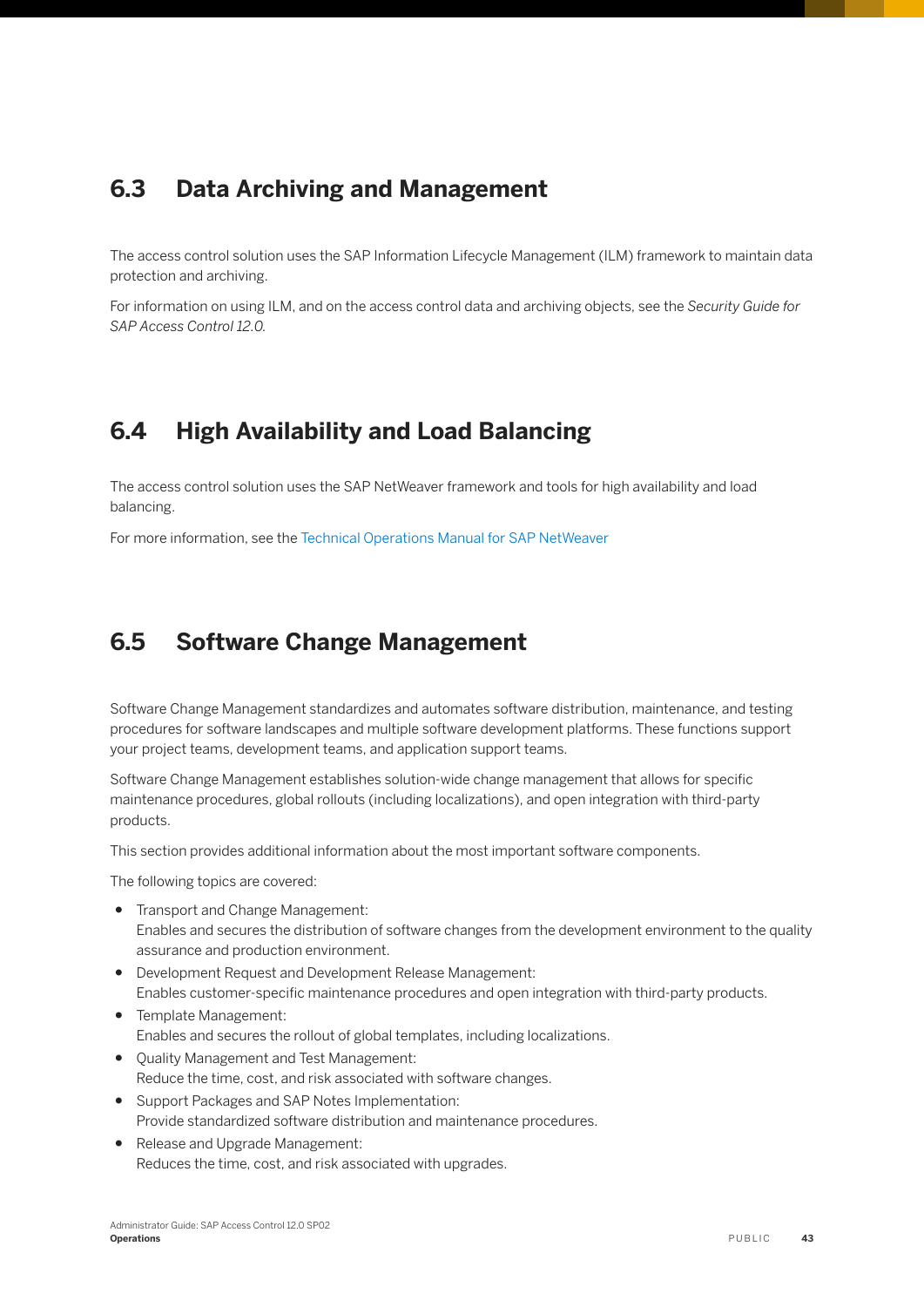## <span id="page-42-0"></span>**6.3 Data Archiving and Management**

The access control solution uses the SAP Information Lifecycle Management (ILM) framework to maintain data protection and archiving.

For information on using ILM, and on the access control data and archiving objects, see the *Security Guide for SAP Access Control 12.0.*

## **6.4 High Availability and Load Balancing**

The access control solution uses the SAP NetWeaver framework and tools for high availability and load balancing.

For more information, see the [Technical Operations Manual for SAP NetWeaver](https://help.sap.com/viewer/6522d0462aeb4909a79c3462b090ec51/7.5.10/en-US/5f4c63c099a3408488da11aab4254f07.html)

### **6.5 Software Change Management**

Software Change Management standardizes and automates software distribution, maintenance, and testing procedures for software landscapes and multiple software development platforms. These functions support your project teams, development teams, and application support teams.

Software Change Management establishes solution-wide change management that allows for specific maintenance procedures, global rollouts (including localizations), and open integration with third-party products.

This section provides additional information about the most important software components.

The following topics are covered:

- Transport and Change Management: Enables and secures the distribution of software changes from the development environment to the quality assurance and production environment.
- Development Request and Development Release Management: Enables customer-specific maintenance procedures and open integration with third-party products.
- Template Management: Enables and secures the rollout of global templates, including localizations.
- Quality Management and Test Management: Reduce the time, cost, and risk associated with software changes.
- Support Packages and SAP Notes Implementation: Provide standardized software distribution and maintenance procedures.
- Release and Upgrade Management: Reduces the time, cost, and risk associated with upgrades.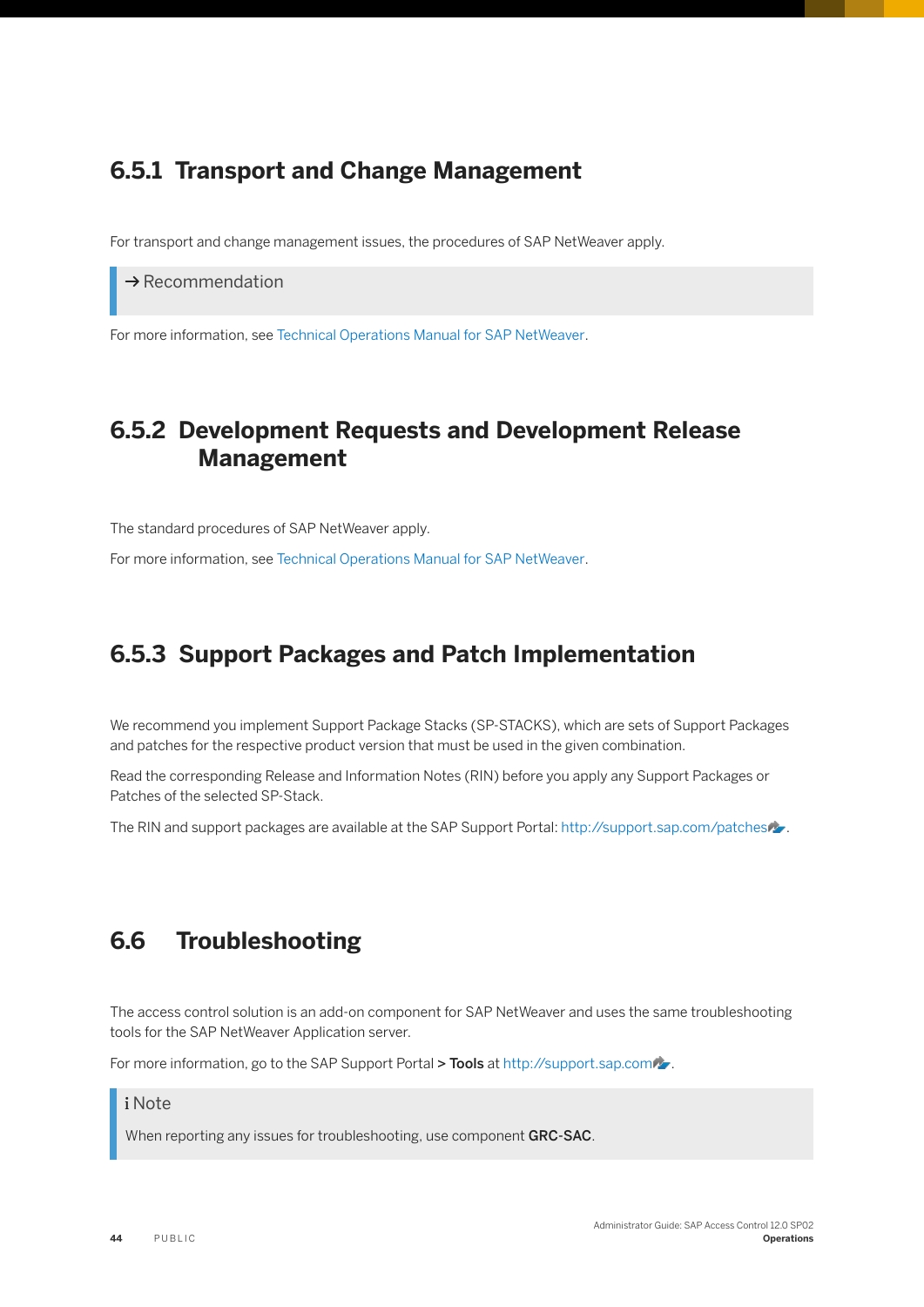## <span id="page-43-0"></span>**6.5.1 Transport and Change Management**

For transport and change management issues, the procedures of SAP NetWeaver apply.

 $\rightarrow$  Recommendation

For more information, see [Technical Operations Manual for SAP NetWeaver.](https://help.sap.com/viewer/6522d0462aeb4909a79c3462b090ec51/7.5.10/en-US/5f4c63c099a3408488da11aab4254f07.html)

## **6.5.2 Development Requests and Development Release Management**

The standard procedures of SAP NetWeaver apply.

For more information, see [Technical Operations Manual for SAP NetWeaver.](https://help.sap.com/viewer/6522d0462aeb4909a79c3462b090ec51/7.5.10/en-US/5f4c63c099a3408488da11aab4254f07.html)

### **6.5.3 Support Packages and Patch Implementation**

We recommend you implement Support Package Stacks (SP-STACKS), which are sets of Support Packages and patches for the respective product version that must be used in the given combination.

Read the corresponding Release and Information Notes (RIN) before you apply any Support Packages or Patches of the selected SP-Stack.

The RIN and support packages are available at the SAP Support Portal: [http://support.sap.com/patches](http://help.sap.com/disclaimer?site=http%3A%2F%2Fsupport.sap.com%2Fpatches) ...

### **6.6 Troubleshooting**

The access control solution is an add-on component for SAP NetWeaver and uses the same troubleshooting tools for the SAP NetWeaver Application server.

For more information, go to the SAP Support Portal > Tools at [http://support.sap.com](http://help.sap.com/disclaimer?site=http%3A%2F%2Fsupport.sap.com) ...

#### i Note

When reporting any issues for troubleshooting, use component GRC-SAC.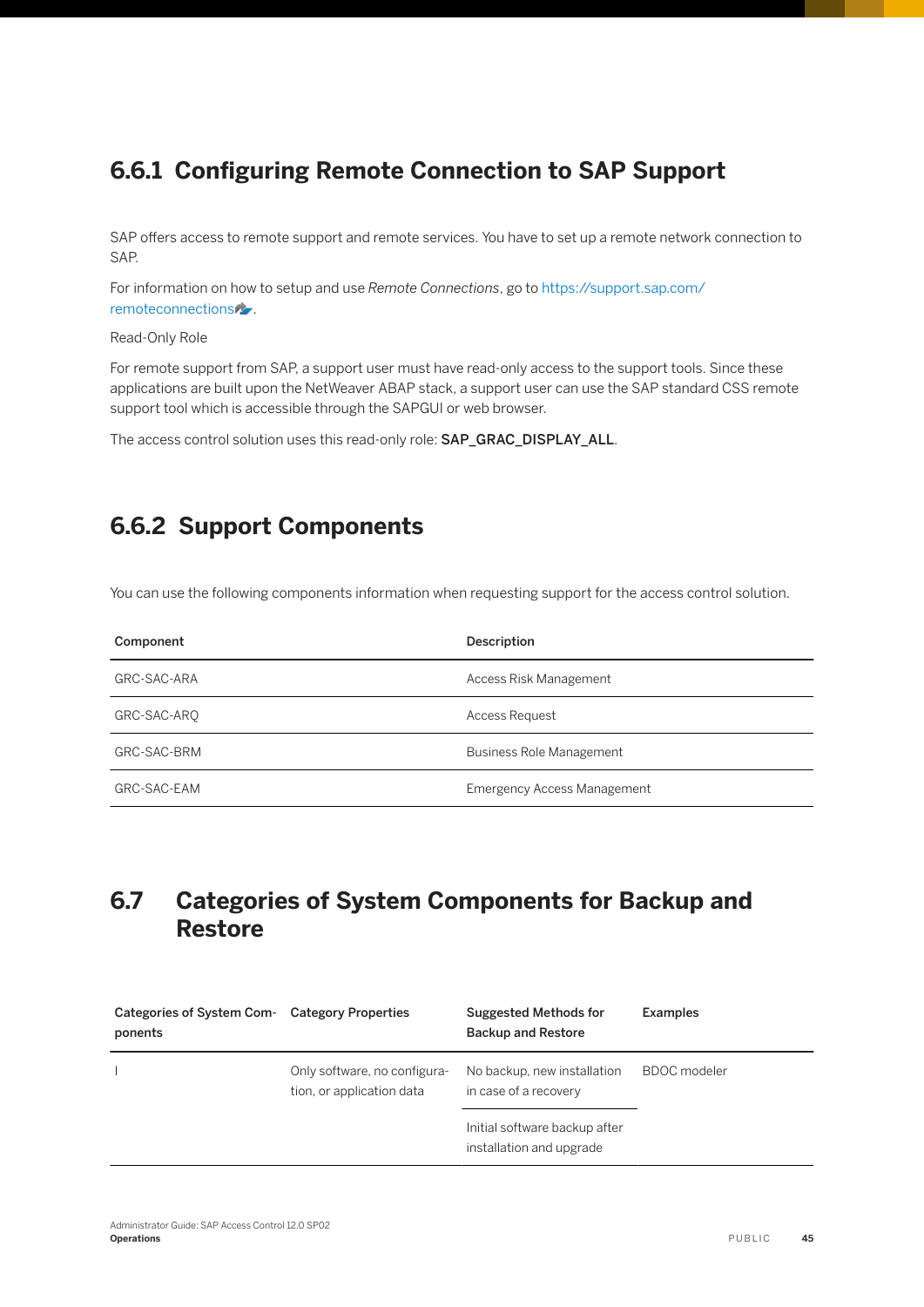## <span id="page-44-0"></span>**6.6.1 Configuring Remote Connection to SAP Support**

SAP offers access to remote support and remote services. You have to set up a remote network connection to SAP.

For information on how to setup and use *Remote Connections*, go to [https://support.sap.com/](http://help.sap.com/disclaimer?site=https%3A%2F%2Fsupport.sap.com%2Fremoteconnections) [remoteconnections](http://help.sap.com/disclaimer?site=https%3A%2F%2Fsupport.sap.com%2Fremoteconnections) .

Read-Only Role

For remote support from SAP, a support user must have read-only access to the support tools. Since these applications are built upon the NetWeaver ABAP stack, a support user can use the SAP standard CSS remote support tool which is accessible through the SAPGUI or web browser.

The access control solution uses this read-only role: SAP\_GRAC\_DISPLAY\_ALL.

## **6.6.2 Support Components**

You can use the following components information when requesting support for the access control solution.

| Component   | Description                        |
|-------------|------------------------------------|
| GRC-SAC-ARA | Access Risk Management             |
| GRC-SAC-ARO | <b>Access Request</b>              |
| GRC-SAC-BRM | <b>Business Role Management</b>    |
| GRC-SAC-EAM | <b>Emergency Access Management</b> |

## **6.7 Categories of System Components for Backup and Restore**

| Categories of System Com-<br>ponents | <b>Category Properties</b>                                | Suggested Methods for<br><b>Backup and Restore</b>        | Examples            |
|--------------------------------------|-----------------------------------------------------------|-----------------------------------------------------------|---------------------|
|                                      | Only software, no configura-<br>tion, or application data | No backup, new installation<br>in case of a recovery      | <b>BDOC</b> modeler |
|                                      |                                                           | Initial software backup after<br>installation and upgrade |                     |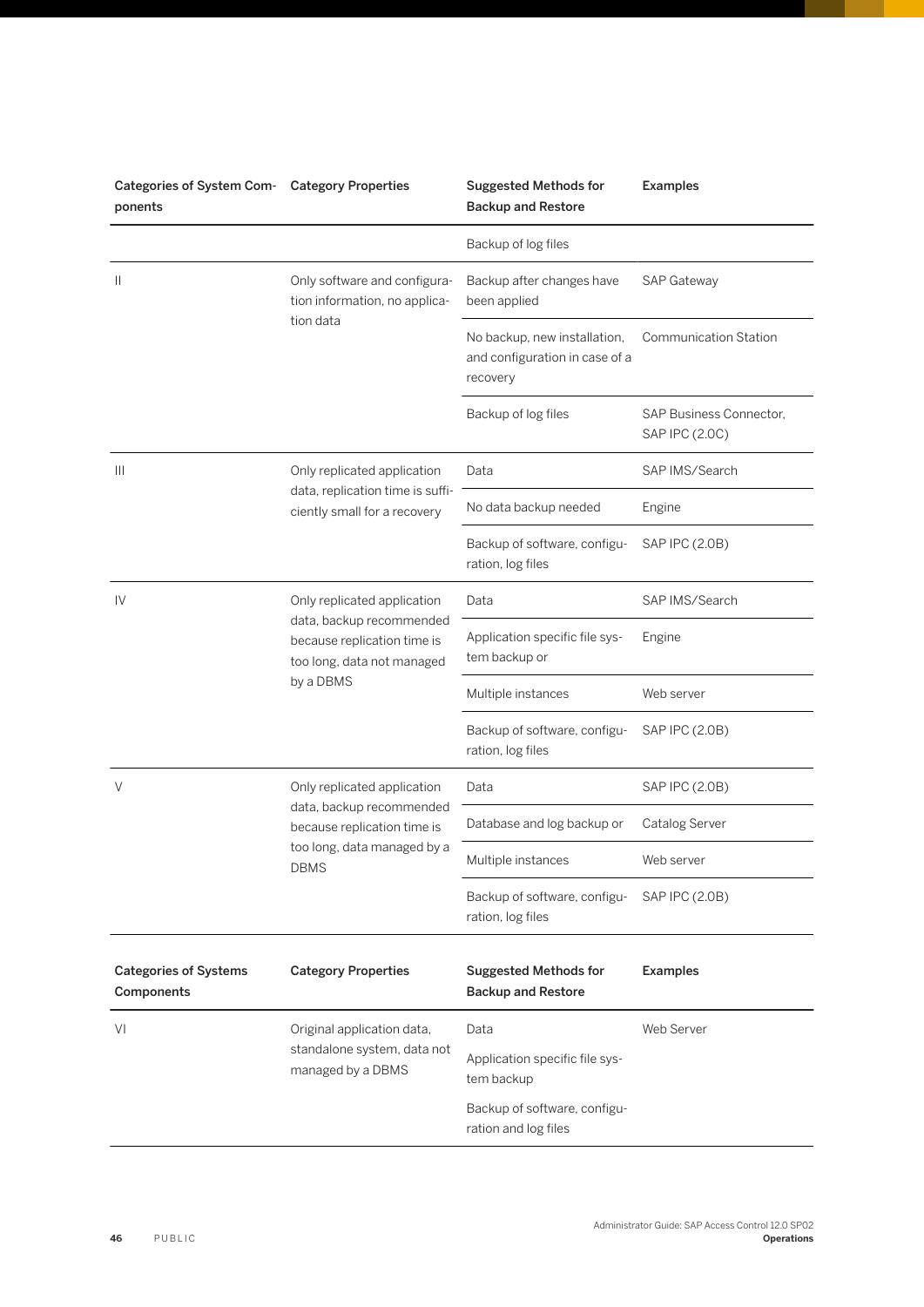| Categories of System Com-<br>ponents       | <b>Category Properties</b>                                                                                                           | <b>Suggested Methods for</b><br><b>Backup and Restore</b>                  | <b>Examples</b>                           |
|--------------------------------------------|--------------------------------------------------------------------------------------------------------------------------------------|----------------------------------------------------------------------------|-------------------------------------------|
|                                            |                                                                                                                                      | Backup of log files                                                        |                                           |
| Ш                                          | Only software and configura-<br>tion information, no applica-<br>tion data                                                           | Backup after changes have<br>been applied                                  | SAP Gateway                               |
|                                            |                                                                                                                                      | No backup, new installation,<br>and configuration in case of a<br>recovery | <b>Communication Station</b>              |
|                                            |                                                                                                                                      | Backup of log files                                                        | SAP Business Connector,<br>SAP IPC (2.0C) |
| Ш                                          | Only replicated application                                                                                                          | Data                                                                       | SAP IMS/Search                            |
|                                            | data, replication time is suffi-<br>ciently small for a recovery                                                                     | No data backup needed                                                      | Engine                                    |
|                                            |                                                                                                                                      | Backup of software, configu-<br>ration, log files                          | SAP IPC (2.0B)                            |
| IV                                         | Only replicated application<br>data, backup recommended<br>because replication time is<br>too long, data not managed<br>by a DBMS    | Data                                                                       | SAP IMS/Search                            |
|                                            |                                                                                                                                      | Application specific file sys-<br>tem backup or                            | Engine                                    |
|                                            |                                                                                                                                      | Multiple instances                                                         | Web server                                |
|                                            |                                                                                                                                      | Backup of software, configu-<br>ration, log files                          | SAP IPC (2.0B)                            |
| V                                          | Only replicated application<br>data, backup recommended<br>because replication time is<br>too long, data managed by a<br><b>DBMS</b> | Data                                                                       | SAP IPC (2.0B)                            |
|                                            |                                                                                                                                      | Database and log backup or                                                 | Catalog Server                            |
|                                            |                                                                                                                                      | Multiple instances                                                         | Web server                                |
|                                            |                                                                                                                                      | Backup of software, configu-<br>ration, log files                          | SAP IPC (2.0B)                            |
| <b>Categories of Systems</b><br>Components | <b>Category Properties</b>                                                                                                           | <b>Suggested Methods for</b><br><b>Backup and Restore</b>                  | <b>Examples</b>                           |
| VI                                         | Original application data,<br>standalone system, data not<br>managed by a DBMS                                                       | Data                                                                       | Web Server                                |
|                                            |                                                                                                                                      | Application specific file sys-<br>tem backup                               |                                           |
|                                            |                                                                                                                                      | Backup of software, configu-<br>ration and log files                       |                                           |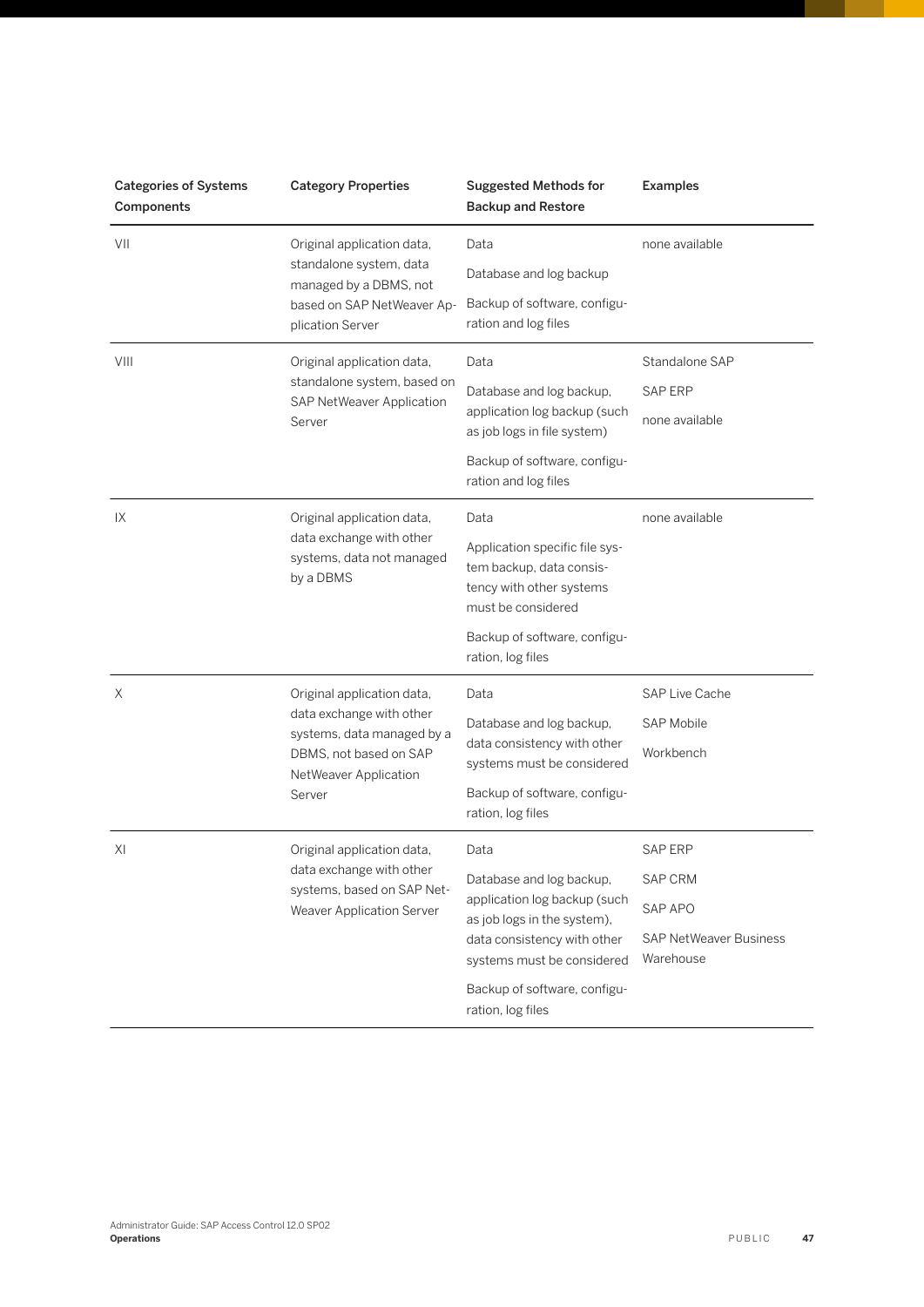| <b>Categories of Systems</b><br>Components | <b>Category Properties</b>                                                                                                                        | <b>Suggested Methods for</b><br><b>Backup and Restore</b>                                                                                            | <b>Examples</b>                            |
|--------------------------------------------|---------------------------------------------------------------------------------------------------------------------------------------------------|------------------------------------------------------------------------------------------------------------------------------------------------------|--------------------------------------------|
| VII                                        | Original application data,<br>standalone system, data<br>managed by a DBMS, not<br>based on SAP NetWeaver Ap-<br>plication Server                 | Data                                                                                                                                                 | none available                             |
|                                            |                                                                                                                                                   | Database and log backup                                                                                                                              |                                            |
|                                            |                                                                                                                                                   | Backup of software, configu-<br>ration and log files                                                                                                 |                                            |
| VIII                                       | Original application data,                                                                                                                        | Data                                                                                                                                                 | Standalone SAP                             |
|                                            | standalone system, based on<br>SAP NetWeaver Application                                                                                          | Database and log backup,                                                                                                                             | SAP ERP                                    |
|                                            | Server                                                                                                                                            | application log backup (such<br>as job logs in file system)                                                                                          | none available                             |
|                                            |                                                                                                                                                   | Backup of software, configu-<br>ration and log files                                                                                                 |                                            |
| IX                                         | Original application data,<br>data exchange with other<br>systems, data not managed<br>by a DBMS                                                  | Data                                                                                                                                                 | none available                             |
|                                            |                                                                                                                                                   | Application specific file sys-<br>tem backup, data consis-<br>tency with other systems<br>must be considered                                         |                                            |
|                                            |                                                                                                                                                   | Backup of software, configu-<br>ration, log files                                                                                                    |                                            |
| Χ                                          | Original application data,<br>data exchange with other<br>systems, data managed by a<br>DBMS, not based on SAP<br>NetWeaver Application<br>Server | Data                                                                                                                                                 | <b>SAP Live Cache</b>                      |
|                                            |                                                                                                                                                   | Database and log backup,<br>data consistency with other<br>systems must be considered                                                                | <b>SAP Mobile</b>                          |
|                                            |                                                                                                                                                   |                                                                                                                                                      | Workbench                                  |
|                                            |                                                                                                                                                   | Backup of software, configu-<br>ration, log files                                                                                                    |                                            |
| XI                                         | Original application data,<br>data exchange with other<br>systems, based on SAP Net-<br>Weaver Application Server                                 | Data                                                                                                                                                 | <b>SAP ERP</b>                             |
|                                            |                                                                                                                                                   | Database and log backup,<br>application log backup (such<br>as job logs in the system),<br>data consistency with other<br>systems must be considered | <b>SAP CRM</b>                             |
|                                            |                                                                                                                                                   |                                                                                                                                                      | SAP APO                                    |
|                                            |                                                                                                                                                   |                                                                                                                                                      | <b>SAP NetWeaver Business</b><br>Warehouse |
|                                            |                                                                                                                                                   | Backup of software, configu-<br>ration, log files                                                                                                    |                                            |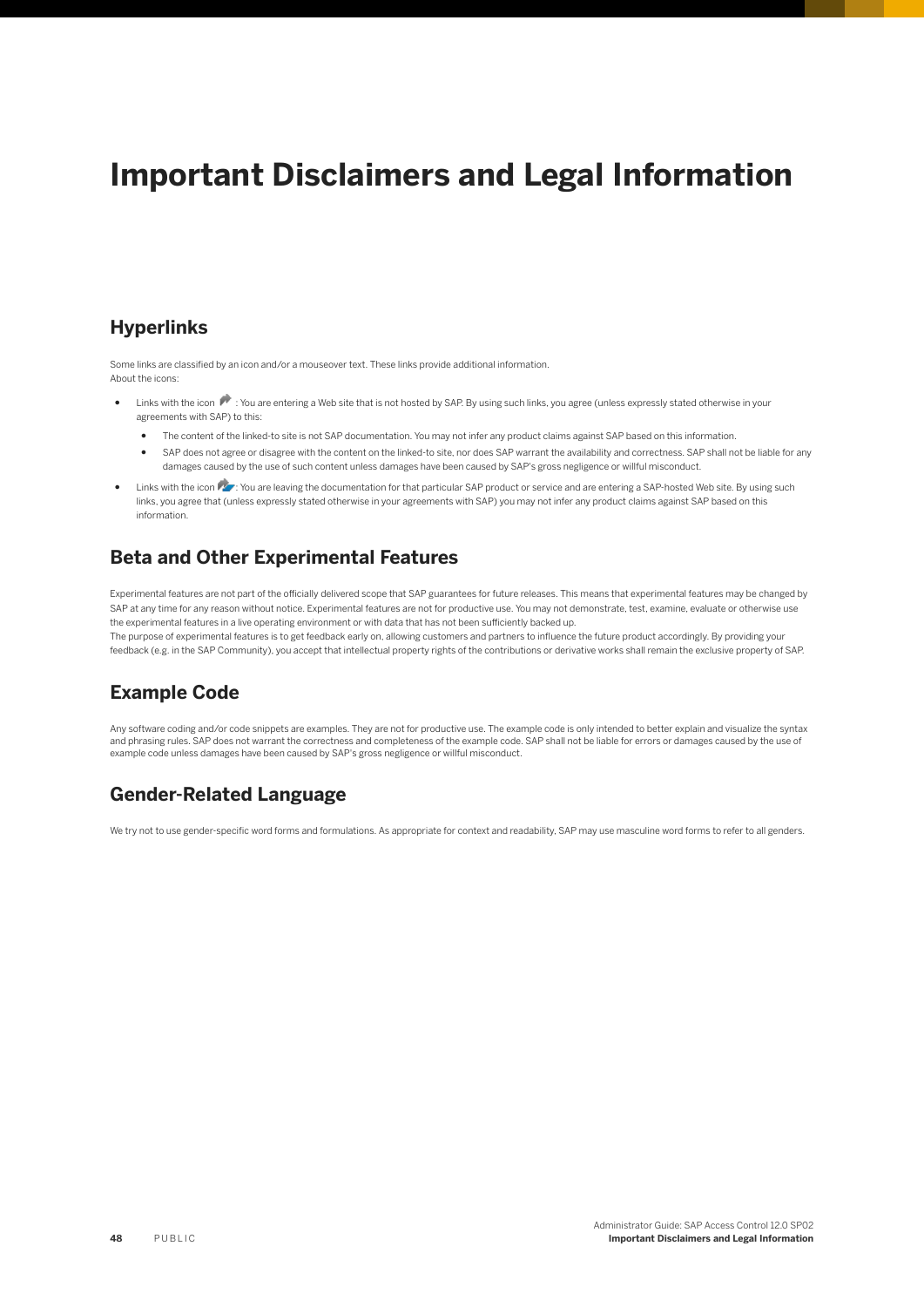# **Important Disclaimers and Legal Information**

#### **Hyperlinks**

Some links are classified by an icon and/or a mouseover text. These links provide additional information. About the icons:

- Links with the icon  $\blacktriangleright$ : You are entering a Web site that is not hosted by SAP. By using such links, you agree (unless expressly stated otherwise in your agreements with SAP) to this:
	- The content of the linked-to site is not SAP documentation. You may not infer any product claims against SAP based on this information.
	- SAP does not agree or disagree with the content on the linked-to site, nor does SAP warrant the availability and correctness. SAP shall not be liable for any damages caused by the use of such content unless damages have been caused by SAP's gross negligence or willful misconduct.
- Links with the icon  $\sim$ : You are leaving the documentation for that particular SAP product or service and are entering a SAP-hosted Web site. By using such links, you agree that (unless expressly stated otherwise in your agreements with SAP) you may not infer any product claims against SAP based on this information.

### **Beta and Other Experimental Features**

Experimental features are not part of the officially delivered scope that SAP guarantees for future releases. This means that experimental features may be changed by SAP at any time for any reason without notice. Experimental features are not for productive use. You may not demonstrate, test, examine, evaluate or otherwise use the experimental features in a live operating environment or with data that has not been sufficiently backed up. The purpose of experimental features is to get feedback early on, allowing customers and partners to influence the future product accordingly. By providing your

feedback (e.g. in the SAP Community), you accept that intellectual property rights of the contributions or derivative works shall remain the exclusive property of SAP.

#### **Example Code**

Any software coding and/or code snippets are examples. They are not for productive use. The example code is only intended to better explain and visualize the syntax and phrasing rules. SAP does not warrant the correctness and completeness of the example code. SAP shall not be liable for errors or damages caused by the use of example code unless damages have been caused by SAP's gross negligence or willful misconduct.

#### **Gender-Related Language**

We try not to use gender-specific word forms and formulations. As appropriate for context and readability, SAP may use masculine word forms to refer to all genders.